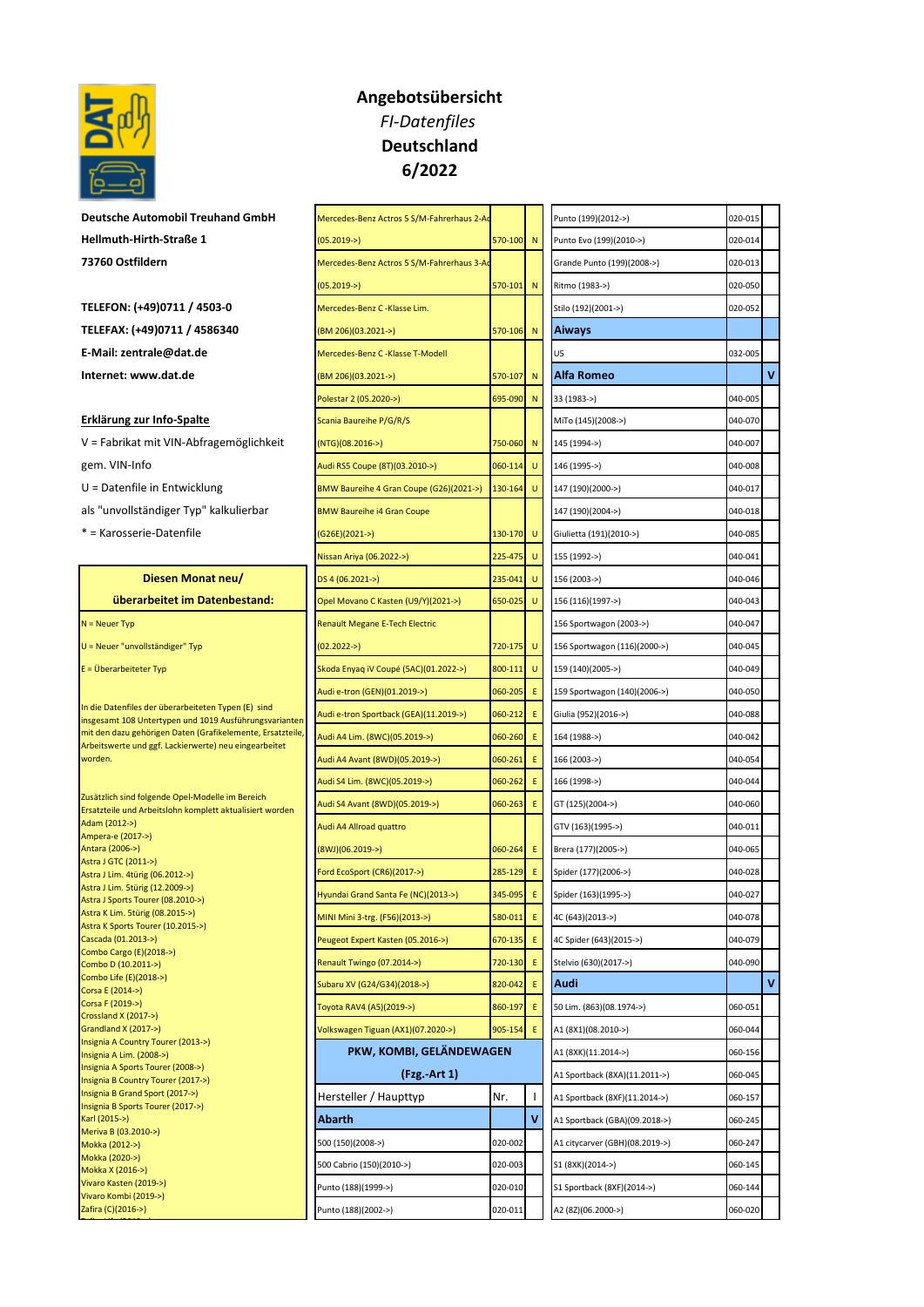

**Deutsche Automobil Treuhand GmbH Hellmuth-Hirth-Straße 1 73760 Ostfildern** 

**TELEFON: (+49)0711 / 4503-0 TELEFAX: (+49)0711 / 4586340** (BM 206)(03.2021->) 570-106 N **Aiways E-Mail: zentrale@dat.de Internet: www.dat.de** 

## **Erklärung zur Info-Spalte**

- V = Fabrikat mit VIN-Abfragemöglichkeit gem. VIN-Info
- U = Datenfile in Entwicklung
- als "unvollständiger Typ" kalkulierbar
- \* = Karosserie-Datenfile

Zafira Life (2019->)

## **Angebotsübersicht** *FI-Datenfiles* **Deutschland 6/2022**

| Mercedes-Benz Actros 5 S/M-Fahrerhaus 2-Ac |         |    | Punto (199)(2012->)            | 020-015 |   |
|--------------------------------------------|---------|----|--------------------------------|---------|---|
| $(05.2019 -)$                              | 570-100 | N  | Punto Evo (199)(2010->)        | 020-014 |   |
| Mercedes-Benz Actros 5 S/M-Fahrerhaus 3-Ac |         |    | Grande Punto (199)(2008->)     | 020-013 |   |
| $(05.2019 -)$                              | 570-101 | N  | Ritmo (1983->)                 | 020-050 |   |
| Mercedes-Benz C -Klasse Lim.               |         |    | Stilo (192)(2001->)            | 020-052 |   |
| (BM 206)(03.2021->)                        | 570-106 | N  | <b>Aiways</b>                  |         |   |
| Mercedes-Benz C -Klasse T-Modell           |         |    | U5                             | 032-005 |   |
| (BM 206)(03.2021->)                        | 570-107 | N  | Alfa Romeo                     |         | v |
| Polestar 2 (05.2020->)                     | 695-090 | N  | 33 (1983->)                    | 040-005 |   |
| Scania Baureihe P/G/R/S                    |         |    | MiTo (145)(2008->)             | 040-070 |   |
| (NTG)(08.2016->)                           | 750-060 | N  | 145 (1994->)                   | 040-007 |   |
| Audi RS5 Coupe (8T)(03.2010->)             | 060-114 | U  | 146 (1995->)                   | 040-008 |   |
| BMW Baureihe 4 Gran Coupe (G26)(2021->)    | 130-164 | U  | 147 (190)(2000->)              | 040-017 |   |
| <b>BMW Baureihe i4 Gran Coupe</b>          |         |    | 147 (190)(2004->)              | 040-018 |   |
| (G26E)(2021->)                             | 130-170 | U  | Giulietta (191)(2010->)        | 040-085 |   |
| Nissan Ariya (06.2022->)                   | 225-475 | U  | 155 (1992->)                   | 040-041 |   |
| DS 4 (06.2021->)                           | 235-041 | U  | 156 (2003->)                   | 040-046 |   |
| Opel Movano C Kasten (U9/Y)(2021->)        | 650-025 | U  | 156 (116)(1997->)              | 040-043 |   |
| <b>Renault Megane E-Tech Electric</b>      |         |    | 156 Sportwagon (2003->)        | 040-047 |   |
| $(02.2022 -)$                              | 720-175 | U  | 156 Sportwagon (116)(2000->)   | 040-045 |   |
| Skoda Enyaq iV Coupé (5AC)(01.2022->)      | 800-111 | U  | 159 (140)(2005->)              | 040-049 |   |
| Audi e-tron (GEN)(01.2019->)               | 060-205 | Ε  | 159 Sportwagon (140)(2006->)   | 040-050 |   |
| Audi e-tron Sportback (GEA)(11.2019->)     | 060-212 | Ε  | Giulia (952)(2016->)           | 040-088 |   |
| Audi A4 Lim. (8WC)(05.2019->)              | 060-260 | Ε  | 164 (1988->)                   | 040-042 |   |
| Audi A4 Avant (8WD)(05.2019->)             | 060-261 | Ε  | 166 (2003->)                   | 040-054 |   |
| Audi S4 Lim. (8WC)(05.2019->)              | 060-262 | E. | 166 (1998->)                   | 040-044 |   |
| Audi S4 Avant (8WD)(05.2019->)             | 060-263 | Ε  | GT (125)(2004->)               | 040-060 |   |
| Audi A4 Allroad quattro                    |         |    | GTV (163)(1995->)              | 040-011 |   |
| $(8WJ)(06.2019-)$                          | 060-264 | Ε  | Brera (177)(2005->)            | 040-065 |   |
| Ford EcoSport (CR6)(2017->)                | 285-129 | Ε  | Spider (177)(2006->)           | 040-028 |   |
| Hyundai Grand Santa Fe (NC)(2013->)        | 345-095 | Ε  | Spider (163)(1995->)           | 040-027 |   |
| MINI Mini 3-trg. (F56)(2013->)             | 580-011 | E. | 4C (643)(2013->)               | 040-078 |   |
| Peugeot Expert Kasten (05.2016->)          | 670-135 | E  | 4C Spider (643)(2015->)        | 040-079 |   |
| Renault Twingo (07.2014->)                 | 720-130 | Ε  | Stelvio (630)(2017->)          | 040-090 |   |
| Subaru XV (G24/G34)(2018->)                | 820-042 | Ε  | Audi                           |         | ٧ |
| Toyota RAV4 (A5)(2019->)                   | 860-197 | E  | 50 Lim. (863)(08.1974->)       | 060-051 |   |
| Volkswagen Tiguan (AX1)(07.2020->)         | 905-154 | Ε  | A1 (8X1)(08.2010->)            | 060-044 |   |
| PKW, KOMBI, GELÄNDEWAGEN                   |         |    | A1 (8XK)(11.2014->)            | 060-156 |   |
| (Fzg. Art 1)                               |         |    | A1 Sportback (8XA)(11.2011->)  | 060-045 |   |
| Hersteller / Haupttyp                      | Nr.     | L  | A1 Sportback (8XF)(11.2014->)  | 060-157 |   |
| Abarth                                     |         | ٧  | A1 Sportback (GBA)(09.2018->)  | 060-245 |   |
| 500 (150)(2008->)                          | 020-002 |    | A1 citycarver (GBH)(08.2019->) | 060-247 |   |
| 500 Cabrio (150)(2010->)                   | 020-003 |    | S1 (8XK)(2014->)               | 060-145 |   |
| Punto (188)(1999->)                        | 020-010 |    | S1 Sportback (8XF)(2014->)     | 060-144 |   |
| Punto (188)(2002->)                        | 020-011 |    | A2 (8Z)(06.2000->)             | 060-020 |   |

| Punto (199)(2012->)            | 020-015        |   |
|--------------------------------|----------------|---|
| Punto Evo (199)(2010->)        | 020-014        |   |
| Grande Punto (199)(2008->)     | 020-013        |   |
| Ritmo (1983->)                 | 020-050        |   |
| Stilo (192)(2001->)            | 020-052        |   |
| Aiways                         |                |   |
| U5                             | 032-005        |   |
| Alfa Romeo                     |                |   |
| 33 (1983->)                    | 040-005        |   |
| MiTo (145)(2008->)             | 040-070        |   |
| 145 (1994->)                   | 040-007        |   |
| 146 (1995->)                   | 040-008        |   |
| 147 (190)(2000->)              | 040-017        |   |
| 147 (190)(2004->)              | 040-018        |   |
| Giulietta (191)(2010->)        | 040-085        |   |
| 155 (1992->)                   | 040-041        |   |
| 156 (2003->)                   | 040-046        |   |
| 156 (116)(1997->)              | 040-043        |   |
| 156 Sportwagon (2003->)        | 040-047        |   |
| 156 Sportwagon (116)(2000->)   | 040-045        |   |
| 159 (140)(2005->)              | 040-049        |   |
| 159 Sportwagon (140)(2006->)   | 040-050        |   |
| Giulia (952)(2016->)           | 040-088        |   |
| 164 (1988->)                   | 040-042        |   |
| 166 (2003->)                   | 040-054        |   |
| 166 (1998->)                   | 040-044        |   |
| GT (125)(2004->)               | 040-060        |   |
| GTV (163)(1995->)              | 040-011        |   |
| Brera (177)(2005->)            | 040-065        |   |
| Spider (177)(2006->)           | 040-028        |   |
| Spider (163)(1995->)           | <u>040-027</u> |   |
| 4C (643)(2013->)               | 040-078        |   |
| 4C Spider (643)(2015->)        | 040-079        |   |
| Stelvio (630)(2017->)          | 040-090        |   |
| Audi                           |                | ٧ |
| 50 Lim. (863)(08.1974->)       | 060-051        |   |
| A1 (8X1)(08.2010->)            | 060-044        |   |
| A1 (8XK)(11.2014->)            | 060-156        |   |
| A1 Sportback (8XA)(11.2011->)  | 060-045        |   |
| A1 Sportback (8XF)(11.2014->)  | 060-157        |   |
| A1 Sportback (GBA)(09.2018->)  | 060-245        |   |
| A1 citycarver (GBH)(08.2019->) | 060-247        |   |
| S1 (8XK)(2014->)               | 060-145        |   |
| S1 Sportback (8XF)(2014->)     | 060-144        |   |
| A2 (8Z)(06.2000->)             | 060-020        |   |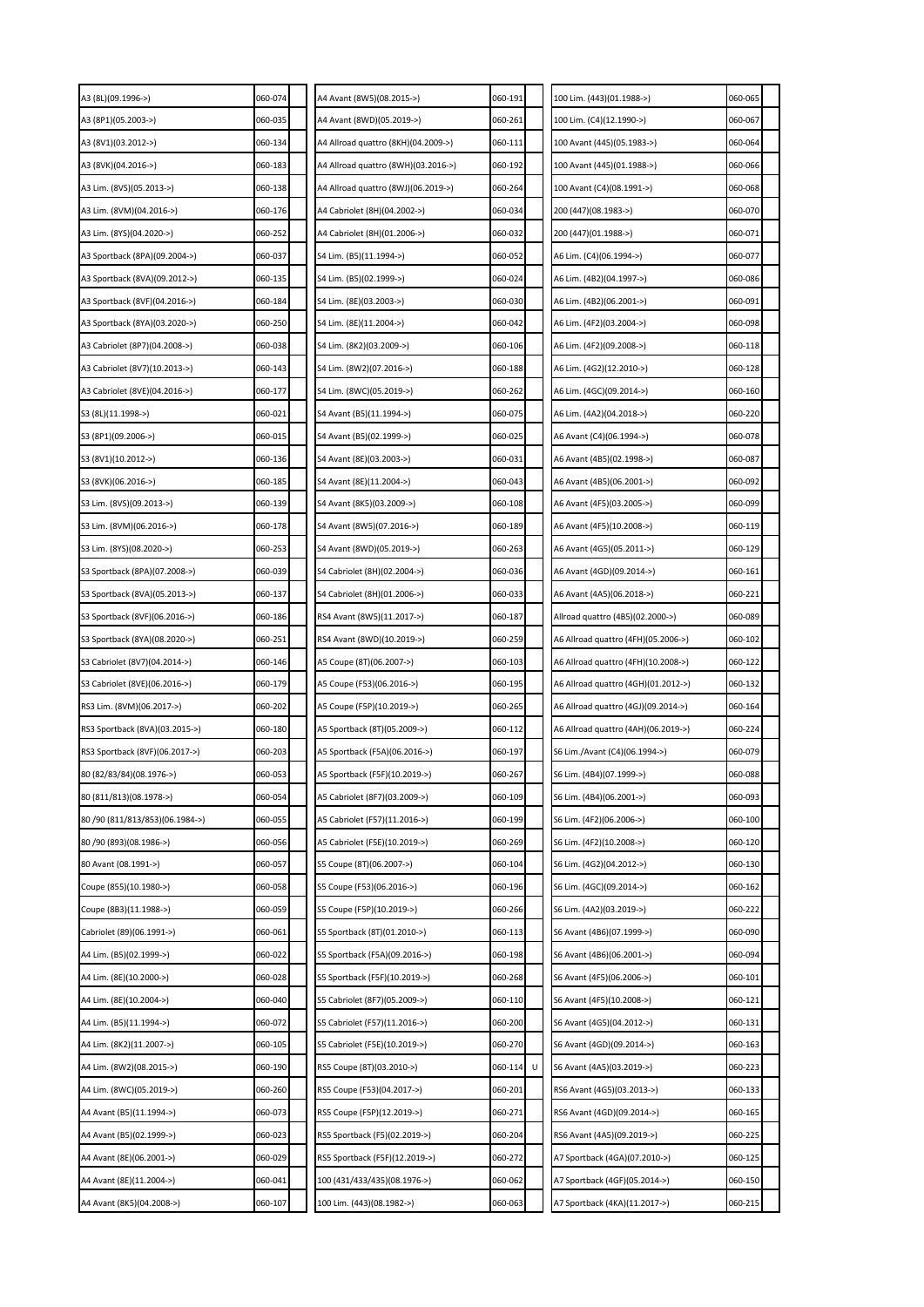| A3 (8L)(09.1996->)              | 060-074 | A4 Avant (8W5)(08.2015->)           | 060-191      | 100 Lim. (443)(01.1988->)           | 060-065 |
|---------------------------------|---------|-------------------------------------|--------------|-------------------------------------|---------|
| A3 (8P1)(05.2003->)             | 060-035 | A4 Avant (8WD)(05.2019->)           | 060-261      | 100 Lim. (C4)(12.1990->)            | 060-067 |
| A3 (8V1)(03.2012->)             | 060-134 | A4 Allroad quattro (8KH)(04.2009->) | 060-111      | 100 Avant (445)(05.1983->)          | 060-064 |
| A3 (8VK)(04.2016->)             | 060-183 | A4 Allroad quattro (8WH)(03.2016->) | 060-192      | 100 Avant (445)(01.1988->)          | 060-066 |
| A3 Lim. (8VS)(05.2013->)        | 060-138 | A4 Allroad quattro (8WJ)(06.2019->) | 060-264      | 100 Avant (C4)(08.1991->)           | 060-068 |
| A3 Lim. (8VM)(04.2016->)        | 060-176 | A4 Cabriolet (8H)(04.2002->)        | 060-034      | 200 (447)(08.1983->)                | 060-070 |
| A3 Lim. (8YS)(04.2020->)        | 060-252 | A4 Cabriolet (8H)(01.2006->)        | 060-032      | 200 (447)(01.1988->)                | 060-071 |
| A3 Sportback (8PA)(09.2004->)   | 060-037 | S4 Lim. (B5)(11.1994->)             | 060-052      | A6 Lim. (C4)(06.1994->)             | 060-077 |
| A3 Sportback (8VA)(09.2012->)   | 060-135 | S4 Lim. (B5)(02.1999->)             | 060-024      | A6 Lim. (4B2)(04.1997->)            | 060-086 |
| A3 Sportback (8VF)(04.2016->)   | 060-184 | S4 Lim. (8E)(03.2003->)             | 060-030      | A6 Lim. (4B2)(06.2001->)            | 060-091 |
| A3 Sportback (8YA)(03.2020->)   | 060-250 | S4 Lim. (8E)(11.2004->)             | 060-042      | A6 Lim. (4F2)(03.2004->)            | 060-098 |
| A3 Cabriolet (8P7)(04.2008->)   | 060-038 | S4 Lim. (8K2)(03.2009->)            | 060-106      | A6 Lim. (4F2)(09.2008->)            | 060-118 |
| A3 Cabriolet (8V7)(10.2013->)   | 060-143 | S4 Lim. (8W2)(07.2016->)            | 060-188      | A6 Lim. (4G2)(12.2010->)            | 060-128 |
| A3 Cabriolet (8VE)(04.2016->)   | 060-177 | S4 Lim. (8WC)(05.2019->)            | 060-262      | A6 Lim. (4GC)(09.2014->)            | 060-160 |
| S3 (8L)(11.1998->)              | 060-021 | S4 Avant (B5)(11.1994->)            | 060-075      | A6 Lim. (4A2)(04.2018->)            | 060-220 |
| S3 (8P1)(09.2006->)             | 060-015 | S4 Avant (B5)(02.1999->)            | 060-025      | 46 Avant (C4)(06.1994->)            | 060-078 |
| S3 (8V1)(10.2012->)             | 060-136 | S4 Avant (8E)(03.2003->)            | 060-031      | A6 Avant (4B5)(02.1998->)           | 060-087 |
| S3 (8VK)(06.2016->)             | 060-185 | S4 Avant (8E)(11.2004->)            | 060-043      | A6 Avant (4B5)(06.2001->)           | 060-092 |
| S3 Lim. (8VS)(09.2013->)        | 060-139 | S4 Avant (8K5)(03.2009->)           | 060-108      | A6 Avant (4F5)(03.2005->)           | 060-099 |
| S3 Lim. (8VM)(06.2016->)        | 060-178 | S4 Avant (8W5)(07.2016->)           | 060-189      | A6 Avant (4F5)(10.2008->)           | 060-119 |
| S3 Lim. (8YS)(08.2020->)        | 060-253 | S4 Avant (8WD)(05.2019->)           | 060-263      | A6 Avant (4G5)(05.2011->)           | 060-129 |
| S3 Sportback (8PA)(07.2008->)   | 060-039 | S4 Cabriolet (8H)(02.2004->)        | 060-036      | A6 Avant (4GD)(09.2014->)           | 060-161 |
| S3 Sportback (8VA)(05.2013->)   | 060-137 | S4 Cabriolet (8H)(01.2006->)        | 060-033      | A6 Avant (4A5)(06.2018->)           | 060-221 |
| S3 Sportback (8VF)(06.2016->)   | 060-186 | RS4 Avant (8W5)(11.2017->)          | 060-187      | Allroad quattro (4B5)(02.2000->)    | 060-089 |
| S3 Sportback (8YA)(08.2020->)   | 060-251 | RS4 Avant (8WD)(10.2019->)          | 060-259      | A6 Allroad quattro (4FH)(05.2006->) | 060-102 |
| S3 Cabriolet (8V7)(04.2014->)   | 060-146 | A5 Coupe (8T)(06.2007->)            | 060-103      | A6 Allroad quattro (4FH)(10.2008->) | 060-122 |
| S3 Cabriolet (8VE)(06.2016->)   | 060-179 | A5 Coupe (F53)(06.2016->)           | 060-195      | A6 Allroad quattro (4GH)(01.2012->) | 060-132 |
| RS3 Lim. (8VM)(06.2017->)       | 060-202 | A5 Coupe (F5P)(10.2019->)           | 060-265      | 46 Allroad quattro (4GJ)(09.2014->) | 060-164 |
| RS3 Sportback (8VA)(03.2015->)  | 060-180 | A5 Sportback (8T)(05.2009->)        | 060-112      | A6 Allroad quattro (4AH)(06.2019->) | 060-224 |
| RS3 Sportback (8VF)(06.2017->)  | 060-203 | A5 Sportback (F5A)(06.2016->)       | 060-197      | S6 Lim./Avant (C4)(06.1994->)       | 060-079 |
| 80 (82/83/84) (08.1976->)       | 060-053 | A5 Sportback (F5F)(10.2019->)       | 060-267      | S6 Lim. (4B4)(07.1999->)            | 060-088 |
| 80 (811/813)(08.1978->)         | 060-054 | A5 Cabriolet (8F7)(03.2009->)       | 060-109      | S6 Lim. (4B4)(06.2001->)            | 060-093 |
| 80 /90 (811/813/853)(06.1984->) | 060-055 | A5 Cabriolet (F57)(11.2016->)       | 060-199      | S6 Lim. (4F2)(06.2006->)            | 060-100 |
| 80 /90 (893) (08.1986->)        | 060-056 | A5 Cabriolet (F5E)(10.2019->)       | 060-269      | S6 Lim. (4F2)(10.2008->)            | 060-120 |
| 80 Avant (08.1991->)            | 060-057 | S5 Coupe (8T)(06.2007->)            | 060-104      | S6 Lim. (4G2)(04.2012->)            | 060-130 |
| Coupe (855)(10.1980->)          | 060-058 | S5 Coupe (F53)(06.2016->)           | 060-196      | S6 Lim. (4GC)(09.2014->)            | 060-162 |
| Coupe (8B3)(11.1988->)          | 060-059 | S5 Coupe (F5P)(10.2019->)           | 060-266      | S6 Lim. (4A2)(03.2019->)            | 060-222 |
| Cabriolet (89)(06.1991->)       | 060-061 | S5 Sportback (8T)(01.2010->)        | 060-113      | S6 Avant (4B6)(07.1999->)           | 060-090 |
| A4 Lim. (B5)(02.1999->)         | 060-022 | S5 Sportback (F5A)(09.2016->)       | 060-198      | S6 Avant (4B6)(06.2001->)           | 060-094 |
| A4 Lim. (8E)(10.2000->)         | 060-028 | S5 Sportback (F5F)(10.2019->)       | 060-268      | S6 Avant (4F5)(06.2006->)           | 060-101 |
| A4 Lim. (8E)(10.2004->)         | 060-040 | S5 Cabriolet (8F7)(05.2009->)       | 060-110      | S6 Avant (4F5)(10.2008->)           | 060-121 |
| A4 Lim. (B5)(11.1994->)         | 060-072 | S5 Cabriolet (F57)(11.2016->)       | 060-200      | S6 Avant (4G5)(04.2012->)           | 060-131 |
| A4 Lim. (8K2)(11.2007->)        | 060-105 | S5 Cabriolet (F5E)(10.2019->)       | 060-270      | S6 Avant (4GD)(09.2014->)           | 060-163 |
| A4 Lim. (8W2)(08.2015->)        | 060-190 | RS5 Coupe (8T)(03.2010->)           | 060-114<br>U | S6 Avant (4A5)(03.2019->)           | 060-223 |
| A4 Lim. (8WC)(05.2019->)        | 060-260 | RS5 Coupe (F53)(04.2017->)          | 060-201      | RS6 Avant (4G5)(03.2013->)          | 060-133 |
| A4 Avant (B5)(11.1994->)        | 060-073 | RS5 Coupe (F5P)(12.2019->)          | 060-271      | RS6 Avant (4GD)(09.2014->)          | 060-165 |
| A4 Avant (B5)(02.1999->)        | 060-023 | RS5 Sportback (F5)(02.2019->)       | 060-204      | RS6 Avant (4A5)(09.2019->)          | 060-225 |
| A4 Avant (8E)(06.2001->)        | 060-029 | RS5 Sportback (F5F)(12.2019->)      | 060-272      | A7 Sportback (4GA)(07.2010->)       | 060-125 |
| A4 Avant (8E)(11.2004->)        | 060-041 | 100 (431/433/435)(08.1976->)        | 060-062      | A7 Sportback (4GF)(05.2014->)       | 060-150 |
| A4 Avant (8K5)(04.2008->)       | 060-107 | 100 Lim. (443)(08.1982->)           | 060-063      | A7 Sportback (4KA)(11.2017->)       | 060-215 |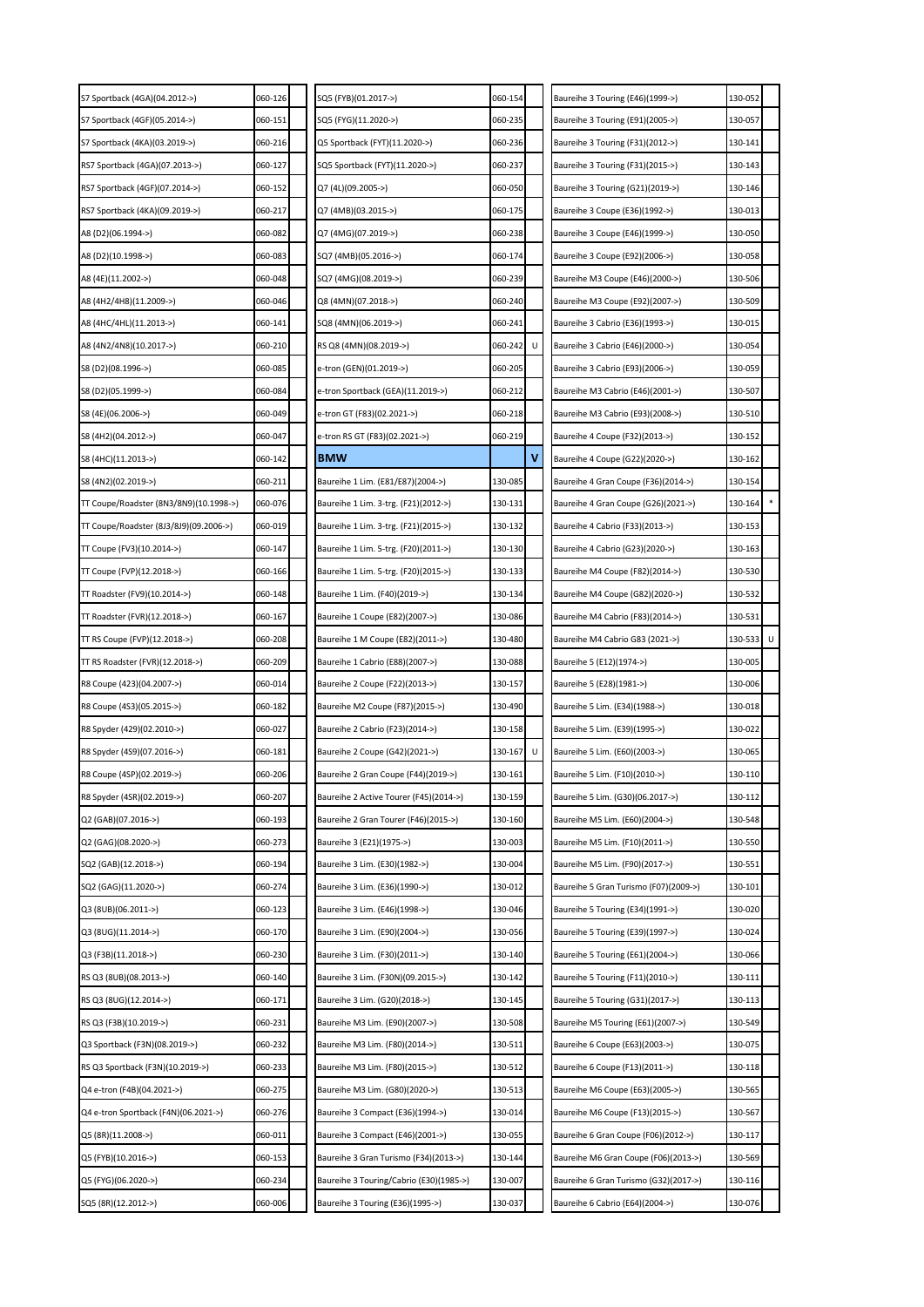| S7 Sportback (4GA)(04.2012->)          | 060-126 | SQ5 (FYB)(01.2017->)                    | 060-154 |   | Baureihe 3 Touring (E46)(1999->)      | 130-052 |   |
|----------------------------------------|---------|-----------------------------------------|---------|---|---------------------------------------|---------|---|
| S7 Sportback (4GF)(05.2014->)          | 060-151 | SQ5 (FYG)(11.2020->)                    | 060-235 |   | Baureihe 3 Touring (E91)(2005->)      | 130-057 |   |
| S7 Sportback (4KA)(03.2019->)          | 060-216 | Q5 Sportback (FYT)(11.2020->)           | 060-236 |   | Baureihe 3 Touring (F31)(2012->)      | 130-141 |   |
| RS7 Sportback (4GA)(07.2013->)         | 060-127 | SQ5 Sportback (FYT)(11.2020->)          | 060-237 |   | Baureihe 3 Touring (F31)(2015->)      | 130-143 |   |
| RS7 Sportback (4GF)(07.2014->)         | 060-152 | Q7 (4L)(09.2005->)                      | 060-050 |   | Baureihe 3 Touring (G21)(2019->)      | 130-146 |   |
| RS7 Sportback (4KA)(09.2019->)         | 060-217 | Q7 (4MB)(03.2015->)                     | 060-175 |   | Baureihe 3 Coupe (E36)(1992->)        | 130-013 |   |
| A8 (D2)(06.1994->)                     | 060-082 | Q7 (4MG)(07.2019->)                     | 060-238 |   | Baureihe 3 Coupe (E46)(1999->)        | 130-050 |   |
| A8 (D2)(10.1998->)                     | 060-083 | SQ7 (4MB)(05.2016->)                    | 060-174 |   | Baureihe 3 Coupe (E92)(2006->)        | 130-058 |   |
| A8 (4E)(11.2002->)                     | 060-048 | SQ7 (4MG)(08.2019->)                    | 060-239 |   | Baureihe M3 Coupe (E46)(2000->)       | 130-506 |   |
| A8 (4H2/4H8)(11.2009->)                | 060-046 | Q8 (4MN)(07.2018->)                     | 060-240 |   | Baureihe M3 Coupe (E92)(2007->)       | 130-509 |   |
| A8 (4HC/4HL)(11.2013->)                | 060-141 | SQ8 (4MN)(06.2019->)                    | 060-241 |   | Baureihe 3 Cabrio (E36)(1993->)       | 130-015 |   |
| A8 (4N2/4N8)(10.2017->)                | 060-210 | RS Q8 (4MN)(08.2019->)                  | 060-242 |   | Baureihe 3 Cabrio (E46)(2000->)       | 130-054 |   |
| S8 (D2)(08.1996->)                     | 060-085 | e-tron (GEN)(01.2019->)                 | 060-205 |   | Baureihe 3 Cabrio (E93)(2006->)       | 130-059 |   |
| S8 (D2)(05.1999->)                     | 060-084 | e-tron Sportback (GEA)(11.2019->)       | 060-212 |   | Baureihe M3 Cabrio (E46)(2001->)      | 130-507 |   |
| S8 (4E)(06.2006->)                     | 060-049 | e-tron GT (F83)(02.2021->)              | 060-218 |   | Baureihe M3 Cabrio (E93)(2008->)      | 130-510 |   |
| S8 (4H2)(04.2012->)                    | 060-047 | e-tron RS GT (F83)(02.2021->)           | 060-219 |   | Baureihe 4 Coupe (F32)(2013->)        | 130-152 |   |
| S8 (4HC)(11.2013->)                    | 060-142 | <b>BMW</b>                              |         | ٧ | Baureihe 4 Coupe (G22)(2020->)        | 130-162 |   |
| S8 (4N2)(02.2019->)                    | 060-211 | Baureihe 1 Lim. (E81/E87)(2004->)       | 130-085 |   | Baureihe 4 Gran Coupe (F36)(2014->)   | 130-154 |   |
| TT Coupe/Roadster (8N3/8N9)(10.1998->) | 060-076 | Baureihe 1 Lim. 3-trg. (F21)(2012->)    | 130-131 |   | Baureihe 4 Gran Coupe (G26)(2021->)   | 130-164 |   |
| TT Coupe/Roadster (8J3/8J9)(09.2006->) | 060-019 | Baureihe 1 Lim. 3-trg. (F21)(2015->)    | 130-132 |   | Baureihe 4 Cabrio (F33)(2013->)       | 130-153 |   |
| TT Coupe (FV3)(10.2014->)              | 060-147 | Baureihe 1 Lim. 5-trg. (F20)(2011->)    | 130-130 |   | Baureihe 4 Cabrio (G23)(2020->)       | 130-163 |   |
| TT Coupe (FVP)(12.2018->)              | 060-166 | Baureihe 1 Lim. 5-trg. (F20)(2015->)    | 130-133 |   | Baureihe M4 Coupe (F82)(2014->)       | 130-530 |   |
| TT Roadster (FV9)(10.2014->)           | 060-148 | Baureihe 1 Lim. (F40)(2019->)           | 130-134 |   | Baureihe M4 Coupe (G82)(2020->)       | 130-532 |   |
| TT Roadster (FVR)(12.2018->)           | 060-167 | Baureihe 1 Coupe (E82)(2007->)          | 130-086 |   | Baureihe M4 Cabrio (F83)(2014->)      | 130-531 |   |
| TT RS Coupe (FVP)(12.2018->)           | 060-208 | Baureihe 1 M Coupe (E82)(2011->)        | 130-480 |   | Baureihe M4 Cabrio G83 (2021->)       | 130-533 | U |
| TT RS Roadster (FVR)(12.2018->)        | 060-209 | Baureihe 1 Cabrio (E88)(2007->)         | 130-088 |   | Baureihe 5 (E12)(1974->)              | 130-005 |   |
| R8 Coupe (423)(04.2007->)              | 060-014 | Baureihe 2 Coupe (F22)(2013->)          | 130-157 |   | Baureihe 5 (E28)(1981->)              | 130-006 |   |
| R8 Coupe (4S3)(05.2015->)              | 060-182 | Baureihe M2 Coupe (F87)(2015->)         | 130-490 |   | Baureihe 5 Lim. (E34)(1988->)         | 130-018 |   |
| R8 Spyder (429)(02.2010->)             | 060-027 | Baureihe 2 Cabrio (F23)(2014->)         | 130-158 |   | Baureihe 5 Lim. (E39)(1995->)         | 130-022 |   |
| R8 Spyder (4S9)(07.2016->)             | 060-181 | Baureihe 2 Coupe (G42)(2021->)          | 130-167 | U | Baureihe 5 Lim. (E60)(2003->)         | 130-065 |   |
| R8 Coupe (4SP)(02.2019->)              | 060-206 | Baureihe 2 Gran Coupe (F44)(2019->)     | 130-161 |   | Baureihe 5 Lim. (F10)(2010->)         | 130-110 |   |
| R8 Spyder (4SR)(02.2019->)             | 060-207 | Baureihe 2 Active Tourer (F45)(2014->)  | 130-159 |   | Baureihe 5 Lim. (G30)(06.2017->)      | 130-112 |   |
| Q2 (GAB)(07.2016->)                    | 060-193 | Baureihe 2 Gran Tourer (F46)(2015->)    | 130-160 |   | Baureihe M5 Lim. (E60)(2004->)        | 130-548 |   |
| Q2 (GAG)(08.2020->)                    | 060-273 | Baureihe 3 (E21)(1975->)                | 130-003 |   | Baureihe M5 Lim. (F10)(2011->)        | 130-550 |   |
| SQ2 (GAB)(12.2018->)                   | 060-194 | Baureihe 3 Lim. (E30)(1982->)           | 130-004 |   | Baureihe M5 Lim. (F90)(2017->)        | 130-551 |   |
| SQ2 (GAG)(11.2020->)                   | 060-274 | Baureihe 3 Lim. (E36)(1990->)           | 130-012 |   | Baureihe 5 Gran Turismo (F07)(2009->) | 130-101 |   |
| Q3 (8UB)(06.2011->)                    | 060-123 | Baureihe 3 Lim. (E46)(1998->)           | 130-046 |   | Baureihe 5 Touring (E34)(1991->)      | 130-020 |   |
| Q3 (8UG)(11.2014->)                    | 060-170 | Baureihe 3 Lim. (E90)(2004->)           | 130-056 |   | Baureihe 5 Touring (E39)(1997->)      | 130-024 |   |
| Q3 (F3B)(11.2018->)                    | 060-230 | Baureihe 3 Lim. (F30)(2011->)           | 130-140 |   | Baureihe 5 Touring (E61)(2004->)      | 130-066 |   |
| RS Q3 (8UB)(08.2013->)                 | 060-140 | Baureihe 3 Lim. (F30N)(09.2015->)       | 130-142 |   | Baureihe 5 Touring (F11)(2010->)      | 130-111 |   |
| RS Q3 (8UG)(12.2014->)                 | 060-171 | Baureihe 3 Lim. (G20)(2018->)           | 130-145 |   | Baureihe 5 Touring (G31)(2017->)      | 130-113 |   |
| RS Q3 (F3B)(10.2019->)                 | 060-231 | Baureihe M3 Lim. (E90)(2007->)          | 130-508 |   | Baureihe M5 Touring (E61)(2007->)     | 130-549 |   |
| Q3 Sportback (F3N)(08.2019->)          | 060-232 | Baureihe M3 Lim. (F80)(2014->)          | 130-511 |   | Baureihe 6 Coupe (E63)(2003->)        | 130-075 |   |
| RS Q3 Sportback (F3N)(10.2019->)       | 060-233 | Baureihe M3 Lim. (F80)(2015->)          | 130-512 |   | Baureihe 6 Coupe (F13)(2011->)        | 130-118 |   |
| Q4 e-tron (F4B)(04.2021->)             | 060-275 | Baureihe M3 Lim. (G80)(2020->)          | 130-513 |   | Baureihe M6 Coupe (E63)(2005->)       | 130-565 |   |
| Q4 e-tron Sportback (F4N)(06.2021->)   | 060-276 | Baureihe 3 Compact (E36)(1994->)        | 130-014 |   | Baureihe M6 Coupe (F13)(2015->)       | 130-567 |   |
| Q5 (8R)(11.2008->)                     | 060-011 | Baureihe 3 Compact (E46)(2001->)        | 130-055 |   | Baureihe 6 Gran Coupe (F06)(2012->)   | 130-117 |   |
| Q5 (FYB)(10.2016->)                    | 060-153 | Baureihe 3 Gran Turismo (F34)(2013->)   | 130-144 |   | Baureihe M6 Gran Coupe (F06)(2013->)  | 130-569 |   |
| Q5 (FYG)(06.2020->)                    | 060-234 | Baureihe 3 Touring/Cabrio (E30)(1985->) | 130-007 |   | Baureihe 6 Gran Turismo (G32)(2017->) | 130-116 |   |
| SQ5 (8R)(12.2012->)                    | 060-006 | Baureihe 3 Touring (E36)(1995->)        | 130-037 |   | Baureihe 6 Cabrio (E64)(2004->)       | 130-076 |   |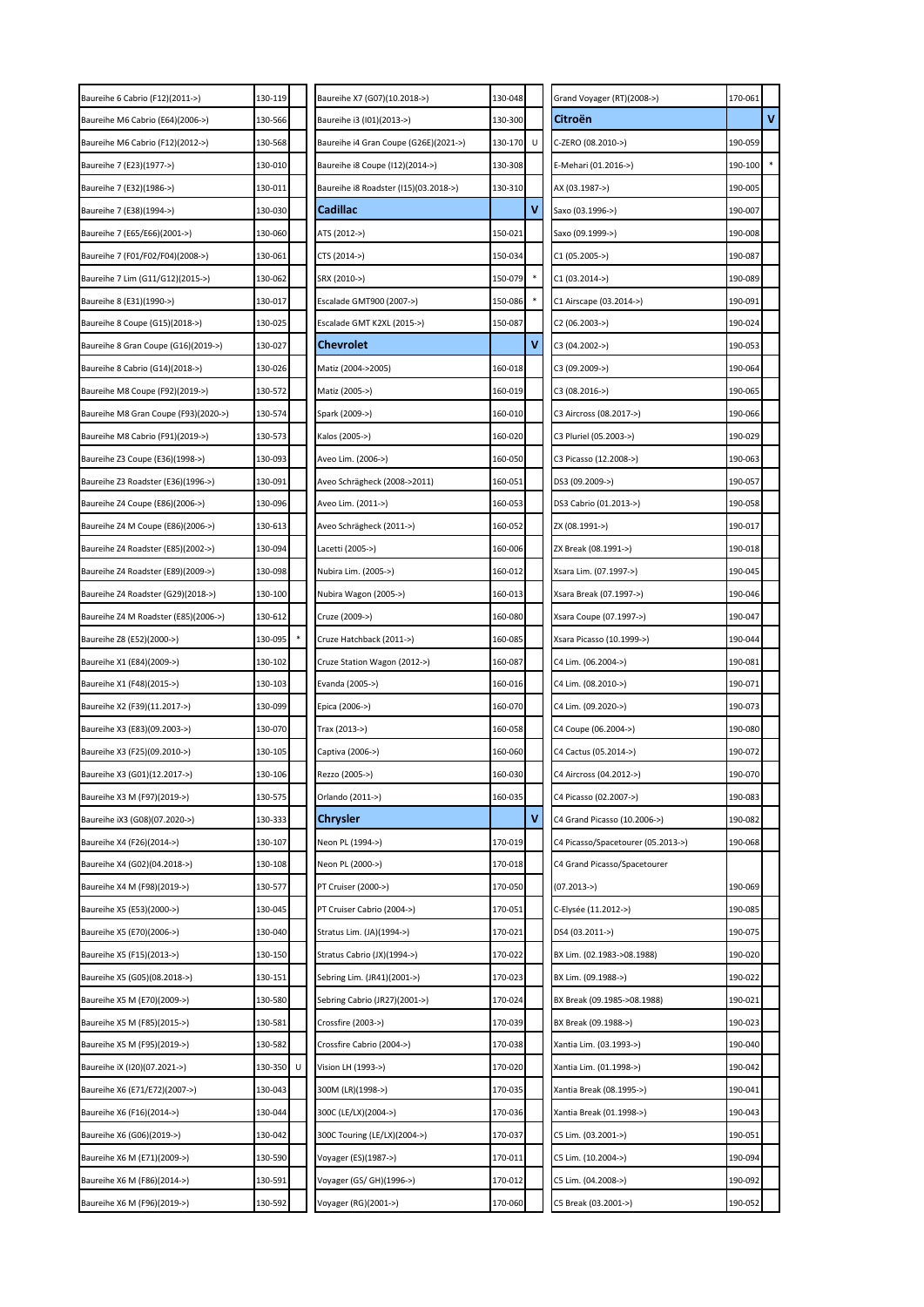| Baureihe 6 Cabrio (F12)(2011->)      | 130-119      | Baureihe X7 (G07)(10.2018->)          | 130-048 |   | Grand Voyager (RT)(2008->)         | 170-061 |        |
|--------------------------------------|--------------|---------------------------------------|---------|---|------------------------------------|---------|--------|
| Baureihe M6 Cabrio (E64)(2006->)     | 130-566      | Baureihe i3 (I01)(2013->)             | 130-300 |   | Citroën                            |         | v      |
| Baureihe M6 Cabrio (F12)(2012->)     | 130-568      | Baureihe i4 Gran Coupe (G26E)(2021->) | 130-170 | U | C-ZERO (08.2010->)                 | 190-059 |        |
| Baureihe 7 (E23)(1977->)             | 130-010      | Baureihe i8 Coupe (112)(2014->)       | 130-308 |   | E-Mehari (01.2016->)               | 190-100 | $\ast$ |
| Baureihe 7 (E32)(1986->)             | 130-011      | Baureihe i8 Roadster (I15)(03.2018->) | 130-310 |   | AX (03.1987->)                     | 190-005 |        |
| Baureihe 7 (E38)(1994->)             | 130-030      | Cadillac                              |         | ٧ | Saxo (03.1996->)                   | 190-007 |        |
| Baureihe 7 (E65/E66)(2001->)         | 130-060      | ATS (2012->)                          | 150-021 |   | Saxo (09.1999->)                   | 190-008 |        |
| Baureihe 7 (F01/F02/F04)(2008->)     | 130-061      | CTS (2014->)                          | 150-034 |   | C1 (05.2005->)                     | 190-087 |        |
| Baureihe 7 Lim (G11/G12)(2015->)     | 130-062      | SRX (2010->)                          | 150-079 |   | $C1 (03.2014-)$                    | 190-089 |        |
| Baureihe 8 (E31)(1990->)             | 130-017      | Escalade GMT900 (2007->)              | 150-086 |   | C1 Airscape (03.2014->)            | 190-091 |        |
| Baureihe 8 Coupe (G15)(2018->)       | 130-025      | Escalade GMT K2XL (2015->)            | 150-087 |   | C2 (06.2003->)                     | 190-024 |        |
| Baureihe 8 Gran Coupe (G16)(2019->)  | 130-027      | <b>Chevrolet</b>                      |         | ٧ | C3 (04.2002->)                     | 190-053 |        |
| Baureihe 8 Cabrio (G14)(2018->)      | 130-026      | Matiz (2004->2005)                    | 160-018 |   | C3 (09.2009->)                     | 190-064 |        |
| Baureihe M8 Coupe (F92)(2019->)      | 130-572      | Matiz (2005->)                        | 160-019 |   | C3 (08.2016->)                     | 190-065 |        |
| Baureihe M8 Gran Coupe (F93)(2020->) | 130-574      | Spark (2009->)                        | 160-010 |   | C3 Aircross (08.2017->)            | 190-066 |        |
| Baureihe M8 Cabrio (F91)(2019->)     | 130-573      | Kalos (2005->)                        | 160-020 |   | C3 Pluriel (05.2003->)             | 190-029 |        |
| Baureihe Z3 Coupe (E36)(1998->)      | 130-093      | Aveo Lim. (2006->)                    | 160-050 |   | C3 Picasso (12.2008->)             | 190-063 |        |
| Baureihe Z3 Roadster (E36)(1996->)   | 130-091      | Aveo Schrägheck (2008->2011)          | 160-051 |   | DS3 (09.2009->)                    | 190-057 |        |
| Baureihe Z4 Coupe (E86)(2006->)      | 130-096      | Aveo Lim. (2011->)                    | 160-053 |   | DS3 Cabrio (01.2013->)             | 190-058 |        |
| Baureihe Z4 M Coupe (E86)(2006->)    | 130-613      | Aveo Schrägheck (2011->)              | 160-052 |   | ZX (08.1991->)                     | 190-017 |        |
| Baureihe Z4 Roadster (E85)(2002->)   | 130-094      | Lacetti (2005->)                      | 160-006 |   | ZX Break (08.1991->)               | 190-018 |        |
| Baureihe Z4 Roadster (E89)(2009->)   | 130-098      | Nubira Lim. (2005->)                  | 160-012 |   | Xsara Lim. (07.1997->)             | 190-045 |        |
| Baureihe Z4 Roadster (G29)(2018->)   | 130-100      | Nubira Wagon (2005->)                 | 160-013 |   | Xsara Break (07.1997->)            | 190-046 |        |
| Baureihe Z4 M Roadster (E85)(2006->) | 130-612      | Cruze (2009->)                        | 160-080 |   | Xsara Coupe (07.1997->)            | 190-047 |        |
| Baureihe Z8 (E52)(2000->)            | 130-095      | Cruze Hatchback (2011->)              | 160-085 |   | Xsara Picasso (10.1999->)          | 190-044 |        |
| Baureihe X1 (E84)(2009->)            | 130-102      | Cruze Station Wagon (2012->)          | 160-087 |   | C4 Lim. (06.2004->)                | 190-081 |        |
| Baureihe X1 (F48)(2015->)            | 130-103      | Evanda (2005->)                       | 160-016 |   | C4 Lim. (08.2010->)                | 190-071 |        |
| Baureihe X2 (F39)(11.2017->)         | 130-099      | Epica (2006->)                        | 160-070 |   | C4 Lim. (09.2020->)                | 190-073 |        |
| Baureihe X3 (E83)(09.2003->)         | 130-070      | Trax (2013->)                         | 160-058 |   | C4 Coupe (06.2004->)               | 190-080 |        |
| Baureihe X3 (F25)(09.2010->)         | 130-105      | Captiva (2006->)                      | 160-060 |   | C4 Cactus (05.2014->)              | 190-072 |        |
| Baureihe X3 (G01)(12.2017->)         | 130-106      | Rezzo (2005->)                        | 160-030 |   | C4 Aircross (04.2012->)            | 190-070 |        |
| Baureihe X3 M (F97)(2019->)          | 130-575      | Orlando (2011->)                      | 160-035 |   | C4 Picasso (02.2007->)             | 190-083 |        |
| Baureihe iX3 (G08)(07.2020->)        | 130-333      | Chrysler                              |         | ۷ | C4 Grand Picasso (10.2006->)       | 190-082 |        |
| Baureihe X4 (F26)(2014->)            | 130-107      | Neon PL (1994->)                      | 170-019 |   | C4 Picasso/Spacetourer (05.2013->) | 190-068 |        |
| Baureihe X4 (G02)(04.2018->)         | 130-108      | Neon PL (2000->)                      | 170-018 |   | C4 Grand Picasso/Spacetourer       |         |        |
| Baureihe X4 M (F98)(2019->)          | 130-577      | PT Cruiser (2000->)                   | 170-050 |   | $(07.2013 -)$                      | 190-069 |        |
| Baureihe X5 (E53)(2000->)            | 130-045      | PT Cruiser Cabrio (2004->)            | 170-051 |   | C-Elysée (11.2012->)               | 190-085 |        |
| Baureihe X5 (E70)(2006->)            | 130-040      | Stratus Lim. (JA)(1994->)             | 170-021 |   | DS4 (03.2011->)                    | 190-075 |        |
| Baureihe X5 (F15)(2013->)            | 130-150      | Stratus Cabrio (JX)(1994->)           | 170-022 |   | BX Lim. (02.1983->08.1988)         | 190-020 |        |
| Baureihe X5 (G05)(08.2018->)         | 130-151      | Sebring Lim. (JR41)(2001->)           | 170-023 |   | BX Lim. (09.1988->)                | 190-022 |        |
| Baureihe X5 M (E70)(2009->)          | 130-580      | Sebring Cabrio (JR27)(2001->)         | 170-024 |   | BX Break (09.1985->08.1988)        | 190-021 |        |
| Baureihe X5 M (F85)(2015->)          | 130-581      | Crossfire (2003->)                    | 170-039 |   | BX Break (09.1988->)               | 190-023 |        |
| Baureihe X5 M (F95)(2019->)          | 130-582      | Crossfire Cabrio (2004->)             | 170-038 |   | Xantia Lim. (03.1993->)            | 190-040 |        |
| Baureihe iX (I20)(07.2021->)         | 130-350<br>U | Vision LH (1993->)                    | 170-020 |   | Xantia Lim. (01.1998->)            | 190-042 |        |
| Baureihe X6 (E71/E72)(2007->)        | 130-043      | 300M (LR)(1998->)                     | 170-035 |   | Xantia Break (08.1995->)           | 190-041 |        |
| Baureihe X6 (F16)(2014->)            | 130-044      | 300C (LE/LX)(2004->)                  | 170-036 |   | Xantia Break (01.1998->)           | 190-043 |        |
| Baureihe X6 (G06)(2019->)            | 130-042      | 300C Touring (LE/LX)(2004->)          | 170-037 |   | C5 Lim. (03.2001->)                | 190-051 |        |
| Baureihe X6 M (E71)(2009->)          | 130-590      | Voyager (ES)(1987->)                  | 170-011 |   | C5 Lim. (10.2004->)                | 190-094 |        |
| Baureihe X6 M (F86)(2014->)          | 130-591      | Voyager (GS/ GH)(1996->)              | 170-012 |   | C5 Lim. (04.2008->)                | 190-092 |        |
| Baureihe X6 M (F96)(2019->)          | 130-592      | Voyager (RG)(2001->)                  | 170-060 |   | C5 Break (03.2001->)               | 190-052 |        |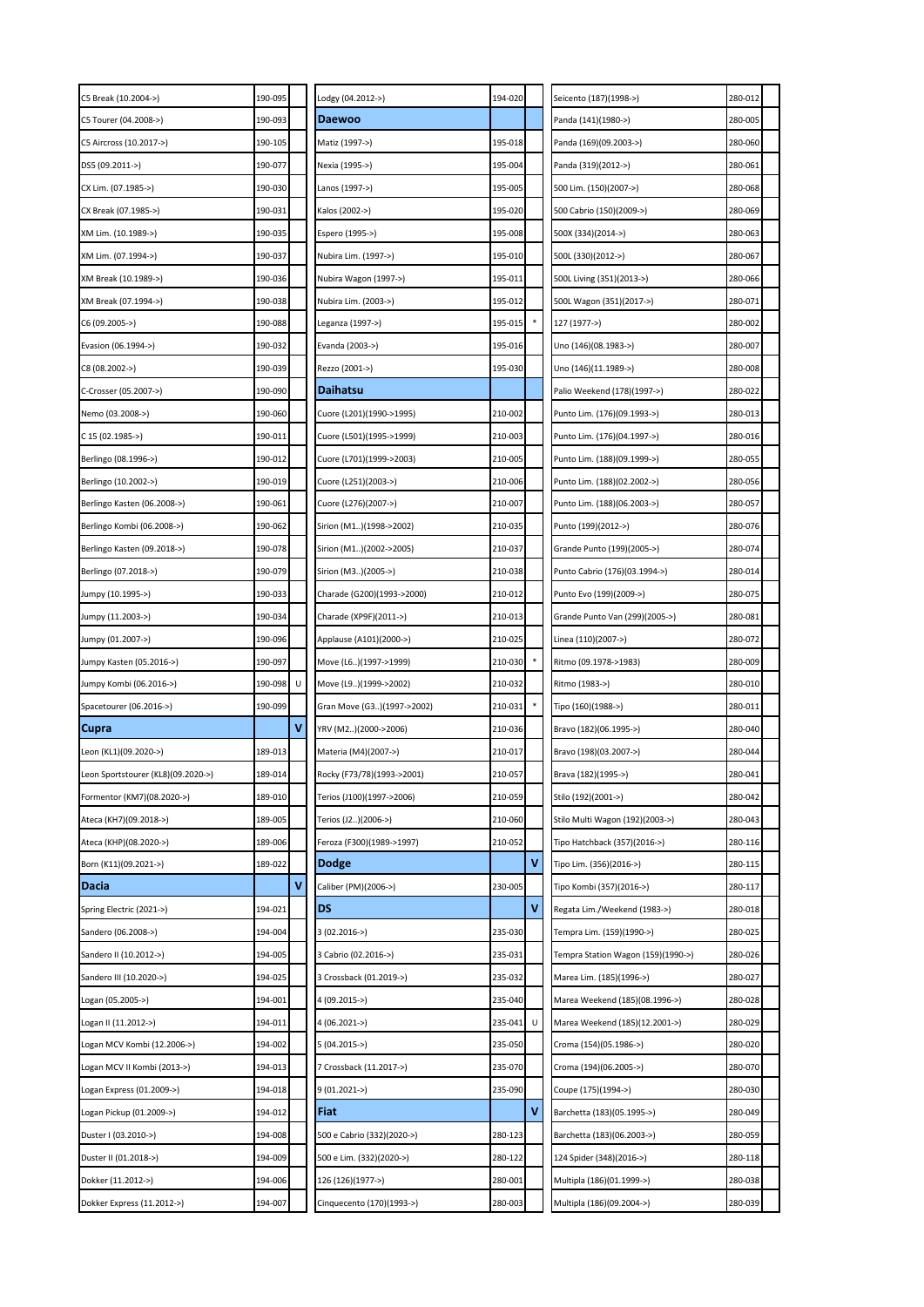| 190-095<br>C5 Break (10.2004->)               |   | Lodgy (04.2012->)          | 194-020 |   | Seicento (187)(1998->)             | 280-012 |  |
|-----------------------------------------------|---|----------------------------|---------|---|------------------------------------|---------|--|
| 190-093<br>C5 Tourer (04.2008->)              |   | Daewoo                     |         |   | Panda (141)(1980->)                | 280-005 |  |
| C5 Aircross (10.2017->)<br>190-105            |   | Matiz (1997->)             | 195-018 |   | Panda (169)(09.2003->)             | 280-060 |  |
| DS5 (09.2011->)<br>190-077                    |   | Nexia (1995->)             | 195-004 |   | Panda (319)(2012->)                | 280-061 |  |
| CX Lim. (07.1985->)<br>190-030                |   | Lanos (1997->)             | 195-005 |   | 500 Lim. (150)(2007->)             | 280-068 |  |
| CX Break (07.1985->)<br>190-031               |   | Kalos (2002->)             | 195-020 |   | 500 Cabrio (150)(2009->)           | 280-069 |  |
| XM Lim. (10.1989->)<br>190-035                |   | Espero (1995->)            | 195-008 |   | 500X (334)(2014->)                 | 280-063 |  |
| 190-037<br>XM Lim. (07.1994->)                |   | Nubira Lim. (1997->)       | 195-010 |   | 500L (330)(2012->)                 | 280-067 |  |
| XM Break (10.1989->)<br>190-036               |   | Nubira Wagon (1997->)      | 195-011 |   | 500L Living (351)(2013->)          | 280-066 |  |
| 190-038<br>XM Break (07.1994->)               |   | Nubira Lim. (2003->)       | 195-012 |   | 500L Wagon (351)(2017->)           | 280-071 |  |
| C6 (09.2005->)<br>190-088                     |   | Leganza (1997->)           | 195-015 |   | 127 (1977->)                       | 280-002 |  |
| 190-032<br>Evasion (06.1994->)                |   | Evanda (2003->)            | 195-016 |   | Uno (146)(08.1983->)               | 280-007 |  |
| C8 (08.2002->)<br>190-039                     |   | Rezzo (2001->)             | 195-030 |   | Uno (146)(11.1989->)               | 280-008 |  |
| C-Crosser (05.2007->)<br>190-090              |   | Daihatsu                   |         |   | Palio Weekend (178)(1997->)        | 280-022 |  |
| 190-060<br>Nemo (03.2008->)                   |   | Cuore (L201)(1990->1995)   | 210-002 |   | Punto Lim. (176)(09.1993->)        | 280-013 |  |
| C 15 (02.1985->)<br>190-011                   |   | Cuore (L501)(1995->1999)   | 210-003 |   | Punto Lim. (176)(04.1997->)        | 280-016 |  |
| 190-012<br>Berlingo (08.1996->)               |   | Cuore (L701)(1999->2003)   | 210-005 |   | Punto Lim. (188)(09.1999->)        | 280-055 |  |
| Berlingo (10.2002->)<br>190-019               |   | Cuore (L251)(2003->)       | 210-006 |   | Punto Lim. (188)(02.2002->)        | 280-056 |  |
| Berlingo Kasten (06.2008->)<br>190-061        |   | Cuore (L276)(2007->)       | 210-007 |   | Punto Lim. (188)(06.2003->)        | 280-057 |  |
| 190-062<br>Berlingo Kombi (06.2008->)         |   | Sirion (M1)(1998->2002)    | 210-035 |   | Punto (199)(2012->)                | 280-076 |  |
| 190-078<br>Berlingo Kasten (09.2018->)        |   | Sirion (M1)(2002->2005)    | 210-037 |   | Grande Punto (199)(2005->)         | 280-074 |  |
| 190-079<br>Berlingo (07.2018->)               |   | Sirion (M3)(2005->)        | 210-038 |   | Punto Cabrio (176)(03.1994->)      | 280-014 |  |
| 190-033<br>Jumpy (10.1995->)                  |   | Charade (G200)(1993->2000) | 210-012 |   | Punto Evo (199)(2009->)            | 280-075 |  |
| 190-034<br>Jumpy (11.2003->)                  |   | Charade (XP9F)(2011->)     | 210-013 |   | Grande Punto Van (299)(2005->)     | 280-081 |  |
| 190-096<br>Jumpy (01.2007->)                  |   | Applause (A101)(2000->)    | 210-025 |   | Linea (110)(2007->)                | 280-072 |  |
| Jumpy Kasten (05.2016->)<br>190-097           |   | Move (L6)(1997->1999)      | 210-030 |   | Ritmo (09.1978->1983)              | 280-009 |  |
| 190-098<br>Jumpy Kombi (06.2016->)            | U | Move (L9)(1999->2002)      | 210-032 |   | Ritmo (1983->)                     | 280-010 |  |
| Spacetourer (06.2016->)<br>190-099            |   | Gran Move (G3)(1997->2002) | 210-031 |   | Tipo (160)(1988->)                 | 280-011 |  |
| <b>Cupra</b>                                  | ٧ | YRV (M2)(2000->2006)       | 210-036 |   | Bravo (182)(06.1995->)             | 280-040 |  |
| Leon (KL1)(09.2020->)<br>189-013              |   | Materia (M4)(2007->)       | 210-017 |   | Bravo (198)(03.2007->)             | 280-044 |  |
| Leon Sportstourer (KL8)(09.2020->)<br>189-014 |   | Rocky (F73/78)(1993->2001) | 210-057 |   | Brava (182)(1995->)                | 280-041 |  |
| 189-010<br>Formentor (KM7)(08.2020->)         |   | Terios (J100)(1997->2006)  | 210-059 |   | Stilo (192)(2001->)                | 280-042 |  |
| 189-005<br>Ateca (KH7)(09.2018->)             |   | Terios (J2)(2006->)        | 210-060 |   | Stilo Multi Wagon (192)(2003->)    | 280-043 |  |
| Ateca (KHP)(08.2020->)<br>189-006             |   | Feroza (F300)(1989->1997)  | 210-052 |   | Tipo Hatchback (357)(2016->)       | 280-116 |  |
| 189-022<br>Born (K11)(09.2021->)              |   | Dodge                      |         | ۷ | Tipo Lim. (356)(2016->)            | 280-115 |  |
| Dacia                                         | V | Caliber (PM)(2006->)       | 230-005 |   | Tipo Kombi (357)(2016->)           | 280-117 |  |
| 194-021<br>Spring Electric (2021->)           |   | DS                         |         | ٧ | Regata Lim./Weekend (1983->)       | 280-018 |  |
| 194-004<br>Sandero (06.2008->)                |   | $3(02.2016-)$              | 235-030 |   | Tempra Lim. (159)(1990->)          | 280-025 |  |
| Sandero II (10.2012->)<br>194-005             |   | 3 Cabrio (02.2016->)       | 235-031 |   | Tempra Station Wagon (159)(1990->) | 280-026 |  |
| 194-025<br>Sandero III (10.2020->)            |   | 3 Crossback (01.2019->)    | 235-032 |   | Marea Lim. (185)(1996->)           | 280-027 |  |
| Logan (05.2005->)<br>194-001                  |   | 4 (09.2015->)              | 235-040 |   | Marea Weekend (185)(08.1996->)     | 280-028 |  |
| Logan II (11.2012->)<br>194-011               |   | 4 (06.2021->)              | 235-041 | U | Marea Weekend (185)(12.2001->)     | 280-029 |  |
| Logan MCV Kombi (12.2006->)<br>194-002        |   | 5 (04.2015->)              | 235-050 |   | Croma (154)(05.1986->)             | 280-020 |  |
| Logan MCV II Kombi (2013->)<br>194-013        |   | 7 Crossback (11.2017->)    | 235-070 |   | Croma (194)(06.2005->)             | 280-070 |  |
| Logan Express (01.2009->)<br>194-018          |   | $9(01.2021 - )$            | 235-090 |   | Coupe (175)(1994->)                | 280-030 |  |
|                                               |   |                            |         |   |                                    |         |  |
| Logan Pickup (01.2009->)<br>194-012           |   | <b>Fiat</b>                |         | ۷ | Barchetta (183)(05.1995->)         | 280-049 |  |
| 194-008<br>Duster I (03.2010->)               |   | 500 e Cabrio (332)(2020->) | 280-123 |   | Barchetta (183)(06.2003->)         | 280-059 |  |
| Duster II (01.2018->)<br>194-009              |   | 500 e Lim. (332)(2020->)   | 280-122 |   | 124 Spider (348)(2016->)           | 280-118 |  |
| Dokker (11.2012->)<br>194-006                 |   | 126 (126)(1977->)          | 280-001 |   | Multipla (186)(01.1999->)          | 280-038 |  |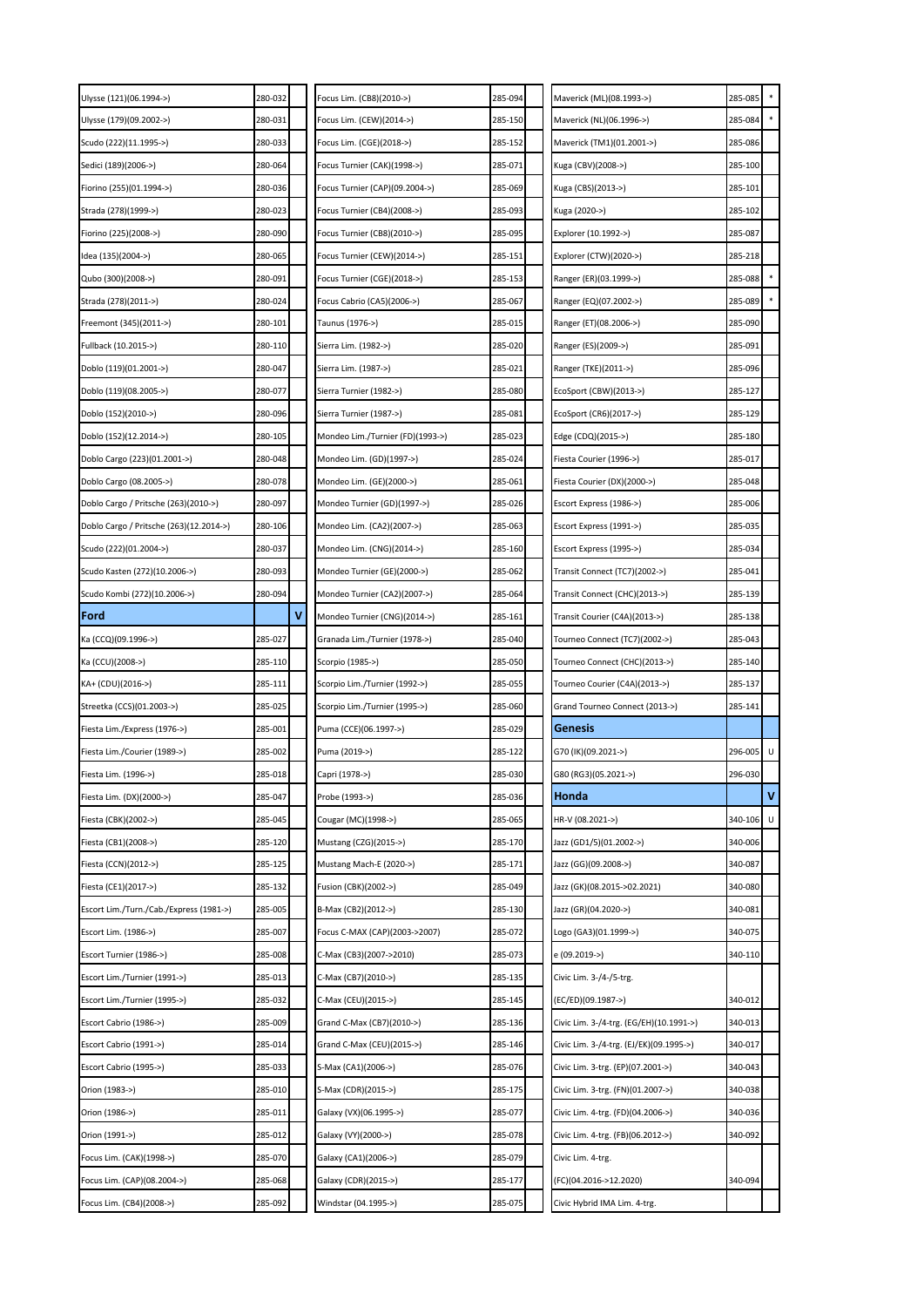| Ulysse (121)(06.1994->)                 | 280-032 | Focus Lim. (CB8)(2010->)         | 285-094 | Maverick (ML)(08.1993->)                | 285-085   |   |
|-----------------------------------------|---------|----------------------------------|---------|-----------------------------------------|-----------|---|
| Ulysse (179)(09.2002->)                 | 280-031 | Focus Lim. (CEW)(2014->)         | 285-150 | Maverick (NL)(06.1996->)                | 285-084   |   |
| Scudo (222)(11.1995->)                  | 280-033 | Focus Lim. (CGE)(2018->)         | 285-152 | Maverick (TM1)(01.2001->)               | 285-086   |   |
| Sedici (189)(2006->)                    | 280-064 | Focus Turnier (CAK)(1998->)      | 285-071 | Kuga (CBV)(2008->)                      | 285-100   |   |
| Fiorino (255)(01.1994->)                | 280-036 | Focus Turnier (CAP)(09.2004->)   | 285-069 | Kuga (CBS)(2013->)                      | 285-101   |   |
| Strada (278)(1999->)                    | 280-023 | Focus Turnier (CB4)(2008->)      | 285-093 | Kuga (2020->)                           | 285-102   |   |
| Fiorino (225)(2008->)                   | 280-090 | Focus Turnier (CB8)(2010->)      | 285-095 | Explorer (10.1992->)                    | 285-087   |   |
| Idea (135)(2004->)                      | 280-065 | Focus Turnier (CEW)(2014->)      | 285-151 | Explorer (CTW)(2020->)                  | 285-218   |   |
| Qubo (300)(2008->)                      | 280-091 | Focus Turnier (CGE)(2018->)      | 285-153 | Ranger (ER)(03.1999->)                  | 285-088   |   |
| Strada (278)(2011->)                    | 280-024 | Focus Cabrio (CA5)(2006->)       | 285-067 | Ranger (EQ)(07.2002->)                  | 285-089   |   |
| Freemont (345)(2011->)                  | 280-101 | Taunus (1976->)                  | 285-015 | Ranger (ET)(08.2006->)                  | 285-090   |   |
| Fullback (10.2015->)                    | 280-110 | Sierra Lim. (1982->)             | 285-020 | Ranger (ES)(2009->)                     | 285-091   |   |
| Doblo (119)(01.2001->)                  | 280-047 | Sierra Lim. (1987->)             | 285-021 | Ranger (TKE)(2011->)                    | 285-096   |   |
| Doblo (119)(08.2005->)                  | 280-077 | Sierra Turnier (1982->)          | 285-080 | EcoSport (CBW)(2013->)                  | 285-127   |   |
| Doblo (152)(2010->)                     | 280-096 | Sierra Turnier (1987->)          | 285-081 | EcoSport (CR6)(2017->)                  | 285-129   |   |
| Doblo (152)(12.2014->)                  | 280-105 | Mondeo Lim./Turnier (FD)(1993->) | 285-023 | Edge (CDQ)(2015->)                      | 285-180   |   |
| Doblo Cargo (223)(01.2001->)            | 280-048 | Mondeo Lim. (GD)(1997->)         | 285-024 | Fiesta Courier (1996->)                 | 285-017   |   |
| Doblo Cargo (08.2005->)                 | 280-078 | Mondeo Lim. (GE)(2000->)         | 285-061 | Fiesta Courier (DX)(2000->)             | 285-048   |   |
| Doblo Cargo / Pritsche (263)(2010->)    | 280-097 | Mondeo Turnier (GD)(1997->)      | 285-026 | Escort Express (1986->)                 | 285-006   |   |
| Doblo Cargo / Pritsche (263)(12.2014->) | 280-106 | Mondeo Lim. (CA2)(2007->)        | 285-063 | Escort Express (1991->)                 | 285-035   |   |
| Scudo (222)(01.2004->)                  | 280-037 | Mondeo Lim. (CNG)(2014->)        | 285-160 | Escort Express (1995->)                 | 285-034   |   |
| Scudo Kasten (272)(10.2006->)           | 280-093 | Mondeo Turnier (GE)(2000->)      | 285-062 | Transit Connect (TC7)(2002->)           | 285-041   |   |
| Scudo Kombi (272)(10.2006->)            | 280-094 | Mondeo Turnier (CA2)(2007->)     | 285-064 | Transit Connect (CHC)(2013->)           | 285-139   |   |
| Ford                                    | v       | Mondeo Turnier (CNG)(2014->)     | 285-161 | Transit Courier (C4A)(2013->)           | 285-138   |   |
| Ka (CCQ)(09.1996->)                     | 285-027 | Granada Lim./Turnier (1978->)    | 285-040 | Tourneo Connect (TC7)(2002->)           | 285-043   |   |
|                                         |         |                                  |         |                                         |           |   |
| Ka (CCU)(2008->)                        | 285-110 | Scorpio (1985->)                 | 285-050 | Tourneo Connect (CHC)(2013->)           | 285-140   |   |
| KA+ (CDU)(2016->)                       | 285-111 | Scorpio Lim./Turnier (1992->)    | 285-055 | Tourneo Courier (C4A)(2013->)           | 285-137   |   |
| Streetka (CCS)(01.2003->)               | 285-025 | Scorpio Lim./Turnier (1995->)    | 285-060 | Grand Tourneo Connect (2013->)          | 285-141   |   |
| Fiesta Lim./Express (1976->)            | 285-001 | Puma (CCE)(06.1997->)            | 285-029 | Genesis                                 |           |   |
| Fiesta Lim./Courier (1989->)            | 285-002 | Puma (2019->)                    | 285-122 | G70 (IK)(09.2021->)                     | 296-005 U |   |
| Fiesta Lim. (1996->)                    | 285-018 | Capri (1978->)                   | 285-030 | G80 (RG3)(05.2021->)                    | 296-030   |   |
| Fiesta Lim. (DX)(2000->)                | 285-047 | Probe (1993->)                   | 285-036 | Honda                                   |           | V |
| Fiesta (CBK)(2002->)                    | 285-045 | Cougar (MC)(1998->)              | 285-065 | HR-V (08.2021->)                        | 340-106   | U |
| Fiesta (CB1)(2008->)                    | 285-120 | Mustang (CZG)(2015->)            | 285-170 | Jazz (GD1/5)(01.2002->)                 | 340-006   |   |
| Fiesta (CCN)(2012->)                    | 285-125 | Mustang Mach-E (2020->)          | 285-171 | Jazz (GG)(09.2008->)                    | 340-087   |   |
| Fiesta (CE1)(2017->)                    | 285-132 | Fusion (CBK)(2002->)             | 285-049 | Jazz (GK)(08.2015->02.2021)             | 340-080   |   |
| Escort Lim./Turn./Cab./Express (1981->) | 285-005 | B-Max (CB2)(2012->)              | 285-130 | Jazz (GR)(04.2020->)                    | 340-081   |   |
| Escort Lim. (1986->)                    | 285-007 | Focus C-MAX (CAP)(2003->2007)    | 285-072 | Logo (GA3)(01.1999->)                   | 340-075   |   |
| Escort Turnier (1986->)                 | 285-008 | C-Max (CB3)(2007->2010)          | 285-073 | e (09.2019->)                           | 340-110   |   |
| Escort Lim./Turnier (1991->)            | 285-013 | C-Max (CB7)(2010->)              | 285-135 | Civic Lim. 3-/4-/5-trg.                 |           |   |
| Escort Lim./Turnier (1995->)            | 285-032 | C-Max (CEU)(2015->)              | 285-145 | (EC/ED)(09.1987->)                      | 340-012   |   |
| Escort Cabrio (1986->)                  | 285-009 | Grand C-Max (CB7)(2010->)        | 285-136 | Civic Lim. 3-/4-trg. (EG/EH)(10.1991->) | 340-013   |   |
| Escort Cabrio (1991->)                  | 285-014 | Grand C-Max (CEU)(2015->)        | 285-146 | Civic Lim. 3-/4-trg. (EJ/EK)(09.1995->) | 340-017   |   |
| Escort Cabrio (1995->)                  | 285-033 | S-Max (CA1)(2006->)              | 285-076 | Civic Lim. 3-trg. (EP)(07.2001->)       | 340-043   |   |
| Orion (1983->)                          | 285-010 | S-Max (CDR)(2015->)              | 285-175 | Civic Lim. 3-trg. (FN)(01.2007->)       | 340-038   |   |
| Orion (1986->)                          | 285-011 | Galaxy (VX)(06.1995->)           | 285-077 | Civic Lim. 4-trg. (FD)(04.2006->)       | 340-036   |   |
| Orion (1991->)                          | 285-012 | Galaxy (VY)(2000->)              | 285-078 | Civic Lim. 4-trg. (FB)(06.2012->)       | 340-092   |   |
| Focus Lim. (CAK)(1998->)                | 285-070 | Galaxy (CA1)(2006->)             | 285-079 | Civic Lim. 4-trg.                       |           |   |
| Focus Lim. (CAP)(08.2004->)             | 285-068 | Galaxy (CDR)(2015->)             | 285-177 | (FC)(04.2016->12.2020)                  | 340-094   |   |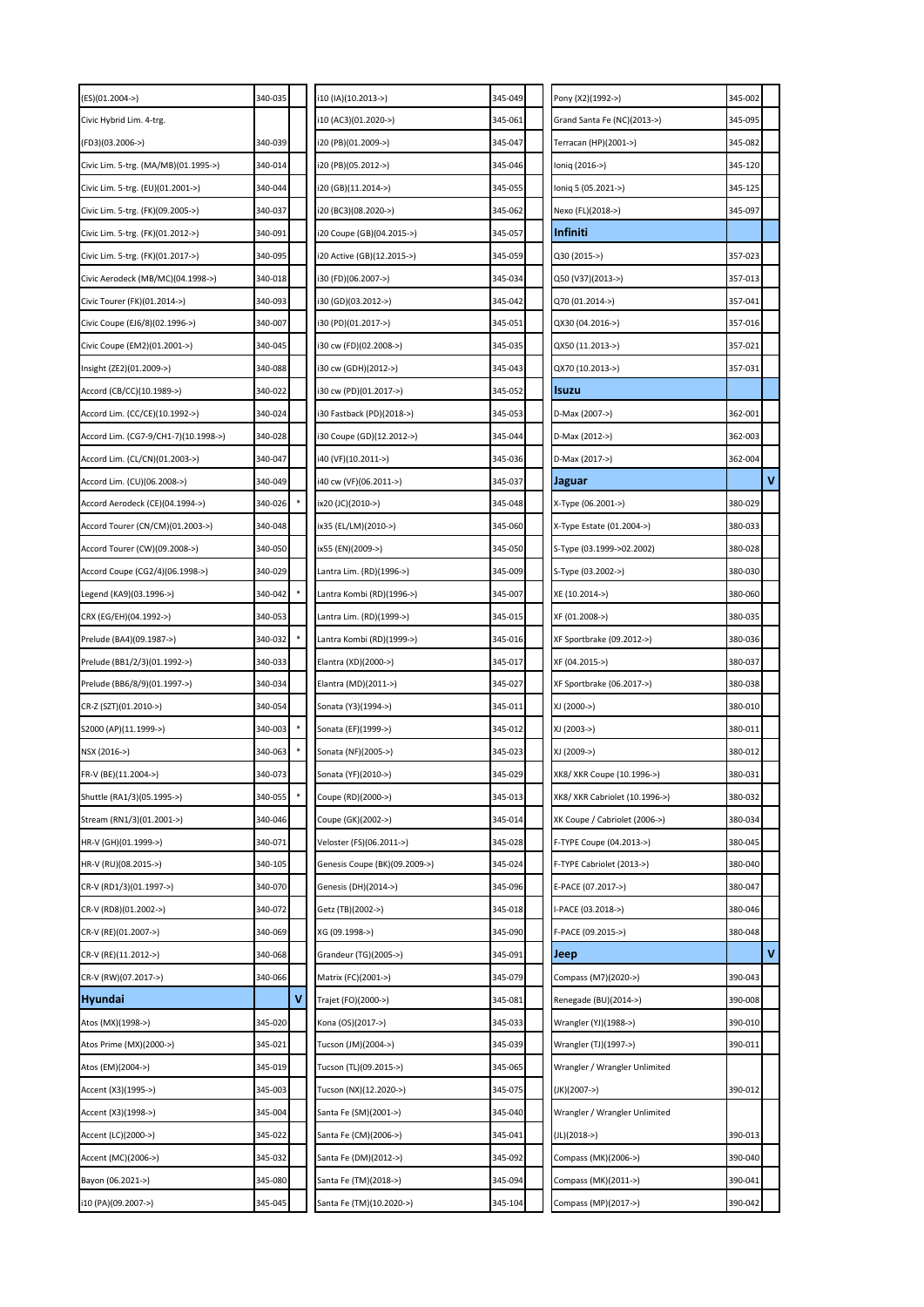| (ES)(01.2004->)                      | 340-035 |   | i10 (IA)(10.2013->)           | 345-049 | Pony (X2)(1992->)              | 345-002 |             |
|--------------------------------------|---------|---|-------------------------------|---------|--------------------------------|---------|-------------|
| Civic Hybrid Lim. 4-trg.             |         |   | i10 (AC3)(01.2020->)          | 345-061 | Grand Santa Fe (NC)(2013->)    | 345-095 |             |
| (FD3)(03.2006->)                     | 340-039 |   | i20 (PB)(01.2009->)           | 345-047 | Terracan (HP)(2001->)          | 345-082 |             |
| Civic Lim. 5-trg. (MA/MB)(01.1995->) | 340-014 |   | i20 (PB)(05.2012->)           | 345-046 | Ioniq (2016->)                 | 345-120 |             |
| Civic Lim. 5-trg. (EU)(01.2001->)    | 340-044 |   | i20 (GB)(11.2014->)           | 345-055 | loniq 5 (05.2021->)            | 345-125 |             |
| Civic Lim. 5-trg. (FK)(09.2005->)    | 340-037 |   | i20 (BC3)(08.2020->)          | 345-062 | Nexo (FL)(2018->)              | 345-097 |             |
| Civic Lim. 5-trg. (FK)(01.2012->)    | 340-091 |   | i20 Coupe (GB)(04.2015->)     | 345-057 | Infiniti                       |         |             |
| Civic Lim. 5-trg. (FK)(01.2017->)    | 340-095 |   | i20 Active (GB)(12.2015->)    | 345-059 | Q30 (2015->)                   | 357-023 |             |
| Civic Aerodeck (MB/MC)(04.1998->)    | 340-018 |   | i30 (FD)(06.2007->)           | 345-034 | Q50 (V37)(2013->)              | 357-013 |             |
| Civic Tourer (FK)(01.2014->)         | 340-093 |   | i30 (GD)(03.2012->)           | 345-042 | Q70 (01.2014->)                | 357-041 |             |
| Civic Coupe (EJ6/8)(02.1996->)       | 340-007 |   | i30 (PD)(01.2017->)           | 345-051 | QX30 (04.2016->)               | 357-016 |             |
| Civic Coupe (EM2)(01.2001->)         | 340-045 |   | i30 cw (FD)(02.2008->)        | 345-035 | QX50 (11.2013->)               | 357-021 |             |
| Insight (ZE2)(01.2009->)             | 340-088 |   | i30 cw (GDH)(2012->)          | 345-043 | QX70 (10.2013->)               | 357-031 |             |
| Accord (CB/CC)(10.1989->)            | 340-022 |   | i30 cw (PD)(01.2017->)        | 345-052 | <b>Isuzu</b>                   |         |             |
| Accord Lim. (CC/CE)(10.1992->)       | 340-024 |   | i30 Fastback (PD)(2018->)     | 345-053 | D-Max (2007->)                 | 362-001 |             |
| Accord Lim. (CG7-9/CH1-7)(10.1998->) | 340-028 |   | (30 Coupe (GD)(12.2012->)     | 345-044 | D-Max (2012->)                 | 362-003 |             |
| Accord Lim. (CL/CN)(01.2003->)       | 340-047 |   | i40 (VF)(10.2011->)           | 345-036 | D-Max (2017->)                 | 362-004 |             |
| Accord Lim. (CU)(06.2008->)          | 340-049 |   | i40 cw (VF)(06.2011->)        | 345-037 | <b>Jaguar</b>                  |         | $\mathbf v$ |
| Accord Aerodeck (CE)(04.1994->)      | 340-026 |   | ix20 (JC)(2010->)             | 345-048 | X-Type (06.2001->)             | 380-029 |             |
| Accord Tourer (CN/CM)(01.2003->)     | 340-048 |   | ix35 (EL/LM)(2010->)          | 345-060 | X-Type Estate (01.2004->)      | 380-033 |             |
| Accord Tourer (CW)(09.2008->)        | 340-050 |   | ix55 (EN)(2009->)             | 345-050 | S-Type (03.1999->02.2002)      | 380-028 |             |
| Accord Coupe (CG2/4)(06.1998->)      | 340-029 |   | Lantra Lim. (RD)(1996->)      | 345-009 | S-Type (03.2002->)             | 380-030 |             |
| Legend (KA9)(03.1996->)              | 340-042 |   | Lantra Kombi (RD)(1996->)     | 345-007 | XE (10.2014->)                 | 380-060 |             |
| CRX (EG/EH)(04.1992->)               | 340-053 |   | Lantra Lim. (RD)(1999->)      | 345-015 | XF (01.2008->)                 | 380-035 |             |
| Prelude (BA4)(09.1987->)             | 340-032 |   | Lantra Kombi (RD)(1999->)     | 345-016 | XF Sportbrake (09.2012->)      | 380-036 |             |
| Prelude (BB1/2/3)(01.1992->)         | 340-033 |   | Elantra (XD)(2000->)          | 345-017 | XF (04.2015->)                 | 380-037 |             |
| Prelude (BB6/8/9)(01.1997->)         | 340-034 |   | Elantra (MD)(2011->)          | 345-027 | XF Sportbrake (06.2017->)      | 380-038 |             |
| CR-Z (SZT)(01.2010->)                | 340-054 |   | Sonata (Y3)(1994->)           | 345-011 | XJ (2000->)                    | 380-010 |             |
| S2000 (AP)(11.1999->)                | 340-003 |   | Sonata (EF)(1999->)           | 345-012 | XJ (2003->)                    | 380-011 |             |
| NSX (2016->)                         | 340-063 |   | Sonata (NF)(2005->)           | 345-023 | XJ (2009->)                    | 380-012 |             |
| FR-V (BE)(11.2004->)                 | 340-073 |   | Sonata (YF)(2010->)           | 345-029 | XK8/ XKR Coupe (10.1996->)     | 380-031 |             |
| Shuttle (RA1/3)(05.1995->)           | 340-055 | * | Coupe (RD)(2000->)            | 345-013 | XK8/ XKR Cabriolet (10.1996->) | 380-032 |             |
| Stream (RN1/3)(01.2001->)            | 340-046 |   | Coupe (GK)(2002->)            | 345-014 | XK Coupe / Cabriolet (2006->)  | 380-034 |             |
| HR-V (GH)(01.1999->)                 | 340-071 |   | Veloster (FS)(06.2011->)      | 345-028 | F-TYPE Coupe (04.2013->)       | 380-045 |             |
| HR-V (RU)(08.2015->)                 | 340-105 |   | Genesis Coupe (BK)(09.2009->) | 345-024 | F-TYPE Cabriolet (2013->)      | 380-040 |             |
| CR-V (RD1/3)(01.1997->)              | 340-070 |   | Genesis (DH)(2014->)          | 345-096 | E-PACE (07.2017->)             | 380-047 |             |
| CR-V (RD8)(01.2002->)                | 340-072 |   | Getz (TB)(2002->)             | 345-018 | I-PACE (03.2018->)             | 380-046 |             |
| CR-V (RE)(01.2007->)                 | 340-069 |   | XG (09.1998->)                | 345-090 | F-PACE (09.2015->)             | 380-048 |             |
| CR-V (RE)(11.2012->)                 | 340-068 |   | Grandeur (TG)(2005->)         | 345-091 | Jeep                           |         | $\mathbf v$ |
| CR-V (RW)(07.2017->)                 | 340-066 |   | Matrix (FC)(2001->)           | 345-079 | Compass (M7)(2020->)           | 390-043 |             |
| <b>Hyundai</b>                       |         | ٧ | Trajet (FO)(2000->)           | 345-081 | Renegade (BU)(2014->)          | 390-008 |             |
| Atos (MX)(1998->)                    | 345-020 |   | Kona (OS)(2017->)             | 345-033 | Wrangler (YJ)(1988->)          | 390-010 |             |
| Atos Prime (MX)(2000->)              | 345-021 |   | Tucson (JM)(2004->)           | 345-039 | Wrangler (TJ)(1997->)          | 390-011 |             |
| Atos (EM)(2004->)                    | 345-019 |   | Tucson (TL)(09.2015->)        | 345-065 | Wrangler / Wrangler Unlimited  |         |             |
| Accent (X3)(1995->)                  | 345-003 |   | Tucson (NX)(12.2020->)        | 345-075 | (JK)(2007->)                   | 390-012 |             |
| Accent (X3)(1998->)                  | 345-004 |   | Santa Fe (SM)(2001->)         | 345-040 | Wrangler / Wrangler Unlimited  |         |             |
| Accent (LC)(2000->)                  | 345-022 |   | Santa Fe (CM)(2006->)         | 345-041 | (JL)(2018->)                   | 390-013 |             |
| Accent (MC)(2006->)                  | 345-032 |   | Santa Fe (DM)(2012->)         | 345-092 | Compass (MK)(2006->)           | 390-040 |             |
| Bayon (06.2021->)                    | 345-080 |   | Santa Fe (TM)(2018->)         | 345-094 | Compass (MK)(2011->)           | 390-041 |             |
| i10 (PA)(09.2007->)                  | 345-045 |   | Santa Fe (TM)(10.2020->)      | 345-104 | Compass (MP)(2017->)           | 390-042 |             |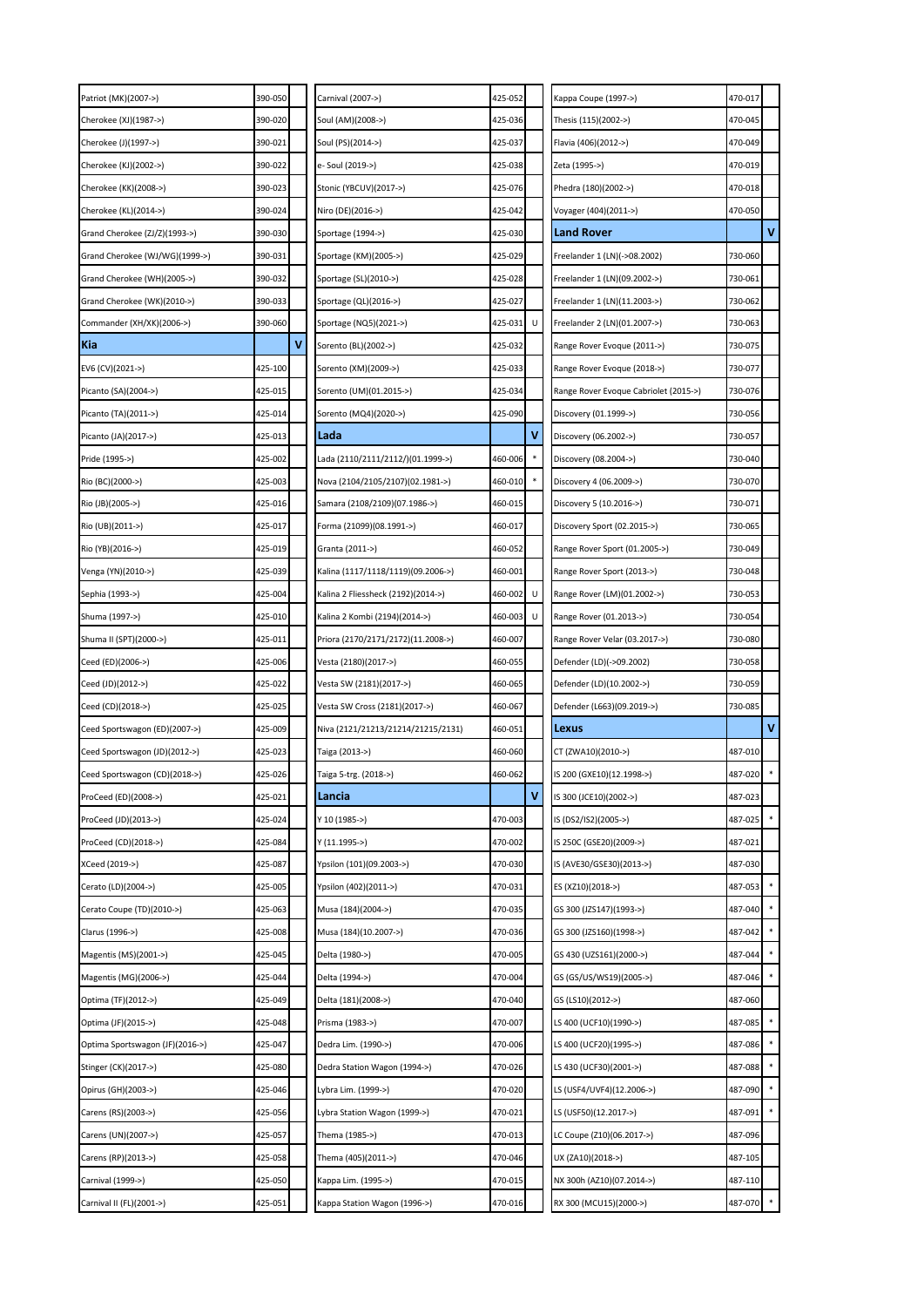| Patriot (MK)(2007->)            | 390-050 | Carnival (2007->)                  | 425-052 |   | Kappa Coupe (1997->)                  | 470-017 |              |
|---------------------------------|---------|------------------------------------|---------|---|---------------------------------------|---------|--------------|
| Cherokee (XJ)(1987->)           | 390-020 | Soul (AM)(2008->)                  | 425-036 |   | Thesis (115)(2002->)                  | 470-045 |              |
| Cherokee (J)(1997->)            | 390-021 | Soul (PS)(2014->)                  | 425-037 |   | Flavia (406)(2012->)                  | 470-049 |              |
| Cherokee (KJ)(2002->)           | 390-022 | e- Soul (2019->)                   | 425-038 |   | Zeta (1995->)                         | 470-019 |              |
| Cherokee (KK)(2008->)           | 390-023 | Stonic (YBCUV)(2017->)             | 425-076 |   | Phedra (180)(2002->)                  | 470-018 |              |
| Cherokee (KL)(2014->)           | 390-024 | Niro (DE)(2016->)                  | 425-042 |   | Voyager (404)(2011->)                 | 470-050 |              |
| Grand Cherokee (ZJ/Z)(1993->)   | 390-030 | Sportage (1994->)                  | 425-030 |   | Land Rover                            |         | $\mathbf{V}$ |
| Grand Cherokee (WJ/WG)(1999->)  | 390-031 | Sportage (KM)(2005->)              | 425-029 |   | Freelander 1 (LN)(->08.2002)          | 730-060 |              |
| Grand Cherokee (WH)(2005->)     | 390-032 | Sportage (SL)(2010->)              | 425-028 |   | Freelander 1 (LN)(09.2002->)          | 730-061 |              |
| Grand Cherokee (WK)(2010->)     | 390-033 | Sportage (QL)(2016->)              | 425-027 |   | Freelander 1 (LN)(11.2003->)          | 730-062 |              |
| Commander (XH/XK)(2006->)       | 390-060 | Sportage (NQ5)(2021->)             | 425-031 |   | Freelander 2 (LN)(01.2007->)          | 730-063 |              |
| Kia                             | ٧       | Sorento (BL)(2002->)               | 425-032 |   | Range Rover Evoque (2011->)           | 730-075 |              |
| EV6 (CV)(2021->)                | 425-100 | Sorento (XM)(2009->)               | 425-033 |   | Range Rover Evoque (2018->)           | 730-077 |              |
| Picanto (SA)(2004->)            | 425-015 | Sorento (UM)(01.2015->)            | 425-034 |   | Range Rover Evoque Cabriolet (2015->) | 730-076 |              |
| Picanto (TA)(2011->)            | 425-014 | Sorento (MQ4)(2020->)              | 425-090 |   | Discovery (01.1999->)                 | 730-056 |              |
| Picanto (JA)(2017->)            | 425-013 | Lada                               |         | v | Discovery (06.2002->)                 | 730-057 |              |
| Pride (1995->)                  | 425-002 | Lada (2110/2111/2112/)(01.1999->)  | 460-006 |   | Discovery (08.2004->)                 | 730-040 |              |
| Rio (BC)(2000->)                | 425-003 | Nova (2104/2105/2107)(02.1981->)   | 460-010 |   | Discovery 4 (06.2009->)               | 730-070 |              |
| Rio (JB)(2005->)                | 425-016 | Samara (2108/2109)(07.1986->)      | 460-015 |   | Discovery 5 (10.2016->)               | 730-071 |              |
| Rio (UB)(2011->)                | 425-017 | Forma (21099)(08.1991->)           | 460-017 |   | Discovery Sport (02.2015->)           | 730-065 |              |
| Rio (YB)(2016->)                | 425-019 | Granta (2011->)                    | 460-052 |   | Range Rover Sport (01.2005->)         | 730-049 |              |
| Venga (YN)(2010->)              | 425-039 | Kalina (1117/1118/1119)(09.2006->) | 460-001 |   | Range Rover Sport (2013->)            | 730-048 |              |
| Sephia (1993->)                 | 425-004 | Kalina 2 Fliessheck (2192)(2014->) | 460-002 |   | Range Rover (LM)(01.2002->)           | 730-053 |              |
| Shuma (1997->)                  | 425-010 | Kalina 2 Kombi (2194)(2014->)      | 460-003 |   | Range Rover (01.2013->)               | 730-054 |              |
| Shuma II (SPT)(2000->)          | 425-011 | Priora (2170/2171/2172)(11.2008->) | 460-007 |   | Range Rover Velar (03.2017->)         | 730-080 |              |
| Ceed (ED)(2006->)               | 425-006 | Vesta (2180)(2017->)               | 460-055 |   | Defender (LD)(->09.2002)              | 730-058 |              |
| Ceed (JD)(2012->)               | 425-022 | Vesta SW (2181)(2017->)            | 460-065 |   | Defender (LD)(10.2002->)              | 730-059 |              |
|                                 |         |                                    |         |   |                                       |         |              |
| Ceed (CD)(2018->)               | 425-025 | Vesta SW Cross (2181)(2017->)      | 460-067 |   | Defender (L663)(09.2019->)            | 730-085 |              |
| Ceed Sportswagon (ED)(2007->)   | 425-009 | Niva (2121/21213/21214/21215/2131) | 460-051 |   | Lexus                                 |         | $\mathbf v$  |
| Ceed Sportswagon (JD)(2012->)   | 425-023 | Taiga (2013->)                     | 460-060 |   | CT (ZWA10)(2010->)                    | 487-010 |              |
| Ceed Sportswagon (CD)(2018->)   | 425-026 | Taiga 5-trg. (2018->)              | 460-062 |   | IS 200 (GXE10)(12.1998->)             | 487-020 |              |
| ProCeed (ED)(2008->)            | 425-021 | Lancia                             |         | ٧ | IS 300 (JCE10)(2002->)                | 487-023 |              |
| ProCeed (JD)(2013->)            | 425-024 | Y 10 (1985->)                      | 470-003 |   | IS (DS2/IS2)(2005->)                  | 487-025 |              |
| ProCeed (CD)(2018->)            | 425-084 | Y (11.1995->)                      | 470-002 |   | IS 250C (GSE20)(2009->)               | 487-021 |              |
| XCeed (2019->)                  | 425-087 | Ypsilon (101)(09.2003->)           | 470-030 |   | IS (AVE30/GSE30)(2013->)              | 487-030 |              |
| Cerato (LD)(2004->)             | 425-005 | Ypsilon (402)(2011->)              | 470-031 |   | ES (XZ10)(2018->)                     | 487-053 |              |
| Cerato Coupe (TD)(2010->)       | 425-063 | Musa (184)(2004->)                 | 470-035 |   | GS 300 (JZS147)(1993->)               | 487-040 |              |
| Clarus (1996->)                 | 425-008 | Musa (184)(10.2007->)              | 470-036 |   | GS 300 (JZS160)(1998->)               | 487-042 |              |
| Magentis (MS)(2001->)           | 425-045 | Delta (1980->)                     | 470-005 |   | GS 430 (UZS161)(2000->)               | 487-044 |              |
| Magentis (MG)(2006->)           | 425-044 | Delta (1994->)                     | 470-004 |   | GS (GS/US/WS19)(2005->)               | 487-046 |              |
| Optima (TF)(2012->)             | 425-049 | Delta (181)(2008->)                | 470-040 |   | GS (LS10)(2012->)                     | 487-060 |              |
| Optima (JF)(2015->)             | 425-048 | Prisma (1983->)                    | 470-007 |   | LS 400 (UCF10)(1990->)                | 487-085 |              |
| Optima Sportswagon (JF)(2016->) | 425-047 | Dedra Lim. (1990->)                | 470-006 |   | LS 400 (UCF20)(1995->)                | 487-086 |              |
| Stinger (CK)(2017->)            | 425-080 | Dedra Station Wagon (1994->)       | 470-026 |   | LS 430 (UCF30)(2001->)                | 487-088 |              |
| Opirus (GH)(2003->)             | 425-046 | Lybra Lim. (1999->)                | 470-020 |   | LS (USF4/UVF4)(12.2006->)             | 487-090 |              |
| Carens (RS)(2003->)             | 425-056 | Lybra Station Wagon (1999->)       | 470-021 |   | LS (USF50)(12.2017->)                 | 487-091 |              |
| Carens (UN)(2007->)             | 425-057 | Thema (1985->)                     | 470-013 |   | LC Coupe (Z10)(06.2017->)             | 487-096 |              |
| Carens (RP)(2013->)             | 425-058 | Thema (405)(2011->)                | 470-046 |   | UX (ZA10)(2018->)                     | 487-105 |              |
| Carnival (1999->)               | 425-050 | Kappa Lim. (1995->)                | 470-015 |   | NX 300h (AZ10)(07.2014->)             | 487-110 |              |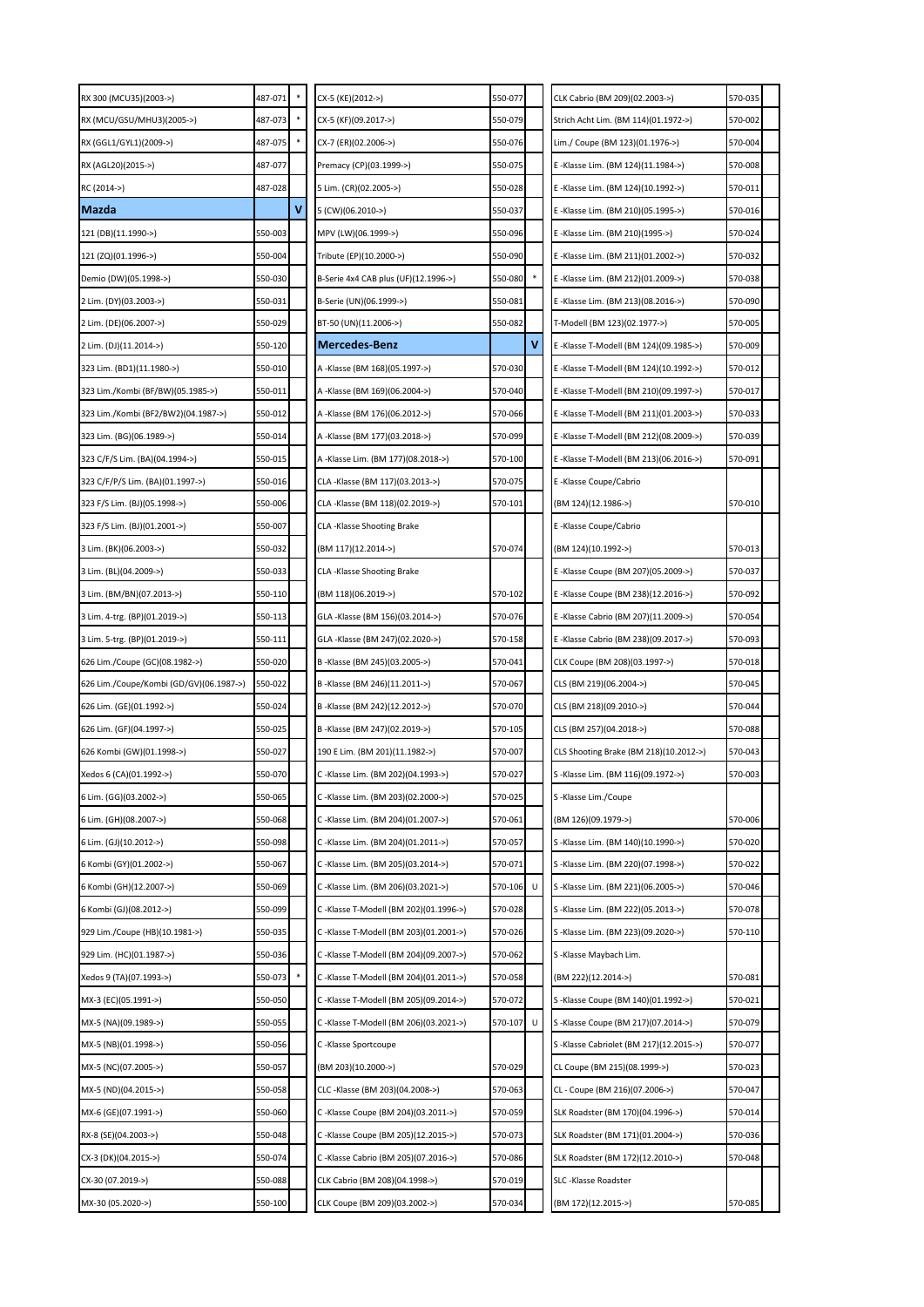| RX 300 (MCU35)(2003->)                  | 487-071 |   | CX-5 (KE)(2012->)                      | 550-077 |   | CLK Cabrio (BM 209)(02.2003->)         | 570-035 |  |
|-----------------------------------------|---------|---|----------------------------------------|---------|---|----------------------------------------|---------|--|
| RX (MCU/GSU/MHU3)(2005->)               | 487-073 |   | CX-5 (KF)(09.2017->)                   | 550-079 |   | Strich Acht Lim. (BM 114)(01.1972->)   | 570-002 |  |
| RX (GGL1/GYL1)(2009->)                  | 487-075 |   | CX-7 (ER)(02.2006->)                   | 550-076 |   | Lim./ Coupe (BM 123)(01.1976->)        | 570-004 |  |
| RX (AGL20)(2015->)                      | 487-077 |   | Premacy (CP)(03.1999->)                | 550-075 |   | E-Klasse Lim. (BM 124)(11.1984->)      | 570-008 |  |
| RC (2014->)                             | 487-028 |   | 5 Lim. (CR)(02.2005->)                 | 550-028 |   | E-Klasse Lim. (BM 124)(10.1992->)      | 570-011 |  |
| Mazda                                   |         | ٧ | 5 (CW)(06.2010->)                      | 550-037 |   | E -Klasse Lim. (BM 210)(05.1995->)     | 570-016 |  |
| 121 (DB)(11.1990->)                     | 550-003 |   | MPV (LW)(06.1999->)                    | 550-096 |   | E -Klasse Lim. (BM 210)(1995->)        | 570-024 |  |
| 121 (ZQ)(01.1996->)                     | 550-004 |   | Tribute (EP)(10.2000->)                | 550-090 |   | E-Klasse Lim. (BM 211)(01.2002->)      | 570-032 |  |
| Demio (DW)(05.1998->)                   | 550-030 |   | B-Serie 4x4 CAB plus (UF)(12.1996->)   | 550-080 |   | E-Klasse Lim. (BM 212)(01.2009->)      | 570-038 |  |
| 2 Lim. (DY)(03.2003->)                  | 550-031 |   | B-Serie (UN)(06.1999->)                | 550-081 |   | E -Klasse Lim. (BM 213)(08.2016->)     | 570-090 |  |
| 2 Lim. (DE)(06.2007->)                  | 550-029 |   | BT-50 (UN)(11.2006->)                  | 550-082 |   | T-Modell (BM 123)(02.1977->)           | 570-005 |  |
| 2 Lim. (DJ)(11.2014->)                  | 550-120 |   | Mercedes-Benz                          |         | ٧ | E-Klasse T-Modell (BM 124)(09.1985->)  | 570-009 |  |
| 323 Lim. (BD1)(11.1980->)               | 550-010 |   | A -Klasse (BM 168)(05.1997->)          | 570-030 |   | E-Klasse T-Modell (BM 124)(10.1992->)  | 570-012 |  |
| 323 Lim./Kombi (BF/BW)(05.1985->)       | 550-011 |   | A -Klasse (BM 169)(06.2004->)          | 570-040 |   | E-Klasse T-Modell (BM 210)(09.1997->)  | 570-017 |  |
| 323 Lim./Kombi (BF2/BW2)(04.1987->)     | 550-012 |   | A -Klasse (BM 176)(06.2012->)          | 570-066 |   | E-Klasse T-Modell (BM 211)(01.2003->)  | 570-033 |  |
| 323 Lim. (BG)(06.1989->)                | 550-014 |   | A -Klasse (BM 177)(03.2018->)          | 570-099 |   | E-Klasse T-Modell (BM 212)(08.2009->)  | 570-039 |  |
| 323 C/F/S Lim. (BA)(04.1994->)          | 550-015 |   | A -Klasse Lim. (BM 177)(08.2018->)     | 570-100 |   | E-Klasse T-Modell (BM 213)(06.2016->)  | 570-091 |  |
| 323 C/F/P/S Lim. (BA)(01.1997->)        | 550-016 |   | CLA-Klasse (BM 117)(03.2013->)         | 570-075 |   | E -Klasse Coupe/Cabrio                 |         |  |
| 323 F/S Lim. (BJ)(05.1998->)            | 550-006 |   | CLA -Klasse (BM 118)(02.2019->)        | 570-101 |   | (BM 124)(12.1986->)                    | 570-010 |  |
| 323 F/S Lim. (BJ)(01.2001->)            | 550-007 |   | CLA-Klasse Shooting Brake              |         |   | E -Klasse Coupe/Cabrio                 |         |  |
| 3 Lim. (BK)(06.2003->)                  | 550-032 |   | (BM 117)(12.2014->)                    | 570-074 |   | (BM 124)(10.1992->)                    | 570-013 |  |
| 3 Lim. (BL)(04.2009->)                  | 550-033 |   | CLA -Klasse Shooting Brake             |         |   | E-Klasse Coupe (BM 207)(05.2009->)     | 570-037 |  |
| 3 Lim. (BM/BN)(07.2013->)               | 550-110 |   | (BM 118)(06.2019->)                    | 570-102 |   | E-Klasse Coupe (BM 238)(12.2016->)     | 570-092 |  |
| 3 Lim. 4-trg. (BP)(01.2019->)           | 550-113 |   | GLA -Klasse (BM 156)(03.2014->)        | 570-076 |   | E-Klasse Cabrio (BM 207)(11.2009->)    | 570-054 |  |
| 3 Lim. 5-trg. (BP)(01.2019->)           | 550-111 |   | GLA -Klasse (BM 247)(02.2020->)        | 570-158 |   | E -Klasse Cabrio (BM 238)(09.2017->)   | 570-093 |  |
| 626 Lim./Coupe (GC)(08.1982->)          | 550-020 |   | B-Klasse (BM 245)(03.2005->)           | 570-041 |   | CLK Coupe (BM 208)(03.1997->)          | 570-018 |  |
| 626 Lim./Coupe/Kombi (GD/GV)(06.1987->) | 550-022 |   | B-Klasse (BM 246)(11.2011->)           | 570-067 |   | CLS (BM 219)(06.2004->)                | 570-045 |  |
| 626 Lim. (GE)(01.1992->)                | 550-024 |   | B -Klasse (BM 242)(12.2012->)          | 570-070 |   | CLS (BM 218)(09.2010->)                | 570-044 |  |
| 626 Lim. (GF)(04.1997->)                | 550-025 |   | B -Klasse (BM 247)(02.2019->)          | 570-105 |   | CLS (BM 257)(04.2018->)                | 570-088 |  |
| 626 Kombi (GW)(01.1998->)               | 550-027 |   | 190 E Lim. (BM 201)(11.1982->)         | 570-007 |   | CLS Shooting Brake (BM 218)(10.2012->) | 570-043 |  |
| Xedos 6 (CA)(01.1992->)                 | 550-070 |   | C -Klasse Lim. (BM 202)(04.1993->)     | 570-027 |   | S-Klasse Lim. (BM 116)(09.1972->)      | 570-003 |  |
| 6 Lim. (GG)(03.2002->)                  | 550-065 |   | C-Klasse Lim. (BM 203)(02.2000->)      | 570-025 |   | S-Klasse Lim./Coupe                    |         |  |
| 6 Lim. (GH)(08.2007->)                  | 550-068 |   | C -Klasse Lim. (BM 204)(01.2007->)     | 570-061 |   | (BM 126)(09.1979->)                    | 570-006 |  |
| 6 Lim. (GJ)(10.2012->)                  | 550-098 |   | C -Klasse Lim. (BM 204)(01.2011->)     | 570-057 |   | S-Klasse Lim. (BM 140)(10.1990->)      | 570-020 |  |
| 6 Kombi (GY)(01.2002->)                 | 550-067 |   | C-Klasse Lim. (BM 205)(03.2014->)      | 570-071 |   | S -Klasse Lim. (BM 220)(07.1998->)     | 570-022 |  |
| 6 Kombi (GH)(12.2007->)                 | 550-069 |   | C -Klasse Lim. (BM 206)(03.2021->)     | 570-106 |   | S-Klasse Lim. (BM 221)(06.2005->)      | 570-046 |  |
| 6 Kombi (GJ)(08.2012->)                 | 550-099 |   | C -Klasse T-Modell (BM 202)(01.1996->) | 570-028 |   | S -Klasse Lim. (BM 222)(05.2013->)     | 570-078 |  |
| 929 Lim./Coupe (HB)(10.1981->)          | 550-035 |   | C -Klasse T-Modell (BM 203)(01.2001->) | 570-026 |   | S -Klasse Lim. (BM 223)(09.2020->)     | 570-110 |  |
| 929 Lim. (HC)(01.1987->)                | 550-036 |   | C -Klasse T-Modell (BM 204)(09.2007->) | 570-062 |   | S-Klasse Maybach Lim.                  |         |  |
| Xedos 9 (TA)(07.1993->)                 | 550-073 |   | C -Klasse T-Modell (BM 204)(01.2011->) | 570-058 |   | (BM 222)(12.2014->)                    | 570-081 |  |
| MX-3 (EC)(05.1991->)                    | 550-050 |   | C -Klasse T-Modell (BM 205)(09.2014->) | 570-072 |   | S-Klasse Coupe (BM 140)(01.1992->)     | 570-021 |  |
| MX-5 (NA)(09.1989->)                    | 550-055 |   | C -Klasse T-Modell (BM 206)(03.2021->) | 570-107 | U | S-Klasse Coupe (BM 217)(07.2014->)     | 570-079 |  |
| MX-5 (NB)(01.1998->)                    | 550-056 |   | C-Klasse Sportcoupe                    |         |   | S-Klasse Cabriolet (BM 217)(12.2015->) | 570-077 |  |
| MX-5 (NC)(07.2005->)                    | 550-057 |   | (BM 203)(10.2000->)                    | 570-029 |   | CL Coupe (BM 215)(08.1999->)           | 570-023 |  |
| MX-5 (ND)(04.2015->)                    | 550-058 |   | CLC -Klasse (BM 203)(04.2008->)        | 570-063 |   | CL - Coupe (BM 216)(07.2006->)         | 570-047 |  |
| MX-6 (GE)(07.1991->)                    | 550-060 |   | C -Klasse Coupe (BM 204)(03.2011->)    | 570-059 |   | SLK Roadster (BM 170)(04.1996->)       | 570-014 |  |
| RX-8 (SE)(04.2003->)                    | 550-048 |   | C -Klasse Coupe (BM 205)(12.2015->)    | 570-073 |   | SLK Roadster (BM 171)(01.2004->)       | 570-036 |  |
| CX-3 (DK)(04.2015->)                    | 550-074 |   | C -Klasse Cabrio (BM 205)(07.2016->)   | 570-086 |   | SLK Roadster (BM 172)(12.2010->)       | 570-048 |  |
| CX-30 (07.2019->)                       | 550-088 |   | CLK Cabrio (BM 208)(04.1998->)         | 570-019 |   | SLC-Klasse Roadster                    |         |  |
| MX-30 (05.2020->)                       | 550-100 |   | CLK Coupe (BM 209)(03.2002->)          | 570-034 |   | (BM 172)(12.2015->)                    | 570-085 |  |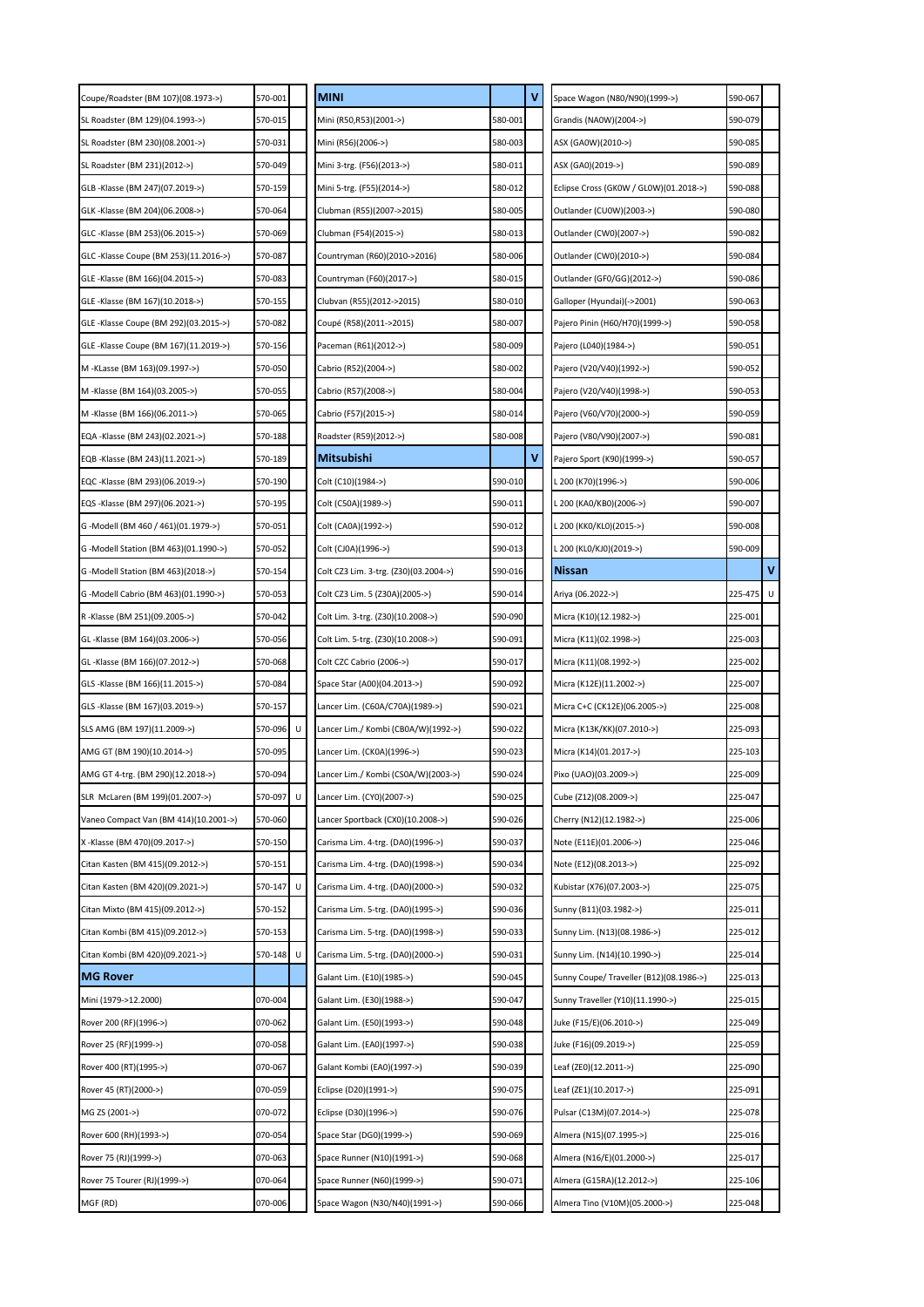| Coupe/Roadster (BM 107)(08.1973->)    | 570-001      | <b>MINI</b>                           |         | ٧ | Space Wagon (N80/N90)(1999->)          | 590-067 |             |
|---------------------------------------|--------------|---------------------------------------|---------|---|----------------------------------------|---------|-------------|
| SL Roadster (BM 129)(04.1993->)       | 570-015      | Mini (R50,R53)(2001->)                | 580-001 |   | Grandis (NA0W)(2004->)                 | 590-079 |             |
| SL Roadster (BM 230)(08.2001->)       | 570-031      | Mini (R56)(2006->)                    | 580-003 |   | ASX (GA0W)(2010->)                     | 590-085 |             |
| SL Roadster (BM 231)(2012->)          | 570-049      | Mini 3-trg. (F56)(2013->)             | 580-011 |   | ASX (GA0)(2019->)                      | 590-089 |             |
| GLB -Klasse (BM 247)(07.2019->)       | 570-159      | Mini 5-trg. (F55)(2014->)             | 580-012 |   | Eclipse Cross (GK0W / GL0W)(01.2018->) | 590-088 |             |
| GLK -Klasse (BM 204)(06.2008->)       | 570-064      | Clubman (R55)(2007->2015)             | 580-005 |   | Outlander (CU0W)(2003->)               | 590-080 |             |
| GLC -Klasse (BM 253)(06.2015->)       | 570-069      | Clubman (F54)(2015->)                 | 580-013 |   | Outlander (CW0)(2007->)                | 590-082 |             |
| GLC -Klasse Coupe (BM 253)(11.2016->) | 570-087      | Countryman (R60)(2010->2016)          | 580-006 |   | Outlander (CW0)(2010->)                | 590-084 |             |
| GLE -Klasse (BM 166)(04.2015->)       | 570-083      | Countryman (F60)(2017->)              | 580-015 |   | Outlander (GF0/GG)(2012->)             | 590-086 |             |
| GLE -Klasse (BM 167)(10.2018->)       | 570-155      | Clubvan (R55)(2012->2015)             | 580-010 |   | Galloper (Hyundai)(->2001)             | 590-063 |             |
| GLE -Klasse Coupe (BM 292)(03.2015->) | 570-082      | Coupé (R58)(2011->2015)               | 580-007 |   | Pajero Pinin (H60/H70)(1999->)         | 590-058 |             |
| GLE -Klasse Coupe (BM 167)(11.2019->) | 570-156      | Paceman (R61)(2012->)                 | 580-009 |   | Pajero (L040)(1984->)                  | 590-051 |             |
| M -KLasse (BM 163)(09.1997->)         | 570-050      | Cabrio (R52)(2004->)                  | 580-002 |   | Pajero (V20/V40)(1992->)               | 590-052 |             |
| M -Klasse (BM 164)(03.2005->)         | 570-055      | Cabrio (R57)(2008->)                  | 580-004 |   | Pajero (V20/V40)(1998->)               | 590-053 |             |
| M -Klasse (BM 166)(06.2011->)         | 570-065      | Cabrio (F57)(2015->)                  | 580-014 |   | Pajero (V60/V70)(2000->)               | 590-059 |             |
| EQA -Klasse (BM 243)(02.2021->)       | 570-188      | Roadster (R59)(2012->)                | 580-008 |   | Pajero (V80/V90)(2007->)               | 590-081 |             |
| EQB -Klasse (BM 243)(11.2021->)       | 570-189      | Mitsubishi                            |         | v | Pajero Sport (K90)(1999->)             | 590-057 |             |
| EQC -Klasse (BM 293)(06.2019->)       | 570-190      | Colt (C10)(1984->)                    | 590-010 |   | L 200 (K70)(1996->)                    | 590-006 |             |
| EQS -Klasse (BM 297)(06.2021->)       | 570-195      | Colt (C50A)(1989->)                   | 590-011 |   | . 200 (КА0/КВ0)(2006->)                | 590-007 |             |
| G -Modell (BM 460 / 461)(01.1979->)   | 570-051      | Colt (CA0A)(1992->)                   | 590-012 |   | L 200 (KK0/KL0)(2015->)                | 590-008 |             |
| G -Modell Station (BM 463)(01.1990->) | 570-052      | Colt (CJ0A)(1996->)                   | 590-013 |   | L 200 (KL0/KJ0)(2019->)                | 590-009 |             |
| G -Modell Station (BM 463)(2018->)    | 570-154      | Colt CZ3 Lim. 3-trg. (Z30)(03.2004->) | 590-016 |   | <b>Nissan</b>                          |         | $\mathbf v$ |
| G -Modell Cabrio (BM 463)(01.1990->)  | 570-053      | Colt CZ3 Lim. 5 (Z30A)(2005->)        | 590-014 |   | Ariya (06.2022->)                      | 225-475 | U           |
| R -Klasse (BM 251)(09.2005->)         | 570-042      | Colt Lim. 3-trg. (Z30)(10.2008->)     | 590-090 |   | Micra (K10)(12.1982->)                 | 225-001 |             |
| GL -Klasse (BM 164)(03.2006->)        | 570-056      | Colt Lim. 5-trg. (Z30)(10.2008->)     | 590-091 |   | Micra (K11)(02.1998->)                 | 225-003 |             |
| GL -Klasse (BM 166)(07.2012->)        | 570-068      | Colt CZC Cabrio (2006->)              | 590-017 |   | Micra (K11)(08.1992->)                 | 225-002 |             |
| GLS -Klasse (BM 166)(11.2015->)       | 570-084      | Space Star (A00)(04.2013->)           | 590-092 |   | Micra (K12E)(11.2002->)                | 225-007 |             |
| GLS -Klasse (BM 167)(03.2019->)       | 570-157      | .ancer Lim. (C60A/C70A)(1989->)       | 590-021 |   | Micra C+C (CK12E)(06.2005->)           | 225-008 |             |
| SLS AMG (BM 197)(11.2009->)           | 570-096<br>U | Lancer Lim./ Kombi (CB0A/W)(1992->)   | 590-022 |   | Micra (K13K/KK)(07.2010->)             | 225-093 |             |
| AMG GT (BM 190)(10.2014->)            | 570-095      | .ancer Lim. (CK0A)(1996->)            | 590-023 |   | Micra (K14)(01.2017->)                 | 225-103 |             |
| AMG GT 4-trg. (BM 290)(12.2018->)     | 570-094      | Lancer Lim./ Kombi (CS0A/W)(2003->)   | 590-024 |   | Pixo (UAO)(03.2009->)                  | 225-009 |             |
| SLR McLaren (BM 199)(01.2007->)       | 570-097<br>U | Lancer Lim. (CY0)(2007->)             | 590-025 |   | Cube (Z12)(08.2009->)                  | 225-047 |             |
| Vaneo Compact Van (BM 414)(10.2001->) | 570-060      | Lancer Sportback (CX0)(10.2008->)     | 590-026 |   | Cherry (N12)(12.1982->)                | 225-006 |             |
| X -Klasse (BM 470)(09.2017->)         | 570-150      | Carisma Lim. 4-trg. (DA0)(1996->)     | 590-037 |   | Note (E11E)(01.2006->)                 | 225-046 |             |
| Citan Kasten (BM 415)(09.2012->)      | 570-151      | Carisma Lim. 4-trg. (DA0)(1998->)     | 590-034 |   | Note (E12)(08.2013->)                  | 225-092 |             |
| Citan Kasten (BM 420)(09.2021->)      | 570-147<br>U | Carisma Lim. 4-trg. (DA0)(2000->)     | 590-032 |   | Kubistar (X76)(07.2003->)              | 225-075 |             |
| Citan Mixto (BM 415)(09.2012->)       | 570-152      | Carisma Lim. 5-trg. (DA0)(1995->)     | 590-036 |   | Sunny (B11)(03.1982->)                 | 225-011 |             |
| Citan Kombi (BM 415)(09.2012->)       | 570-153      | Carisma Lim. 5-trg. (DA0)(1998->)     | 590-033 |   | Sunny Lim. (N13)(08.1986->)            | 225-012 |             |
| Citan Kombi (BM 420)(09.2021->)       | 570-148<br>U | Carisma Lim. 5-trg. (DA0)(2000->)     | 590-031 |   | Sunny Lim. (N14)(10.1990->)            | 225-014 |             |
| <b>MG Rover</b>                       |              | Galant Lim. (E10)(1985->)             | 590-045 |   | Sunny Coupe/Traveller (B12)(08.1986->) | 225-013 |             |
| Mini (1979->12.2000)                  | 070-004      | Galant Lim. (E30)(1988->)             | 590-047 |   | Sunny Traveller (Y10)(11.1990->)       | 225-015 |             |
| Rover 200 (RF)(1996->)                | 070-062      | Galant Lim. (E50)(1993->)             | 590-048 |   | Juke (F15/E)(06.2010->)                | 225-049 |             |
| Rover 25 (RF)(1999->)                 | 070-058      | Galant Lim. (EA0)(1997->)             | 590-038 |   | Juke (F16)(09.2019->)                  | 225-059 |             |
| Rover 400 (RT)(1995->)                | 070-067      | Galant Kombi (EA0)(1997->)            | 590-039 |   | Leaf (ZEO)(12.2011->)                  | 225-090 |             |
| Rover 45 (RT)(2000->)                 | 070-059      | Eclipse (D20)(1991->)                 | 590-075 |   | Leaf (ZE1)(10.2017->)                  | 225-091 |             |
| MG ZS (2001->)                        | 070-072      | Eclipse (D30)(1996->)                 | 590-076 |   | Pulsar (C13M)(07.2014->)               | 225-078 |             |
| Rover 600 (RH)(1993->)                | 070-054      | Space Star (DG0)(1999->)              | 590-069 |   | Almera (N15)(07.1995->)                | 225-016 |             |
| Rover 75 (RJ)(1999->)                 | 070-063      | Space Runner (N10)(1991->)            | 590-068 |   | Almera (N16/E)(01.2000->)              | 225-017 |             |
| Rover 75 Tourer (RJ)(1999->)          | 070-064      | Space Runner (N60)(1999->)            | 590-071 |   | Almera (G15RA)(12.2012->)              | 225-106 |             |
| MGF (RD)                              | 070-006      | Space Wagon (N30/N40)(1991->)         | 590-066 |   | Almera Tino (V10M)(05.2000->)          | 225-048 |             |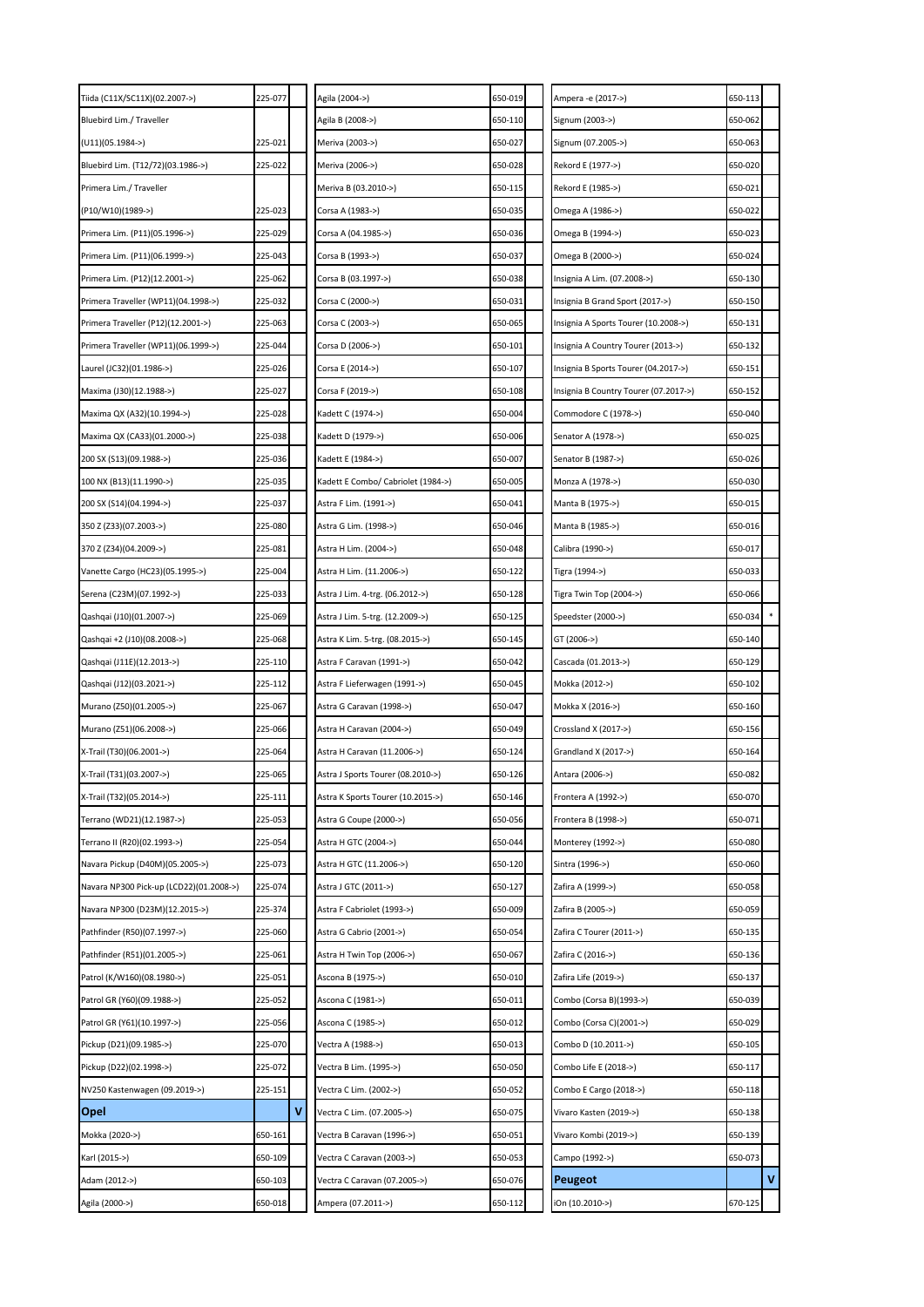| Tiida (C11X/SC11X)(02.2007->)           | 225-077 |   | Agila (2004->)                     | 650-019 | Ampera -e (2017->)                    | 650-113 |   |
|-----------------------------------------|---------|---|------------------------------------|---------|---------------------------------------|---------|---|
| Bluebird Lim./ Traveller                |         |   | Agila B (2008->)                   | 650-110 | Signum (2003->)                       | 650-062 |   |
| (U11)(05.1984->)                        | 225-021 |   | Meriva (2003->)                    | 650-027 | Signum (07.2005->)                    | 650-063 |   |
| Bluebird Lim. (T12/72)(03.1986->)       | 225-022 |   | Meriva (2006->)                    | 650-028 | Rekord E (1977->)                     | 650-020 |   |
| Primera Lim./ Traveller                 |         |   | Meriva B (03.2010->)               | 650-115 | Rekord E (1985->)                     | 650-021 |   |
| (P10/W10)(1989->)                       | 225-023 |   | Corsa A (1983->)                   | 650-035 | Omega A (1986->)                      | 650-022 |   |
| Primera Lim. (P11)(05.1996->)           | 225-029 |   | Corsa A (04.1985->)                | 650-036 | Omega B (1994->)                      | 650-023 |   |
| Primera Lim. (P11)(06.1999->)           | 225-043 |   | Corsa B (1993->)                   | 650-037 | Omega B (2000->)                      | 650-024 |   |
| Primera Lim. (P12)(12.2001->)           | 225-062 |   | Corsa B (03.1997->)                | 650-038 | Insignia A Lim. (07.2008->)           | 650-130 |   |
| Primera Traveller (WP11)(04.1998->)     | 225-032 |   | Corsa C (2000->)                   | 650-031 | Insignia B Grand Sport (2017->)       | 650-150 |   |
| Primera Traveller (P12)(12.2001->)      | 225-063 |   | Corsa C (2003->)                   | 650-065 | Insignia A Sports Tourer (10.2008->)  | 650-131 |   |
| Primera Traveller (WP11)(06.1999->)     | 225-044 |   | Corsa D (2006->)                   | 650-101 | Insignia A Country Tourer (2013->)    | 650-132 |   |
| Laurel (JC32)(01.1986->)                | 225-026 |   | Corsa E (2014->)                   | 650-107 | Insignia B Sports Tourer (04.2017->)  | 650-151 |   |
| Maxima (J30)(12.1988->)                 | 225-027 |   | Corsa F (2019->)                   | 650-108 | Insignia B Country Tourer (07.2017->) | 650-152 |   |
| Maxima QX (A32)(10.1994->)              | 225-028 |   | Kadett C (1974->)                  | 650-004 | Commodore C (1978->)                  | 650-040 |   |
| Maxima QX (CA33)(01.2000->)             | 225-038 |   | Kadett D (1979->)                  | 650-006 | Senator A (1978->)                    | 650-025 |   |
| 200 SX (S13)(09.1988->)                 | 225-036 |   | Kadett E (1984->)                  | 650-007 | Senator B (1987->)                    | 650-026 |   |
| 100 NX (B13)(11.1990->)                 | 225-035 |   | Kadett E Combo/ Cabriolet (1984->) | 650-005 | Monza A (1978->)                      | 650-030 |   |
| 200 SX (S14)(04.1994->)                 | 225-037 |   | Astra F Lim. (1991->)              | 650-041 | Manta B (1975->)                      | 650-015 |   |
| 350 Z (Z33)(07.2003->)                  | 225-080 |   | Astra G Lim. (1998->)              | 650-046 | Manta B (1985->)                      | 650-016 |   |
| 370 Z (Z34)(04.2009->)                  | 225-081 |   | Astra H Lim. (2004->)              | 650-048 | Calibra (1990->)                      | 650-017 |   |
| Vanette Cargo (HC23)(05.1995->)         | 225-004 |   | Astra H Lim. (11.2006->)           | 650-122 | Tigra (1994->)                        | 650-033 |   |
| Serena (C23M)(07.1992->)                | 225-033 |   | Astra J Lim. 4-trg. (06.2012->)    | 650-128 | Tigra Twin Top (2004->)               | 650-066 |   |
| Qashqai (J10)(01.2007->)                | 225-069 |   | Astra J Lim. 5-trg. (12.2009->)    | 650-125 | Speedster (2000->)                    | 650-034 |   |
| Qashqai +2 (J10)(08.2008->)             | 225-068 |   | Astra K Lim. 5-trg. (08.2015->)    | 650-145 | GT (2006->)                           | 650-140 |   |
| Qashqai (J11E)(12.2013->)               | 225-110 |   | Astra F Caravan (1991->)           | 650-042 | Cascada (01.2013->)                   | 650-129 |   |
| Qashqai (J12)(03.2021->)                | 225-112 |   | Astra F Lieferwagen (1991->)       | 650-045 | Mokka (2012->)                        | 650-102 |   |
| Murano (Z50)(01.2005->)                 | 225-067 |   | Astra G Caravan (1998->)           | 650-047 | Mokka X (2016->)                      | 650-160 |   |
| Murano (Z51)(06.2008->)                 | 225-066 |   | Astra H Caravan (2004->)           | 650-049 | Crossland X (2017->)                  | 650-156 |   |
| X-Trail (T30)(06.2001->)                | 225-064 |   | Astra H Caravan (11.2006->)        | 650-124 | Grandland X (2017->)                  | 650-164 |   |
| X-Trail (T31)(03.2007->)                | 225-065 |   | Astra J Sports Tourer (08.2010->)  | 650-126 | Antara (2006->)                       | 650-082 |   |
| X-Trail (T32)(05.2014->)                | 225-111 |   | Astra K Sports Tourer (10.2015->)  | 650-146 | Frontera A (1992->)                   | 650-070 |   |
| Terrano (WD21)(12.1987->)               | 225-053 |   | Astra G Coupe (2000->)             | 650-056 | Frontera B (1998->)                   | 650-071 |   |
| Terrano II (R20)(02.1993->)             | 225-054 |   | Astra H GTC (2004->)               | 650-044 | Monterey (1992->)                     | 650-080 |   |
| Navara Pickup (D40M)(05.2005->)         | 225-073 |   | Astra H GTC (11.2006->)            | 650-120 | Sintra (1996->)                       | 650-060 |   |
| Navara NP300 Pick-up (LCD22)(01.2008->) | 225-074 |   | Astra J GTC (2011->)               | 650-127 | Zafira A (1999->)                     | 650-058 |   |
| Navara NP300 (D23M)(12.2015->)          | 225-374 |   | Astra F Cabriolet (1993->)         | 650-009 | Zafira B (2005->)                     | 650-059 |   |
| Pathfinder (R50)(07.1997->)             | 225-060 |   | Astra G Cabrio (2001->)            | 650-054 | Zafira C Tourer (2011->)              | 650-135 |   |
| Pathfinder (R51)(01.2005->)             | 225-061 |   | Astra H Twin Top (2006->)          | 650-067 | Zafira C (2016->)                     | 650-136 |   |
| Patrol (K/W160)(08.1980->)              | 225-051 |   | Ascona B (1975->)                  | 650-010 | Zafira Life (2019->)                  | 650-137 |   |
| Patrol GR (Y60)(09.1988->)              | 225-052 |   | Ascona C (1981->)                  | 650-011 | Combo (Corsa B)(1993->)               | 650-039 |   |
| Patrol GR (Y61)(10.1997->)              | 225-056 |   | Ascona C (1985->)                  | 650-012 | Combo (Corsa C)(2001->)               | 650-029 |   |
| Pickup (D21)(09.1985->)                 | 225-070 |   | Vectra A (1988->)                  | 650-013 | Combo D (10.2011->)                   | 650-105 |   |
| Pickup (D22)(02.1998->)                 | 225-072 |   | Vectra B Lim. (1995->)             | 650-050 | Combo Life E (2018->)                 | 650-117 |   |
| NV250 Kastenwagen (09.2019->)           | 225-151 |   | Vectra C Lim. (2002->)             | 650-052 | Combo E Cargo (2018->)                | 650-118 |   |
| Opel                                    |         | ٧ | Vectra C Lim. (07.2005->)          | 650-075 | Vivaro Kasten (2019->)                | 650-138 |   |
| Mokka (2020->)                          | 650-161 |   | Vectra B Caravan (1996->)          | 650-051 | Vivaro Kombi (2019->)                 | 650-139 |   |
| Karl (2015->)                           | 650-109 |   | Vectra C Caravan (2003->)          | 650-053 | Campo (1992->)                        | 650-073 |   |
| Adam (2012->)                           | 650-103 |   | Vectra C Caravan (07.2005->)       | 650-076 | Peugeot                               |         | v |
| Agila (2000->)                          | 650-018 |   | Ampera (07.2011->)                 | 650-112 | iOn (10.2010->)                       | 670-125 |   |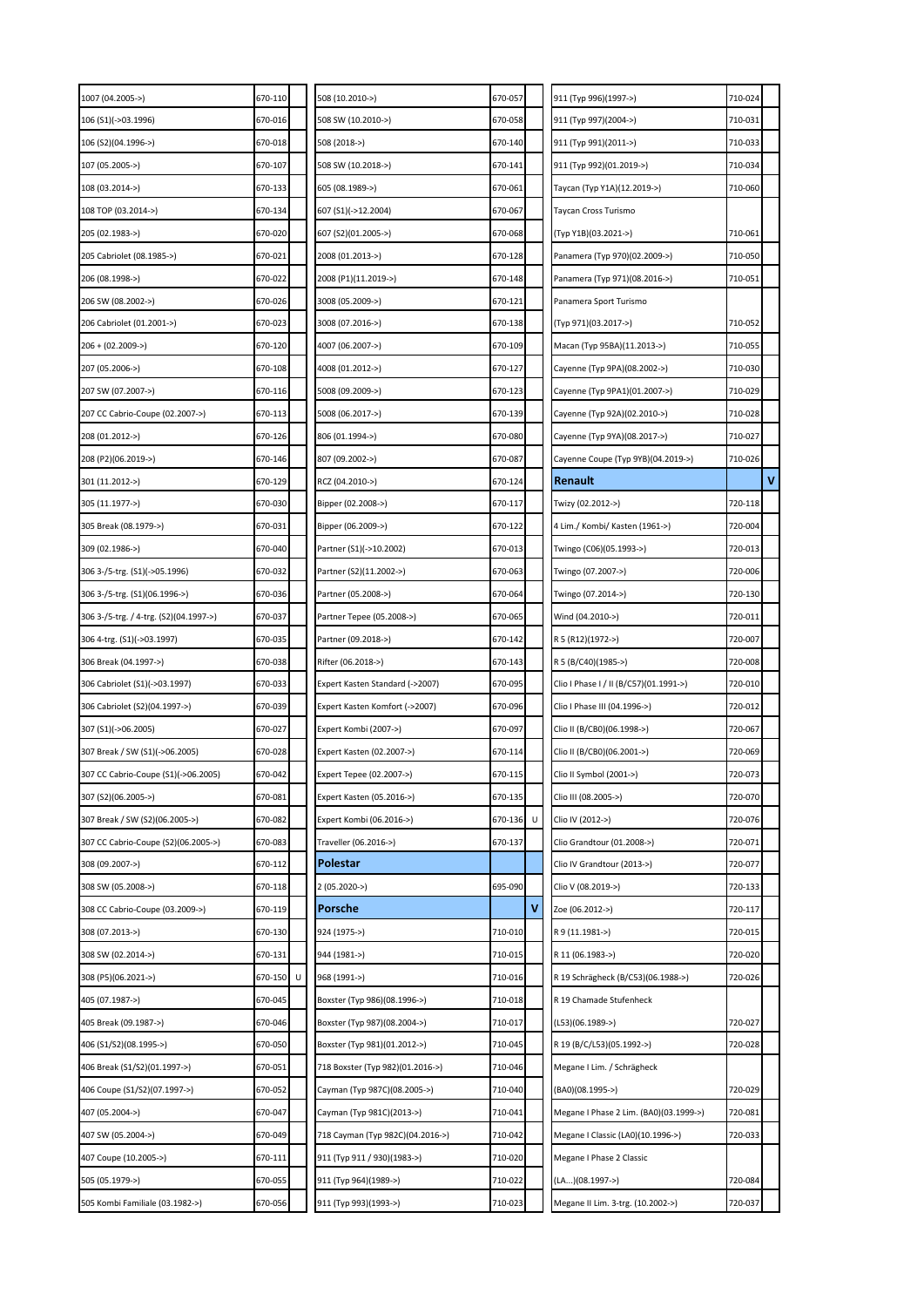| 1007 (04.2005->)                       | 670-110      | 508 (10.2010->)                  | 670-057 |   | 911 (Typ 996)(1997->)                  | 710-024 |   |
|----------------------------------------|--------------|----------------------------------|---------|---|----------------------------------------|---------|---|
| 106 (S1)(->03.1996)                    | 670-016      | 508 SW (10.2010->)               | 670-058 |   | 911 (Typ 997)(2004->)                  | 710-031 |   |
| 106 (S2)(04.1996->)                    | 670-018      | 508 (2018->)                     | 670-140 |   | 911 (Typ 991)(2011->)                  | 710-033 |   |
| 107 (05.2005->)                        | 670-107      | 508 SW (10.2018->)               | 670-141 |   | 911 (Typ 992)(01.2019->)               | 710-034 |   |
| 108 (03.2014->)                        | 670-133      | 605 (08.1989->)                  | 670-061 |   | Taycan (Typ Y1A)(12.2019->)            | 710-060 |   |
| 108 TOP (03.2014->)                    | 670-134      | 607 (S1)(->12.2004)              | 670-067 |   | Taycan Cross Turismo                   |         |   |
| 205 (02.1983->)                        | 670-020      | 607 (S2)(01.2005->)              | 670-068 |   | (Typ Y1B)(03.2021->)                   | 710-061 |   |
| 205 Cabriolet (08.1985->)              | 670-021      | 2008 (01.2013->)                 | 670-128 |   | Panamera (Typ 970)(02.2009->)          | 710-050 |   |
| 206 (08.1998->)                        | 670-022      | 2008 (P1)(11.2019->)             | 670-148 |   | Panamera (Typ 971)(08.2016->)          | 710-051 |   |
| 206 SW (08.2002->)                     | 670-026      | 3008 (05.2009->)                 | 670-121 |   | Panamera Sport Turismo                 |         |   |
| 206 Cabriolet (01.2001->)              | 670-023      | 3008 (07.2016->)                 | 670-138 |   | (Typ 971)(03.2017->)                   | 710-052 |   |
| 206 + (02.2009->)                      | 670-120      | 4007 (06.2007->)                 | 670-109 |   | Macan (Typ 95BA)(11.2013->)            | 710-055 |   |
| 207 (05.2006->)                        | 670-108      | 4008 (01.2012->)                 | 670-127 |   | Cayenne (Typ 9PA)(08.2002->)           | 710-030 |   |
| 207 SW (07.2007->)                     | 670-116      | 5008 (09.2009->)                 | 670-123 |   | Cayenne (Typ 9PA1)(01.2007->)          | 710-029 |   |
| 207 CC Cabrio-Coupe (02.2007->)        | 670-113      | 5008 (06.2017->)                 | 670-139 |   | Cayenne (Typ 92A)(02.2010->)           | 710-028 |   |
| 208 (01.2012->)                        | 670-126      | 806 (01.1994->)                  | 670-080 |   | Cayenne (Typ 9YA)(08.2017->)           | 710-027 |   |
| 208 (P2)(06.2019->)                    | 670-146      | 807 (09.2002->)                  | 670-087 |   | Cayenne Coupe (Typ 9YB)(04.2019->)     | 710-026 |   |
| 301 (11.2012->)                        | 670-129      | RCZ (04.2010->)                  | 670-124 |   | Renault                                |         | v |
| 305 (11.1977->)                        | 670-030      | Bipper (02.2008->)               | 670-117 |   | Twizy (02.2012->)                      | 720-118 |   |
| 305 Break (08.1979->)                  | 670-031      | Bipper (06.2009->)               | 670-122 |   | 4 Lim./ Kombi/ Kasten (1961->)         | 720-004 |   |
| 309 (02.1986->)                        | 670-040      | Partner (S1)(->10.2002)          | 670-013 |   | Twingo (C06)(05.1993->)                | 720-013 |   |
| 306 3-/5-trg. (S1)(->05.1996)          | 670-032      | Partner (S2)(11.2002->)          | 670-063 |   | Twingo (07.2007->)                     | 720-006 |   |
| 306 3-/5-trg. (S1)(06.1996->)          | 670-036      | Partner (05.2008->)              | 670-064 |   | Twingo (07.2014->)                     | 720-130 |   |
| 306 3-/5-trg. / 4-trg. (S2)(04.1997->) | 670-037      | Partner Tepee (05.2008->)        | 670-065 |   | Wind (04.2010->)                       | 720-011 |   |
| 306 4-trg. (S1)(->03.1997)             | 670-035      | Partner (09.2018->)              | 670-142 |   | R 5 (R12)(1972->)                      | 720-007 |   |
| 306 Break (04.1997->)                  | 670-038      | Rifter (06.2018->)               | 670-143 |   | R 5 (B/C40)(1985->)                    | 720-008 |   |
| 306 Cabriolet (S1)(->03.1997)          | 670-033      | Expert Kasten Standard (->2007)  | 670-095 |   | Clio I Phase I / II (B/C57)(01.1991->) | 720-010 |   |
| 306 Cabriolet (S2)(04.1997->)          | 670-039      | Expert Kasten Komfort (->2007)   | 670-096 |   | Clio I Phase III (04.1996->)           | 720-012 |   |
| 307 (S1)(->06.2005)                    | 670-027      | Expert Kombi (2007->)            | 670-097 |   | Clio II (B/CB0)(06.1998->)             | 720-067 |   |
| 307 Break / SW (S1)(->06.2005)         | 670-028      | Expert Kasten (02.2007->)        | 670-114 |   | Clio II (B/CB0)(06.2001->)             | 720-069 |   |
| 307 CC Cabrio-Coupe (S1)(->06.2005)    | 670-042      | Expert Tepee (02.2007->)         | 670-115 |   | Clio II Symbol (2001->)                | 720-073 |   |
| 307 (S2)(06.2005->)                    | 670-081      | Expert Kasten (05.2016->)        | 670-135 |   | Clio III (08.2005->)                   | 720-070 |   |
| 307 Break / SW (S2)(06.2005->)         | 670-082      | Expert Kombi (06.2016->)         | 670-136 | U | Clio IV (2012->)                       | 720-076 |   |
| 307 CC Cabrio-Coupe (S2)(06.2005->)    | 670-083      | Traveller (06.2016->)            | 670-137 |   | Clio Grandtour (01.2008->)             | 720-071 |   |
| 308 (09.2007->)                        | 670-112      | Polestar                         |         |   | Clio IV Grandtour (2013->)             | 720-077 |   |
| 308 SW (05.2008->)                     | 670-118      | 2 (05.2020->)                    | 695-090 |   | Clio V (08.2019->)                     | 720-133 |   |
| 308 CC Cabrio-Coupe (03.2009->)        | 670-119      | Porsche                          |         | v | Zoe (06.2012->)                        | 720-117 |   |
| 308 (07.2013->)                        | 670-130      | 924 (1975->)                     | 710-010 |   | R 9 (11.1981->)                        | 720-015 |   |
| 308 SW (02.2014->)                     | 670-131      | 944 (1981->)                     | 710-015 |   | R 11 (06.1983->)                       | 720-020 |   |
| 308 (P5)(06.2021->)                    | 670-150<br>U | 968 (1991->)                     | 710-016 |   | R 19 Schrägheck (B/C53)(06.1988->)     | 720-026 |   |
| 405 (07.1987->)                        | 670-045      | Boxster (Typ 986)(08.1996->)     | 710-018 |   | R 19 Chamade Stufenheck                |         |   |
| 405 Break (09.1987->)                  | 670-046      | Boxster (Typ 987)(08.2004->)     | 710-017 |   | (L53)(06.1989->)                       | 720-027 |   |
| 406 (S1/S2)(08.1995->)                 | 670-050      | Boxster (Typ 981)(01.2012->)     | 710-045 |   | R 19 (B/C/L53)(05.1992->)              | 720-028 |   |
| 406 Break (S1/S2)(01.1997->)           | 670-051      | 718 Boxster (Typ 982)(01.2016->) | 710-046 |   | Megane I Lim. / Schrägheck             |         |   |
| 406 Coupe (S1/S2)(07.1997->)           | 670-052      | Cayman (Typ 987C)(08.2005->)     | 710-040 |   | (BA0)(08.1995->)                       | 720-029 |   |
| 407 (05.2004->)                        | 670-047      | Cayman (Typ 981C)(2013->)        | 710-041 |   | Megane I Phase 2 Lim. (BA0)(03.1999->) | 720-081 |   |
| 407 SW (05.2004->)                     | 670-049      | 718 Cayman (Typ 982C)(04.2016->) | 710-042 |   | Megane I Classic (LA0)(10.1996->)      | 720-033 |   |
| 407 Coupe (10.2005->)                  | 670-111      | 911 (Typ 911 / 930)(1983->)      | 710-020 |   | Megane I Phase 2 Classic               |         |   |
| 505 (05.1979->)                        | 670-055      | 911 (Typ 964)(1989->)            | 710-022 |   | (LA)(08.1997->)                        | 720-084 |   |
| 505 Kombi Familiale (03.1982->)        | 670-056      | 911 (Тур 993)(1993->)            | 710-023 |   | Megane II Lim. 3-trg. (10.2002->)      | 720-037 |   |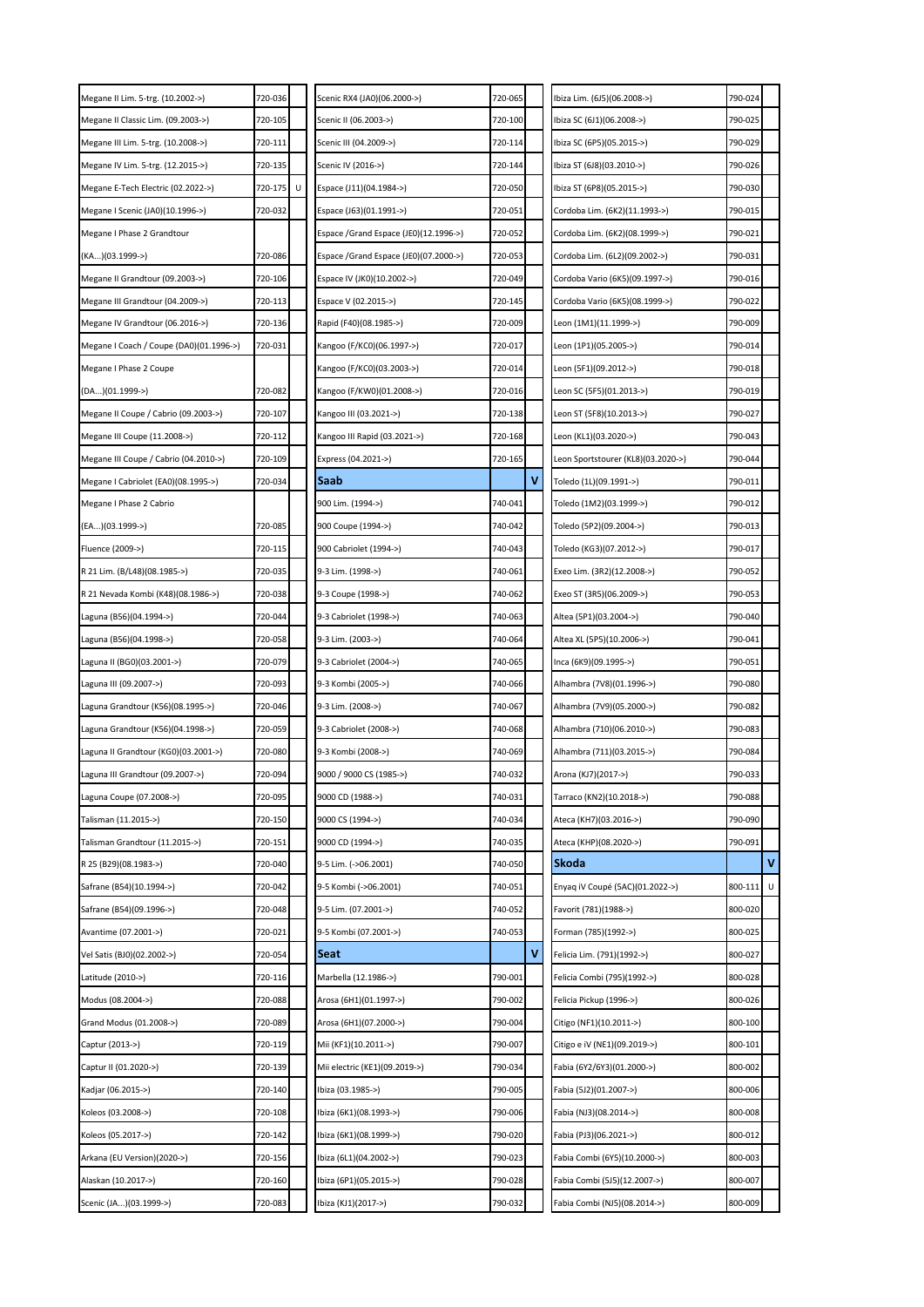| Megane II Lim. 5-trg. (10.2002->)       | 720-036      | Scenic RX4 (JA0)(06.2000->)           | 720-065 |   | Ibiza Lim. (6J5)(06.2008->)        | 790-024 |   |
|-----------------------------------------|--------------|---------------------------------------|---------|---|------------------------------------|---------|---|
| Megane II Classic Lim. (09.2003->)      | 720-105      | Scenic II (06.2003->)                 | 720-100 |   | Ibiza SC (6J1)(06.2008->)          | 790-025 |   |
| Megane III Lim. 5-trg. (10.2008->)      | 720-111      | Scenic III (04.2009->)                | 720-114 |   | Ibiza SC (6P5)(05.2015->)          | 790-029 |   |
| Megane IV Lim. 5-trg. (12.2015->)       | 720-135      | Scenic IV (2016->)                    | 720-144 |   | Ibiza ST (6J8)(03.2010->)          | 790-026 |   |
| Megane E-Tech Electric (02.2022->)      | 720-175<br>U | Espace (J11)(04.1984->)               | 720-050 |   | Ibiza ST (6P8)(05.2015->)          | 790-030 |   |
| Megane I Scenic (JA0)(10.1996->)        | 720-032      | Espace (J63)(01.1991->)               | 720-051 |   | Cordoba Lim. (6K2)(11.1993->)      | 790-015 |   |
| Megane I Phase 2 Grandtour              |              | Espace /Grand Espace (JE0)(12.1996->) | 720-052 |   | Cordoba Lim. (6K2)(08.1999->)      | 790-021 |   |
| (KA)(03.1999->)                         | 720-086      | Espace /Grand Espace (JE0)(07.2000->) | 720-053 |   | Cordoba Lim. (6L2)(09.2002->)      | 790-031 |   |
| Megane II Grandtour (09.2003->)         | 720-106      | Espace IV (JK0)(10.2002->)            | 720-049 |   | Cordoba Vario (6K5)(09.1997->)     | 790-016 |   |
| Megane III Grandtour (04.2009->)        | 720-113      | Espace V (02.2015->)                  | 720-145 |   | Cordoba Vario (6K5)(08.1999->)     | 790-022 |   |
| Megane IV Grandtour (06.2016->)         | 720-136      | Rapid (F40)(08.1985->)                | 720-009 |   | Leon (1M1)(11.1999->)              | 790-009 |   |
| Megane I Coach / Coupe (DA0)(01.1996->) | 720-031      | Kangoo (F/KC0)(06.1997->)             | 720-017 |   | Leon (1P1)(05.2005->)              | 790-014 |   |
| Megane I Phase 2 Coupe                  |              | Kangoo (F/KC0)(03.2003->)             | 720-014 |   | Leon (5F1)(09.2012->)              | 790-018 |   |
| (DA)(01.1999->)                         | 720-082      | Kangoo (F/KW0)(01.2008->)             | 720-016 |   | Leon SC (5F5)(01.2013->)           | 790-019 |   |
| Megane II Coupe / Cabrio (09.2003->)    | 720-107      | Kangoo III (03.2021->)                | 720-138 |   | Leon ST (5F8)(10.2013->)           | 790-027 |   |
| Megane III Coupe (11.2008->)            | 720-112      | Kangoo III Rapid (03.2021->)          | 720-168 |   | Leon (KL1)(03.2020->)              | 790-043 |   |
| Megane III Coupe / Cabrio (04.2010->)   | 720-109      | Express (04.2021->)                   | 720-165 |   | Leon Sportstourer (KL8)(03.2020->) | 790-044 |   |
| Megane I Cabriolet (EA0)(08.1995->)     | 720-034      | Saab                                  |         | ٧ | Toledo (1L)(09.1991->)             | 790-011 |   |
| Megane I Phase 2 Cabrio                 |              | 900 Lim. (1994->)                     | 740-041 |   | Toledo (1M2)(03.1999->)            | 790-012 |   |
| (EA)(03.1999->)                         | 720-085      | 900 Coupe (1994->)                    | 740-042 |   | Toledo (5P2)(09.2004->)            | 790-013 |   |
| Fluence (2009->)                        | 720-115      | 900 Cabriolet (1994->)                | 740-043 |   | Toledo (KG3)(07.2012->)            | 790-017 |   |
| R 21 Lim. (B/L48)(08.1985->)            | 720-035      | 9-3 Lim. (1998->)                     | 740-061 |   | Exeo Lim. (3R2)(12.2008->)         | 790-052 |   |
| R 21 Nevada Kombi (K48)(08.1986->)      | 720-038      | 9-3 Coupe (1998->)                    | 740-062 |   | Exeo ST (3R5)(06.2009->)           | 790-053 |   |
| aguna (B56)(04.1994->).                 | 720-044      | 9-3 Cabriolet (1998->)                | 740-063 |   | Altea (5P1)(03.2004->)             | 790-040 |   |
| Laguna (B56)(04.1998->)                 | 720-058      | 9-3 Lim. (2003->)                     | 740-064 |   | Altea XL (5P5)(10.2006->)          | 790-041 |   |
| Laguna II (BG0)(03.2001->)              | 720-079      | 9-3 Cabriolet (2004->)                | 740-065 |   | Inca (6K9)(09.1995->)              | 790-051 |   |
| Laguna III (09.2007->)                  | 720-093      | 9-3 Kombi (2005->)                    | 740-066 |   | Alhambra (7V8)(01.1996->)          | 790-080 |   |
| aguna Grandtour (K56)(08.1995->).       | 720-046      | 9-3 Lim. (2008->)                     | 740-067 |   | Alhambra (7V9)(05.2000->)          | 790-082 |   |
| aguna Grandtour (K56)(04.1998->).       | 720-059      | 9-3 Cabriolet (2008->)                | 740-068 |   | Alhambra (710)(06.2010->)          | 790-083 |   |
| Laguna II Grandtour (KG0)(03.2001->)    | 720-080      | 9-3 Kombi (2008->)                    | 740-069 |   | Alhambra (711)(03.2015->)          | 790-084 |   |
| Laguna III Grandtour (09.2007->)        | 720-094      | 9000 / 9000 CS (1985->)               | 740-032 |   | Arona (KJ7)(2017->)                | 790-033 |   |
| Laguna Coupe (07.2008->)                | 720-095      | 9000 CD (1988->)                      | 740-031 |   | Tarraco (KN2)(10.2018->)           | 790-088 |   |
| Talisman (11.2015->)                    | 720-150      | 9000 CS (1994->)                      | 740-034 |   | Ateca (KH7)(03.2016->)             | 790-090 |   |
| Talisman Grandtour (11.2015->)          | 720-151      | 9000 CD (1994->)                      | 740-035 |   | Ateca (KHP)(08.2020->)             | 790-091 |   |
| R 25 (B29)(08.1983->)                   | 720-040      | 9-5 Lim. (->06.2001)                  | 740-050 |   | Skoda                              |         | v |
| Safrane (B54)(10.1994->)                | 720-042      | 9-5 Kombi (->06.2001)                 | 740-051 |   | Enyaq iV Coupé (5AC)(01.2022->)    | 800-111 | U |
| Safrane (B54)(09.1996->)                | 720-048      | 9-5 Lim. (07.2001->)                  | 740-052 |   | Favorit (781)(1988->)              | 800-020 |   |
| Avantime (07.2001->)                    | 720-021      | 9-5 Kombi (07.2001->)                 | 740-053 |   | Forman (785)(1992->)               | 800-025 |   |
| Vel Satis (BJ0)(02.2002->)              | 720-054      | Seat                                  |         | ٧ | Felicia Lim. (791)(1992->)         | 800-027 |   |
| Latitude (2010->)                       | 720-116      | Marbella (12.1986->)                  | 790-001 |   | Felicia Combi (795)(1992->)        | 800-028 |   |
| Modus (08.2004->)                       | 720-088      | Arosa (6H1)(01.1997->)                | 790-002 |   | Felicia Pickup (1996->)            | 800-026 |   |
| Grand Modus (01.2008->)                 | 720-089      | Arosa (6H1)(07.2000->)                | 790-004 |   | Citigo (NF1)(10.2011->)            | 800-100 |   |
| Captur (2013->)                         | 720-119      | Mii (KF1)(10.2011->)                  | 790-007 |   | Citigo e iV (NE1)(09.2019->)       | 800-101 |   |
| Captur II (01.2020->)                   | 720-139      | Mii electric (KE1)(09.2019->)         | 790-034 |   | Fabia (6Y2/6Y3)(01.2000->)         | 800-002 |   |
| Kadjar (06.2015->)                      | 720-140      | Ibiza (03.1985->)                     | 790-005 |   | Fabia (5J2)(01.2007->)             | 800-006 |   |
| Koleos (03.2008->)                      | 720-108      | lbiza (6K1)(08.1993->)                | 790-006 |   | Fabia (NJ3)(08.2014->)             | 800-008 |   |
| Koleos (05.2017->)                      | 720-142      | lbiza (6K1)(08.1999->)                | 790-020 |   | Fabia (PJ3)(06.2021->)             | 800-012 |   |
| Arkana (EU Version)(2020->)             | 720-156      | Ibiza (6L1)(04.2002->)                | 790-023 |   | Fabia Combi (6Y5)(10.2000->)       | 800-003 |   |
| Alaskan (10.2017->)                     | 720-160      | lbiza (6P1)(05.2015->)                | 790-028 |   | Fabia Combi (5J5)(12.2007->)       | 800-007 |   |
| Scenic (JA)(03.1999->)                  | 720-083      | lbiza (KJ1)(2017->)                   | 790-032 |   | Fabia Combi (NJ5)(08.2014->)       | 800-009 |   |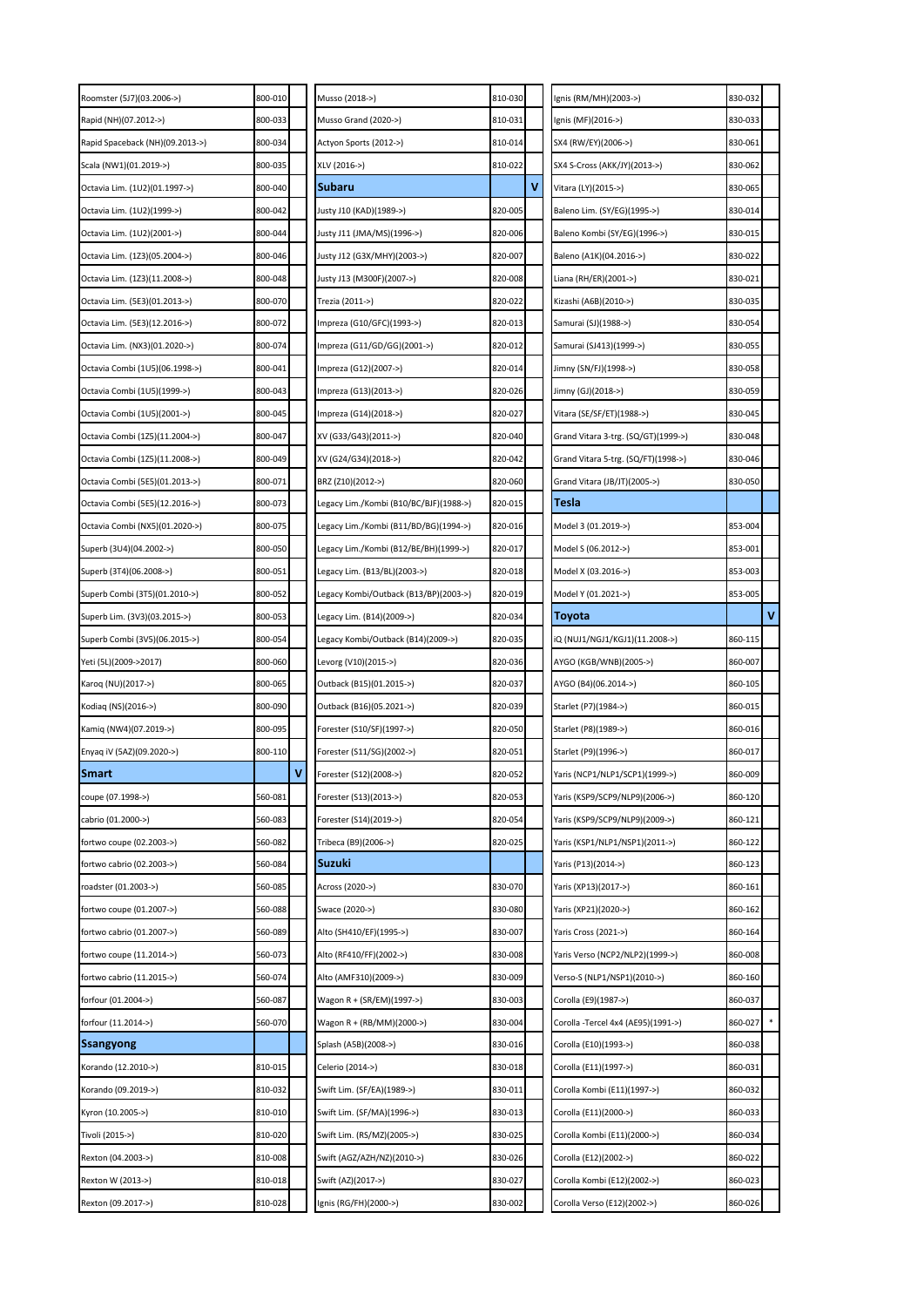| Roomster (5J7)(03.2006->)       | 800-010 |   | Musso (2018->)                         | 810-030 |   | Ignis (RM/MH)(2003->)               | 830-032 |              |
|---------------------------------|---------|---|----------------------------------------|---------|---|-------------------------------------|---------|--------------|
| Rapid (NH)(07.2012->)           | 800-033 |   | Musso Grand (2020->)                   | 810-031 |   | Ignis (MF)(2016->)                  | 830-033 |              |
| Rapid Spaceback (NH)(09.2013->) | 800-034 |   | Actyon Sports (2012->)                 | 810-014 |   | SX4 (RW/EY)(2006->)                 | 830-061 |              |
| Scala (NW1)(01.2019->)          | 800-035 |   | XLV (2016->)                           | 810-022 |   | SX4 S-Cross (AKK/JY)(2013->)        | 830-062 |              |
| Octavia Lim. (1U2)(01.1997->)   | 800-040 |   | Subaru                                 |         | ۷ | Vitara (LY)(2015->)                 | 830-065 |              |
| Octavia Lim. (1U2)(1999->)      | 800-042 |   | Justy J10 (KAD)(1989->)                | 820-005 |   | Baleno Lim. (SY/EG)(1995->)         | 830-014 |              |
| Octavia Lim. (1U2)(2001->)      | 800-044 |   | Justy J11 (JMA/MS)(1996->)             | 820-006 |   | Baleno Kombi (SY/EG)(1996->)        | 830-015 |              |
| Octavia Lim. (1Z3)(05.2004->)   | 800-046 |   | Justy J12 (G3X/MHY)(2003->)            | 820-007 |   | Baleno (A1K)(04.2016->)             | 830-022 |              |
| Octavia Lim. (1Z3)(11.2008->)   | 800-048 |   | Justy J13 (M300F)(2007->)              | 820-008 |   | Liana (RH/ER)(2001->)               | 830-021 |              |
| Octavia Lim. (5E3)(01.2013->)   | 800-070 |   | Trezia (2011->)                        | 820-022 |   | Kizashi (A6B)(2010->)               | 830-035 |              |
| Octavia Lim. (5E3)(12.2016->)   | 800-072 |   | mpreza (G10/GFC)(1993->)               | 820-013 |   | Samurai (SJ)(1988->)                | 830-054 |              |
| Octavia Lim. (NX3)(01.2020->)   | 800-074 |   | mpreza (G11/GD/GG)(2001->)             | 820-012 |   | Samurai (SJ413)(1999->)             | 830-055 |              |
| Octavia Combi (1U5)(06.1998->)  | 800-041 |   | Impreza (G12)(2007->)                  | 820-014 |   | Jimny (SN/FJ)(1998->)               | 830-058 |              |
| Octavia Combi (1U5)(1999->)     | 800-043 |   | Impreza (G13)(2013->)                  | 820-026 |   | Jimny (GJ)(2018->)                  | 830-059 |              |
| Octavia Combi (1U5)(2001->)     | 800-045 |   | Impreza (G14)(2018->)                  | 820-027 |   | Vitara (SE/SF/ET)(1988->)           | 830-045 |              |
| Octavia Combi (1Z5)(11.2004->)  | 800-047 |   | XV (G33/G43)(2011->)                   | 820-040 |   | Grand Vitara 3-trg. (SQ/GT)(1999->) | 830-048 |              |
| Octavia Combi (1Z5)(11.2008->)  | 800-049 |   | XV (G24/G34)(2018->)                   | 820-042 |   | Grand Vitara 5-trg. (SQ/FT)(1998->) | 830-046 |              |
| Octavia Combi (5E5)(01.2013->)  | 800-071 |   | BRZ (Z10)(2012->)                      | 820-060 |   | Grand Vitara (JB/JT)(2005->)        | 830-050 |              |
| Octavia Combi (5E5)(12.2016->)  | 800-073 |   | Legacy Lim./Kombi (B10/BC/BJF)(1988->) | 820-015 |   | Tesla                               |         |              |
| Octavia Combi (NX5)(01.2020->)  | 800-075 |   | egacy Lim./Kombi (B11/BD/BG)(1994->)   | 820-016 |   | Model 3 (01.2019->)                 | 853-004 |              |
| Superb (3U4)(04.2002->)         | 800-050 |   | Legacy Lim./Kombi (B12/BE/BH)(1999->)  | 820-017 |   | Model S (06.2012->)                 | 853-001 |              |
| Superb (3T4)(06.2008->)         | 800-051 |   | Legacy Lim. (B13/BL)(2003->)           | 820-018 |   | Model X (03.2016->)                 | 853-003 |              |
| Superb Combi (3T5)(01.2010->)   | 800-052 |   | egacy Kombi/Outback (B13/BP)(2003->).  | 820-019 |   | Model Y (01.2021->)                 | 853-005 |              |
| Superb Lim. (3V3)(03.2015->)    | 800-053 |   | Legacy Lim. (B14)(2009->)              | 820-034 |   | Toyota                              |         | $\mathbf{V}$ |
| Superb Combi (3V5)(06.2015->)   | 800-054 |   | Legacy Kombi/Outback (B14)(2009->)     | 820-035 |   | iQ (NUJ1/NGJ1/KGJ1)(11.2008->)      | 860-115 |              |
|                                 |         |   |                                        |         |   |                                     |         |              |
| Yeti (5L)(2009->2017)           | 800-060 |   | Levorg (V10)(2015->)                   | 820-036 |   | AYGO (KGB/WNB)(2005->)              | 860-007 |              |
| Karoq (NU)(2017->)              | 800-065 |   | Outback (B15)(01.2015->)               | 820-037 |   | AYGO (B4)(06.2014->)                | 860-105 |              |
| Kodiaq (NS)(2016->)             | 800-090 |   | Outback (B16)(05.2021->)               | 820-039 |   | Starlet (P7)(1984->)                | 860-015 |              |
| Kamiq (NW4)(07.2019->)          | 800-095 |   | Forester (S10/SF)(1997->)              | 820-050 |   | Starlet (P8)(1989->)                | 860-016 |              |
| Enyaq iV (5AZ)(09.2020->)       | 800-110 |   | Forester (S11/SG)(2002->)              | 820-051 |   | Starlet (P9)(1996->)                | 860-017 |              |
| <b>Smart</b>                    |         | ν | Forester (S12)(2008->)                 | 820-052 |   | Yaris (NCP1/NLP1/SCP1)(1999->)      | 860-009 |              |
| coupe (07.1998->)               | 560-081 |   | Forester (S13)(2013->)                 | 820-053 |   | Yaris (KSP9/SCP9/NLP9)(2006->)      | 860-120 |              |
| cabrio (01.2000->)              | 560-083 |   | Forester (S14)(2019->)                 | 820-054 |   | Yaris (KSP9/SCP9/NLP9)(2009->)      | 860-121 |              |
| fortwo coupe (02.2003->)        | 560-082 |   | Tribeca (B9)(2006->)                   | 820-025 |   | Yaris (KSP1/NLP1/NSP1)(2011->)      | 860-122 |              |
| fortwo cabrio (02.2003->)       | 560-084 |   | Suzuki                                 |         |   | Yaris (P13)(2014->)                 | 860-123 |              |
| roadster (01.2003->)            | 560-085 |   | Across (2020->)                        | 830-070 |   | Yaris (XP13)(2017->)                | 860-161 |              |
| fortwo coupe (01.2007->)        | 560-088 |   | Swace (2020->)                         | 830-080 |   | Yaris (XP21)(2020->)                | 860-162 |              |
| fortwo cabrio (01.2007->)       | 560-089 |   | Alto (SH410/EF)(1995->)                | 830-007 |   | Yaris Cross (2021->)                | 860-164 |              |
| fortwo coupe (11.2014->)        | 560-073 |   | Alto (RF410/FF)(2002->)                | 830-008 |   | Yaris Verso (NCP2/NLP2)(1999->)     | 860-008 |              |
| fortwo cabrio (11.2015->)       | 560-074 |   | Alto (AMF310)(2009->)                  | 830-009 |   | Verso-S (NLP1/NSP1)(2010->)         | 860-160 |              |
| forfour (01.2004->)             | 560-087 |   | Wagon R + (SR/EM)(1997->)              | 830-003 |   | Corolla (E9)(1987->)                | 860-037 |              |
| forfour (11.2014->)             | 560-070 |   | Wagon R + (RB/MM)(2000->)              | 830-004 |   | Corolla -Tercel 4x4 (AE95)(1991->)  | 860-027 |              |
| <b>Ssangyong</b>                |         |   | Splash (A5B)(2008->)                   | 830-016 |   | Corolla (E10)(1993->)               | 860-038 |              |
| Korando (12.2010->)             | 810-015 |   | Celerio (2014->)                       | 830-018 |   | Corolla (E11)(1997->)               | 860-031 |              |
| Korando (09.2019->)             | 810-032 |   | Swift Lim. (SF/EA)(1989->)             | 830-011 |   | Corolla Kombi (E11)(1997->)         | 860-032 |              |
| Kyron (10.2005->)               | 810-010 |   | Swift Lim. (SF/MA)(1996->)             | 830-013 |   | Corolla (E11)(2000->)               | 860-033 |              |
| Tivoli (2015->)                 | 810-020 |   | Swift Lim. (RS/MZ)(2005->)             | 830-025 |   | Corolla Kombi (E11)(2000->)         | 860-034 |              |
| Rexton (04.2003->)              | 810-008 |   | Swift (AGZ/AZH/NZ)(2010->)             | 830-026 |   | Corolla (E12)(2002->)               | 860-022 |              |
| Rexton W (2013->)               | 810-018 |   | Swift (AZ)(2017->)                     | 830-027 |   | Corolla Kombi (E12)(2002->)         | 860-023 |              |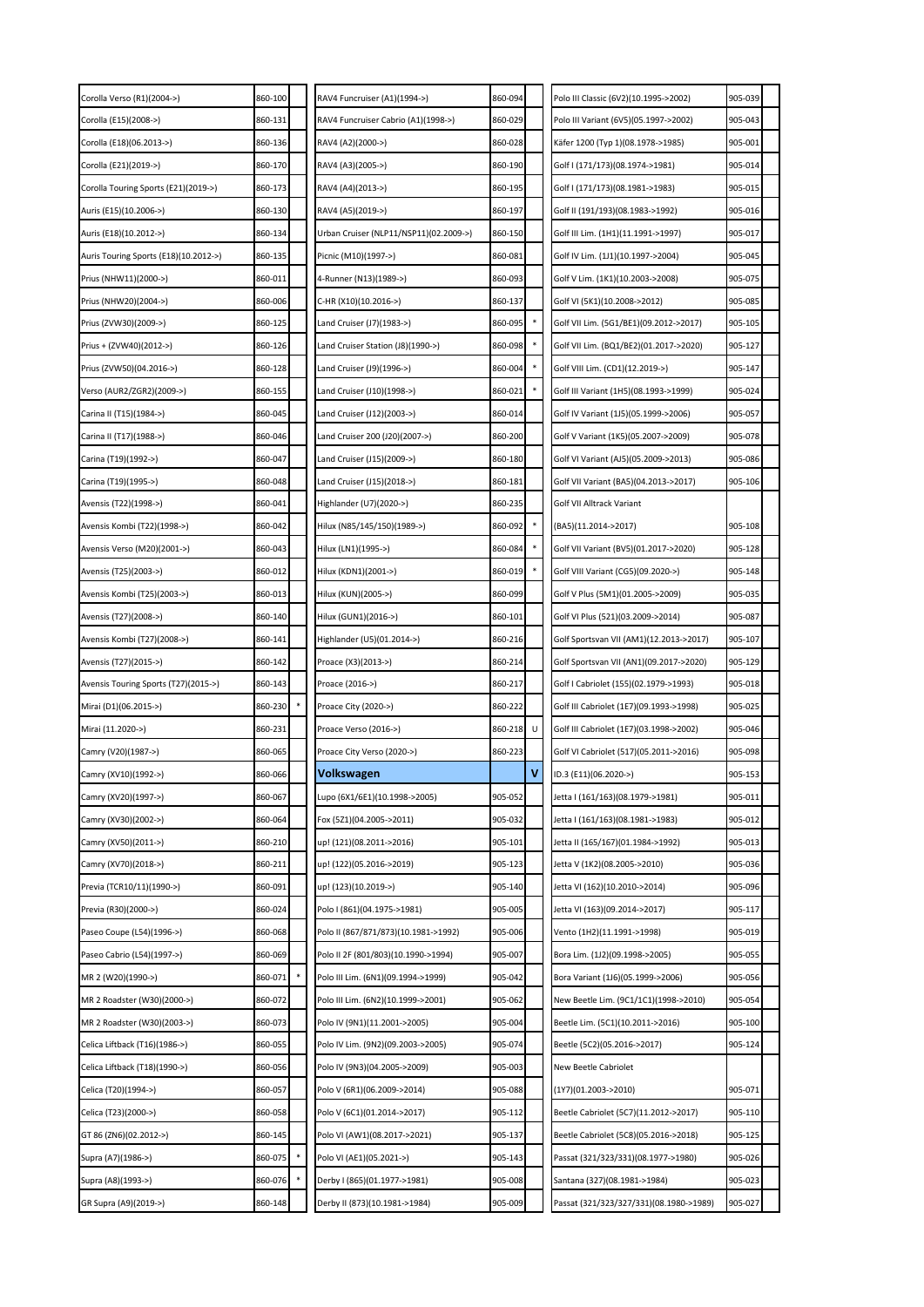| Corolla Verso (R1)(2004->)            | 860-100 | RAV4 Funcruiser (A1)(1994->)           | 860-094 |   | Polo III Classic (6V2)(10.1995->2002)   | 905-039 |  |
|---------------------------------------|---------|----------------------------------------|---------|---|-----------------------------------------|---------|--|
| Corolla (E15)(2008->)                 | 860-131 | RAV4 Funcruiser Cabrio (A1)(1998->)    | 860-029 |   | Polo III Variant (6V5)(05.1997->2002)   | 905-043 |  |
| Corolla (E18)(06.2013->)              | 860-136 | RAV4 (A2)(2000->)                      | 860-028 |   | Käfer 1200 (Typ 1)(08.1978->1985)       | 905-001 |  |
| Corolla (E21)(2019->)                 | 860-170 | RAV4 (A3)(2005->)                      | 860-190 |   | Golf I (171/173)(08.1974->1981)         | 905-014 |  |
| Corolla Touring Sports (E21)(2019->)  | 860-173 | RAV4 (A4)(2013->)                      | 860-195 |   | Golf I (171/173)(08.1981->1983)         | 905-015 |  |
| Auris (E15)(10.2006->)                | 860-130 | RAV4 (A5)(2019->)                      | 860-197 |   | Golf II (191/193)(08.1983->1992)        | 905-016 |  |
| Auris (E18)(10.2012->)                | 860-134 | Urban Cruiser (NLP11/NSP11)(02.2009->) | 860-150 |   | Golf III Lim. (1H1)(11.1991->1997)      | 905-017 |  |
| Auris Touring Sports (E18)(10.2012->) | 860-135 | Picnic (M10)(1997->)                   | 860-081 |   | Golf IV Lim. (1J1)(10.1997->2004)       | 905-045 |  |
| Prius (NHW11)(2000->)                 | 860-011 | 4-Runner (N13)(1989->)                 | 860-093 |   | Golf V Lim. (1K1)(10.2003->2008)        | 905-075 |  |
| Prius (NHW20)(2004->)                 | 860-006 | C-HR (X10)(10.2016->)                  | 860-137 |   | Golf VI (5K1)(10.2008->2012)            | 905-085 |  |
| Prius (ZVW30)(2009->)                 | 860-125 | .and Cruiser (J7)(1983->)              | 860-095 |   | Golf VII Lim. (5G1/BE1)(09.2012->2017)  | 905-105 |  |
| Prius + (ZVW40)(2012->)               | 860-126 | Land Cruiser Station (J8)(1990->)      | 860-098 |   | Golf VII Lim. (BQ1/BE2)(01.2017->2020)  | 905-127 |  |
| Prius (ZVW50)(04.2016->)              | 860-128 | Land Cruiser (J9)(1996->)              | 860-004 |   | Golf VIII Lim. (CD1)(12.2019->)         | 905-147 |  |
| Verso (AUR2/ZGR2)(2009->)             | 860-155 | Land Cruiser (J10)(1998->)             | 860-021 |   | Golf III Variant (1H5)(08.1993->1999)   | 905-024 |  |
| Carina II (T15)(1984->)               | 860-045 | Land Cruiser (J12)(2003->)             | 860-014 |   | Golf IV Variant (1J5)(05.1999->2006)    | 905-057 |  |
| Carina II (T17)(1988->)               | 860-046 | .and Cruiser 200 (J20)(2007->)         | 860-200 |   | Golf V Variant (1K5)(05.2007->2009)     | 905-078 |  |
| Carina (T19)(1992->)                  | 860-047 | Land Cruiser (J15)(2009->)             | 860-180 |   | Golf VI Variant (AJ5)(05.2009->2013)    | 905-086 |  |
| Carina (T19)(1995->)                  | 860-048 | Land Cruiser (J15)(2018->)             | 860-181 |   | Golf VII Variant (BA5)(04.2013->2017)   | 905-106 |  |
| Avensis (T22)(1998->)                 | 860-041 | Highlander (U7)(2020->)                | 860-235 |   | Golf VII Alltrack Variant               |         |  |
| Avensis Kombi (T22)(1998->)           | 860-042 | Hilux (N85/145/150)(1989->)            | 860-092 |   | (BA5)(11.2014->2017)                    | 905-108 |  |
| Avensis Verso (M20)(2001->)           | 860-043 | Hilux (LN1)(1995->)                    | 860-084 |   | Golf VII Variant (BV5)(01.2017->2020)   | 905-128 |  |
| Avensis (T25)(2003->)                 | 860-012 | Hilux (KDN1)(2001->)                   | 860-019 |   | Golf VIII Variant (CG5)(09.2020->)      | 905-148 |  |
| Avensis Kombi (T25)(2003->)           | 860-013 | Hilux (KUN)(2005->)                    | 860-099 |   | Golf V Plus (5M1)(01.2005->2009)        | 905-035 |  |
| Avensis (T27)(2008->)                 | 860-140 | Hilux (GUN1)(2016->)                   | 860-101 |   | Golf VI Plus (521)(03.2009->2014)       | 905-087 |  |
| Avensis Kombi (T27)(2008->)           | 860-141 | Highlander (U5)(01.2014->)             | 860-216 |   | Golf Sportsvan VII (AM1)(12.2013->2017) | 905-107 |  |
| Avensis (T27)(2015->)                 | 860-142 | Proace (X3)(2013->)                    | 860-214 |   | Golf Sportsvan VII (AN1)(09.2017->2020) | 905-129 |  |
| Avensis Touring Sports (T27)(2015->)  | 860-143 | Proace (2016->)                        | 860-217 |   | Golf I Cabriolet (155)(02.1979->1993)   | 905-018 |  |
| Mirai (D1)(06.2015->)                 | 860-230 | Proace City (2020->)                   | 860-222 |   | Golf III Cabriolet (1E7)(09.1993->1998) | 905-025 |  |
|                                       |         |                                        |         |   | Golf III Cabriolet (1E7)(03.1998->2002) |         |  |
| Mirai (11.2020->)                     | 860-231 | Proace Verso (2016->)                  | 860-218 | U |                                         | 905-046 |  |
| Camry (V20)(1987->)                   | 860-065 | Proace City Verso (2020->)             | 860-223 |   | Golf VI Cabriolet (517)(05.2011->2016)  | 905-098 |  |
| Camry (XV10)(1992->)                  | 860-066 | Volkswagen                             |         |   | ID.3 (E11)(06.2020->)                   | 905-153 |  |
| Camry (XV20)(1997->)                  | 860-067 | Lupo (6X1/6E1)(10.1998->2005)          | 905-052 |   | Jetta I (161/163)(08.1979->1981)        | 905-011 |  |
| Camry (XV30)(2002->)                  | 860-064 | Fox (5Z1)(04.2005->2011)               | 905-032 |   | Jetta I (161/163)(08.1981->1983)        | 905-012 |  |
| Camry (XV50)(2011->)                  | 860-210 | up! (121)(08.2011->2016)               | 905-101 |   | Jetta II (165/167)(01.1984->1992)       | 905-013 |  |
| Camry (XV70)(2018->)                  | 860-211 | up! (122)(05.2016->2019)               | 905-123 |   | Jetta V (1K2)(08.2005->2010)            | 905-036 |  |
| Previa (TCR10/11)(1990->)             | 860-091 | up! (123)(10.2019->)                   | 905-140 |   | Jetta VI (162)(10.2010->2014)           | 905-096 |  |
| Previa (R30)(2000->)                  | 860-024 | Polo I (861)(04.1975->1981)            | 905-005 |   | Jetta VI (163)(09.2014->2017)           | 905-117 |  |
| Paseo Coupe (L54)(1996->)             | 860-068 | Polo II (867/871/873)(10.1981->1992)   | 905-006 |   | Vento (1H2)(11.1991->1998)              | 905-019 |  |
| Paseo Cabrio (L54)(1997->)            | 860-069 | Polo II 2F (801/803)(10.1990->1994)    | 905-007 |   | Bora Lim. (1J2)(09.1998->2005)          | 905-055 |  |
| MR 2 (W20)(1990->)                    | 860-071 | Polo III Lim. (6N1)(09.1994->1999)     | 905-042 |   | Bora Variant (1J6)(05.1999->2006)       | 905-056 |  |
| MR 2 Roadster (W30)(2000->)           | 860-072 | Polo III Lim. (6N2)(10.1999->2001)     | 905-062 |   | New Beetle Lim. (9C1/1C1)(1998->2010)   | 905-054 |  |
| MR 2 Roadster (W30)(2003->)           | 860-073 | Polo IV (9N1)(11.2001->2005)           | 905-004 |   | Beetle Lim. (5C1)(10.2011->2016)        | 905-100 |  |
| Celica Liftback (T16)(1986->)         | 860-055 | Polo IV Lim. (9N2)(09.2003->2005)      | 905-074 |   | Beetle (5C2)(05.2016->2017)             | 905-124 |  |
| Celica Liftback (T18)(1990->)         | 860-056 | Polo IV (9N3)(04.2005->2009)           | 905-003 |   | New Beetle Cabriolet                    |         |  |
| Celica (T20)(1994->)                  | 860-057 | Polo V (6R1)(06.2009->2014)            | 905-088 |   | (1Y7)(01.2003->2010)                    | 905-071 |  |
| Celica (T23)(2000->)                  | 860-058 | Polo V (6C1)(01.2014->2017)            | 905-112 |   | Beetle Cabriolet (5C7)(11.2012->2017)   | 905-110 |  |
| GT 86 (ZN6)(02.2012->)                | 860-145 | Polo VI (AW1)(08.2017->2021)           | 905-137 |   | Beetle Cabriolet (5C8)(05.2016->2018)   | 905-125 |  |
| Supra (A7)(1986->)                    | 860-075 | Polo VI (AE1)(05.2021->)               | 905-143 |   | Passat (321/323/331)(08.1977->1980)     | 905-026 |  |
| Supra (A8)(1993->)                    | 860-076 | Derby I (865)(01.1977->1981)           | 905-008 |   | Santana (327)(08.1981->1984)            | 905-023 |  |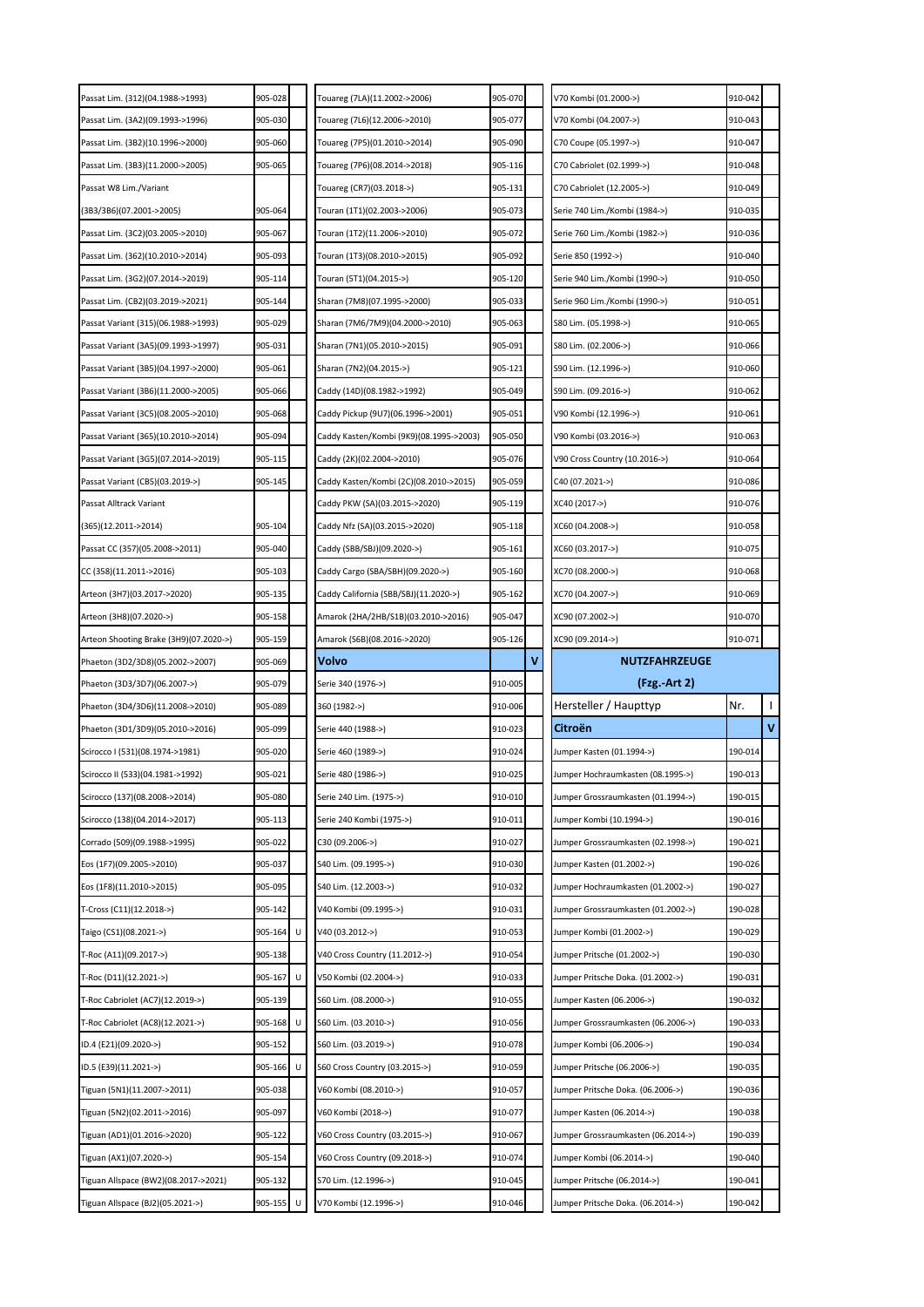| Passat Lim. (312)(04.1988->1993)       | 905-028      | Touareg (7LA)(11.2002->2006)            | 905-070 | V70 Kombi (01.2000->)              | 910-042 |             |
|----------------------------------------|--------------|-----------------------------------------|---------|------------------------------------|---------|-------------|
| Passat Lim. (3A2)(09.1993->1996)       | 905-030      | Touareg (7L6)(12.2006->2010)            | 905-077 | V70 Kombi (04.2007->)              | 910-043 |             |
| Passat Lim. (3B2)(10.1996->2000)       | 905-060      | Touareg (7P5)(01.2010->2014)            | 905-090 | C70 Coupe (05.1997->)              | 910-047 |             |
| Passat Lim. (3B3)(11.2000->2005)       | 905-065      | Touareg (7P6)(08.2014->2018)            | 905-116 | C70 Cabriolet (02.1999->)          | 910-048 |             |
| Passat W8 Lim./Variant                 |              | Touareg (CR7)(03.2018->)                | 905-131 | C70 Cabriolet (12.2005->)          | 910-049 |             |
| (3B3/3B6)(07.2001->2005)               | 905-064      | Touran (1T1)(02.2003->2006)             | 905-073 | Serie 740 Lim./Kombi (1984->)      | 910-035 |             |
| Passat Lim. (3C2)(03.2005->2010)       | 905-067      | Touran (1T2)(11.2006->2010)             | 905-072 | Serie 760 Lim./Kombi (1982->)      | 910-036 |             |
| Passat Lim. (362)(10.2010->2014)       | 905-093      | Touran (1T3)(08.2010->2015)             | 905-092 | Serie 850 (1992->)                 | 910-040 |             |
| Passat Lim. (3G2)(07.2014->2019)       | 905-114      | Touran (5T1)(04.2015->)                 | 905-120 | Serie 940 Lim./Kombi (1990->)      | 910-050 |             |
| Passat Lim. (CB2)(03.2019->2021)       | 905-144      | Sharan (7M8)(07.1995->2000)             | 905-033 | Serie 960 Lim./Kombi (1990->)      | 910-051 |             |
| Passat Variant (315)(06.1988->1993)    | 905-029      | Sharan (7M6/7M9)(04.2000->2010)         | 905-063 | S80 Lim. (05.1998->)               | 910-065 |             |
| Passat Variant (3A5)(09.1993->1997)    | 905-031      | Sharan (7N1)(05.2010->2015)             | 905-091 | S80 Lim. (02.2006->)               | 910-066 |             |
| Passat Variant (3B5)(04.1997->2000)    | 905-061      | Sharan (7N2)(04.2015->)                 | 905-12: | S90 Lim. (12.1996->)               | 910-060 |             |
| Passat Variant (3B6)(11.2000->2005)    | 905-066      | Caddy (14D)(08.1982->1992)              | 905-049 | S90 Lim. (09.2016->)               | 910-062 |             |
| Passat Variant (3C5)(08.2005->2010)    | 905-068      | Caddy Pickup (9U7)(06.1996->2001)       | 905-051 | V90 Kombi (12.1996->)              | 910-061 |             |
| Passat Variant (365)(10.2010->2014)    | 905-094      | Caddy Kasten/Kombi (9K9)(08.1995->2003) | 905-050 | V90 Kombi (03.2016->)              | 910-063 |             |
| Passat Variant (3G5)(07.2014->2019)    | 905-115      | Caddy (2K)(02.2004->2010)               | 905-076 | V90 Cross Country (10.2016->)      | 910-064 |             |
| Passat Variant (CB5)(03.2019->)        | 905-145      | Caddy Kasten/Kombi (2C)(08.2010->2015)  | 905-059 | C40 (07.2021->)                    | 910-086 |             |
| Passat Alltrack Variant                |              | Caddy PKW (SA)(03.2015->2020)           | 905-119 | XC40 (2017->)                      | 910-076 |             |
| (365)(12.2011->2014)                   | 905-104      | Caddy Nfz (SA)(03.2015->2020)           | 905-118 | XC60 (04.2008->)                   | 910-058 |             |
| Passat CC (357)(05.2008->2011)         | 905-040      | Caddy (SBB/SBJ)(09.2020->)              | 905-161 | XC60 (03.2017->)                   | 910-075 |             |
| CC (358)(11.2011->2016)                | 905-103      | Caddy Cargo (SBA/SBH)(09.2020->)        | 905-160 | XC70 (08.2000->)                   | 910-068 |             |
| Arteon (3H7)(03.2017->2020)            | 905-135      | Caddy California (SBB/SBJ)(11.2020->)   | 905-162 | XC70 (04.2007->)                   | 910-069 |             |
| Arteon (3H8)(07.2020->)                | 905-158      | Amarok (2HA/2HB/S1B)(03.2010->2016)     | 905-047 | XC90 (07.2002->)                   | 910-070 |             |
| Arteon Shooting Brake (3H9)(07.2020->) | 905-159      | Amarok (S6B)(08.2016->2020)             | 905-126 | XC90 (09.2014->)                   | 910-071 |             |
|                                        |              |                                         |         |                                    |         |             |
| Phaeton (3D2/3D8)(05.2002->2007)       | 905-069      | Volvo                                   | v       | <b>NUTZFAHRZEUGE</b>               |         |             |
| Phaeton (3D3/3D7)(06.2007->)           | 905-079      | Serie 340 (1976->)                      | 910-005 | (Fzg. Art 2)                       |         |             |
| Phaeton (3D4/3D6)(11.2008->2010)       | 905-089      | 360 (1982->)                            | 910-006 | Hersteller / Haupttyp              | Nr.     |             |
| Phaeton (3D1/3D9)(05.2010->2016)       | 905-099      | Serie 440 (1988->)                      | 910-023 | Citroën                            |         | $\mathbf v$ |
| Scirocco I (531)(08.1974->1981)        | 905-020      | Serie 460 (1989->)                      | 910-024 | Jumper Kasten (01.1994->)          | 190-014 |             |
| Scirocco II (533)(04.1981->1992)       | 905-021      | Serie 480 (1986->)                      | 910-025 | Jumper Hochraumkasten (08.1995->)  | 190-013 |             |
| Scirocco (137)(08.2008->2014)          | 905-080      | Serie 240 Lim. (1975->)                 | 910-010 | Jumper Grossraumkasten (01.1994->) | 190-015 |             |
| Scirocco (138)(04.2014->2017)          | 905-113      | Serie 240 Kombi (1975->)                | 910-011 | Jumper Kombi (10.1994->)           | 190-016 |             |
| Corrado (509)(09.1988->1995)           | 905-022      | C30 (09.2006->)                         | 910-027 | Jumper Grossraumkasten (02.1998->) | 190-021 |             |
| Eos (1F7)(09.2005->2010)               | 905-037      | S40 Lim. (09.1995->)                    | 910-030 | Jumper Kasten (01.2002->)          | 190-026 |             |
| Eos (1F8)(11.2010->2015)               | 905-095      | S40 Lim. (12.2003->)                    | 910-032 | Jumper Hochraumkasten (01.2002->)  | 190-027 |             |
| T-Cross (C11)(12.2018->)               | 905-142      | v40 Kombi (09.1995->)                   | 910-031 | Jumper Grossraumkasten (01.2002->) | 190-028 |             |
| Taigo (CS1)(08.2021->)                 | U<br>905-164 | V40 (03.2012->)                         | 910-053 | Jumper Kombi (01.2002->)           | 190-029 |             |
| T-Roc (A11)(09.2017->)                 | 905-138      | V40 Cross Country (11.2012->)           | 910-054 | Jumper Pritsche (01.2002->)        | 190-030 |             |
| T-Roc (D11)(12.2021->)                 | U<br>905-167 | V50 Kombi (02.2004->)                   | 910-033 | Jumper Pritsche Doka. (01.2002->)  | 190-031 |             |
| T-Roc Cabriolet (AC7)(12.2019->)       | 905-139      | S60 Lim. (08.2000->)                    | 910-055 | Jumper Kasten (06.2006->)          | 190-032 |             |
| T-Roc Cabriolet (AC8)(12.2021->)       | U<br>905-168 | S60 Lim. (03.2010->)                    | 910-056 | Jumper Grossraumkasten (06.2006->) | 190-033 |             |
| ID.4 (E21)(09.2020->)                  | 905-152      | S60 Lim. (03.2019->)                    | 910-078 | Jumper Kombi (06.2006->)           | 190-034 |             |
| ID.5 (E39)(11.2021->)                  | U<br>905-166 | S60 Cross Country (03.2015->)           | 910-059 | Jumper Pritsche (06.2006->)        | 190-035 |             |
| Tiguan (5N1)(11.2007->2011)            | 905-038      | V60 Kombi (08.2010->)                   | 910-057 | Jumper Pritsche Doka. (06.2006->)  | 190-036 |             |
| Tiguan (5N2)(02.2011->2016)            | 905-097      | V60 Kombi (2018->)                      | 910-077 | Jumper Kasten (06.2014->)          | 190-038 |             |
| Tiguan (AD1)(01.2016->2020)            | 905-122      | V60 Cross Country (03.2015->)           | 910-067 | Jumper Grossraumkasten (06.2014->) | 190-039 |             |
| Tiguan (AX1)(07.2020->)                | 905-154      | V60 Cross Country (09.2018->)           | 910-074 | Jumper Kombi (06.2014->)           | 190-040 |             |
| Tiguan Allspace (BW2)(08.2017->2021)   | 905-132      | S70 Lim. (12.1996->)                    | 910-045 | Jumper Pritsche (06.2014->)        | 190-041 |             |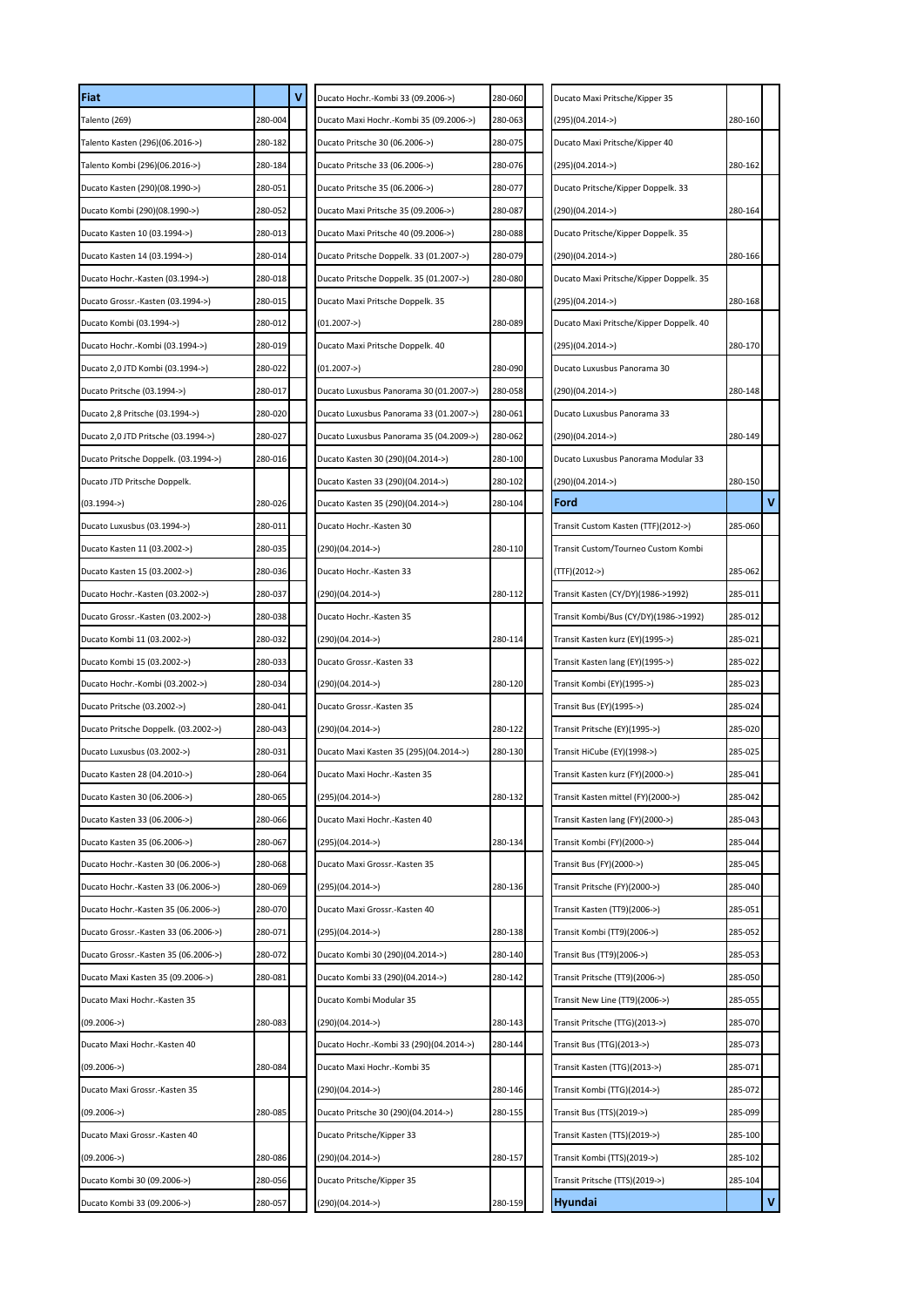| Fiat                                 |         | ٧ | Ducato Hochr.-Kombi 33 (09.2006->)      | 280-060 | Ducato Maxi Pritsche/Kipper 35          |         |   |
|--------------------------------------|---------|---|-----------------------------------------|---------|-----------------------------------------|---------|---|
| Talento (269)                        | 280-004 |   | Ducato Maxi Hochr.-Kombi 35 (09.2006->) | 280-063 | (295)(04.2014->)                        | 280-160 |   |
| Talento Kasten (296)(06.2016->)      | 280-182 |   | Ducato Pritsche 30 (06.2006->)          | 280-075 | Ducato Maxi Pritsche/Kipper 40          |         |   |
| Talento Kombi (296)(06.2016->)       | 280-184 |   | Ducato Pritsche 33 (06.2006->)          | 280-076 | (295)(04.2014->)                        | 280-162 |   |
| Ducato Kasten (290)(08.1990->)       | 280-051 |   | Ducato Pritsche 35 (06.2006->)          | 280-077 | Ducato Pritsche/Kipper Doppelk. 33      |         |   |
| Ducato Kombi (290)(08.1990->)        | 280-052 |   | Ducato Maxi Pritsche 35 (09.2006->)     | 280-087 | (290)(04.2014->)                        | 280-164 |   |
| Ducato Kasten 10 (03.1994->)         | 280-013 |   | Ducato Maxi Pritsche 40 (09.2006->)     | 280-088 | Ducato Pritsche/Kipper Doppelk. 35      |         |   |
| Ducato Kasten 14 (03.1994->)         | 280-014 |   | Ducato Pritsche Doppelk. 33 (01.2007->) | 280-079 | $(290)(04.2014-)$                       | 280-166 |   |
| Ducato Hochr.-Kasten (03.1994->)     | 280-018 |   | Ducato Pritsche Doppelk. 35 (01.2007->) | 280-080 | Ducato Maxi Pritsche/Kipper Doppelk. 35 |         |   |
| Ducato Grossr.-Kasten (03.1994->)    | 280-015 |   | Ducato Maxi Pritsche Doppelk. 35        |         | (295)(04.2014->)                        | 280-168 |   |
| Ducato Kombi (03.1994->)             | 280-012 |   | (01.2007->)                             | 280-089 | Ducato Maxi Pritsche/Kipper Doppelk. 40 |         |   |
| Ducato Hochr.-Kombi (03.1994->)      | 280-019 |   | Ducato Maxi Pritsche Doppelk. 40        |         | (295)(04.2014->)                        | 280-170 |   |
| Ducato 2,0 JTD Kombi (03.1994->)     | 280-022 |   | $(01.2007 -)$                           | 280-090 | Ducato Luxusbus Panorama 30             |         |   |
| Ducato Pritsche (03.1994->)          | 280-017 |   | Ducato Luxusbus Panorama 30 (01.2007->) | 280-058 | (290)(04.2014->)                        | 280-148 |   |
| Ducato 2,8 Pritsche (03.1994->)      | 280-020 |   | Ducato Luxusbus Panorama 33 (01.2007->) | 280-061 | Ducato Luxusbus Panorama 33             |         |   |
| Ducato 2,0 JTD Pritsche (03.1994->)  | 280-027 |   | Ducato Luxusbus Panorama 35 (04.2009->) | 280-062 | (290)(04.2014->)                        | 280-149 |   |
| Ducato Pritsche Doppelk. (03.1994->) | 280-016 |   | Ducato Kasten 30 (290)(04.2014->)       | 280-100 | Ducato Luxusbus Panorama Modular 33     |         |   |
| Ducato JTD Pritsche Doppelk.         |         |   | Ducato Kasten 33 (290)(04.2014->)       | 280-102 | (290)(04.2014->)                        | 280-150 |   |
| $(03.1994 -)$                        | 280-026 |   | Ducato Kasten 35 (290)(04.2014->)       | 280-104 | Ford                                    |         | V |
| Ducato Luxusbus (03.1994->)          | 280-011 |   | Ducato Hochr.-Kasten 30                 |         | Transit Custom Kasten (TTF)(2012->)     | 285-060 |   |
| Ducato Kasten 11 (03.2002->)         | 280-035 |   | (290)(04.2014->)                        | 280-110 | Transit Custom/Tourneo Custom Kombi     |         |   |
| Ducato Kasten 15 (03.2002->)         | 280-036 |   | Ducato Hochr.-Kasten 33                 |         | (TTF)(2012->)                           | 285-062 |   |
| Ducato Hochr.-Kasten (03.2002->)     | 280-037 |   | (290)(04.2014->)                        | 280-112 | Transit Kasten (CY/DY)(1986->1992)      | 285-011 |   |
| Ducato Grossr.-Kasten (03.2002->)    | 280-038 |   | Ducato Hochr.-Kasten 35                 |         | Transit Kombi/Bus (CY/DY)(1986->1992)   | 285-012 |   |
| Ducato Kombi 11 (03.2002->)          | 280-032 |   | (290)(04.2014->)                        | 280-114 | Transit Kasten kurz (EY)(1995->)        | 285-021 |   |
| Ducato Kombi 15 (03.2002->)          | 280-033 |   | Ducato Grossr.-Kasten 33                |         | Transit Kasten lang (EY)(1995->)        | 285-022 |   |
| Ducato Hochr.-Kombi (03.2002->)      | 280-034 |   | (290)(04.2014->)                        | 280-120 | Transit Kombi (EY)(1995->)              | 285-023 |   |
| Ducato Pritsche (03.2002->)          | 280-041 |   | Ducato Grossr.-Kasten 35                |         | Transit Bus (EY)(1995->)                | 285-024 |   |
| Ducato Pritsche Doppelk. (03.2002->) | 280-043 |   | (290)(04.2014->)                        | 280-122 | Transit Pritsche (EY)(1995->)           | 285-020 |   |
| Ducato Luxusbus (03.2002->)          | 280-031 |   | Ducato Maxi Kasten 35 (295)(04.2014->)  | 280-130 | Transit HiCube (EY)(1998->)             | 285-025 |   |
| Ducato Kasten 28 (04.2010->)         | 280-064 |   | Ducato Maxi Hochr.-Kasten 35            |         | Transit Kasten kurz (FY)(2000->)        | 285-041 |   |
| Ducato Kasten 30 (06.2006->)         | 280-065 |   | $(295)(04.2014-)$                       | 280-132 | Transit Kasten mittel (FY)(2000->)      | 285-042 |   |
| Ducato Kasten 33 (06.2006->)         | 280-066 |   | Ducato Maxi Hochr.-Kasten 40            |         | Transit Kasten lang (FY)(2000->)        | 285-043 |   |
| Ducato Kasten 35 (06.2006->)         | 280-067 |   | (295)(04.2014->)                        | 280-134 | Transit Kombi (FY)(2000->)              | 285-044 |   |
| Ducato Hochr.-Kasten 30 (06.2006->)  | 280-068 |   | Ducato Maxi Grossr.-Kasten 35           |         | Transit Bus (FY)(2000->)                | 285-045 |   |
| Ducato Hochr.-Kasten 33 (06.2006->)  | 280-069 |   | (295)(04.2014->)                        | 280-136 | Transit Pritsche (FY)(2000->)           | 285-040 |   |
| Ducato Hochr.-Kasten 35 (06.2006->)  | 280-070 |   | Ducato Maxi Grossr.-Kasten 40           |         | Transit Kasten (TT9)(2006->)            | 285-051 |   |
| Ducato Grossr.-Kasten 33 (06.2006->) | 280-071 |   | $(295)(04.2014-)$                       | 280-138 | Transit Kombi (TT9)(2006->)             | 285-052 |   |
| Ducato Grossr.-Kasten 35 (06.2006->) | 280-072 |   | Ducato Kombi 30 (290)(04.2014->)        | 280-140 | Transit Bus (TT9)(2006->)               | 285-053 |   |
| Ducato Maxi Kasten 35 (09.2006->)    | 280-081 |   | Ducato Kombi 33 (290)(04.2014->)        | 280-142 | Transit Pritsche (TT9)(2006->)          | 285-050 |   |
| Ducato Maxi Hochr.-Kasten 35         |         |   | Ducato Kombi Modular 35                 |         | Transit New Line (TT9)(2006->)          | 285-055 |   |
| $(09.2006 -)$                        | 280-083 |   | (290)(04.2014->)                        | 280-143 | Transit Pritsche (TTG)(2013->)          | 285-070 |   |
| Ducato Maxi Hochr.-Kasten 40         |         |   | Ducato Hochr.-Kombi 33 (290)(04.2014->) | 280-144 | Transit Bus (TTG)(2013->)               | 285-073 |   |
| $(09.2006 -)$                        | 280-084 |   | Ducato Maxi Hochr.-Kombi 35             |         | Transit Kasten (TTG)(2013->)            | 285-071 |   |
| Ducato Maxi Grossr.-Kasten 35        |         |   | (290)(04.2014->)                        | 280-146 | Transit Kombi (TTG)(2014->)             | 285-072 |   |
| $(09.2006 -)$                        | 280-085 |   | Ducato Pritsche 30 (290)(04.2014->)     | 280-155 | Transit Bus (TTS)(2019->)               | 285-099 |   |
| Ducato Maxi Grossr.-Kasten 40        |         |   | Ducato Pritsche/Kipper 33               |         | Transit Kasten (TTS)(2019->)            | 285-100 |   |
| $(09.2006 -)$                        | 280-086 |   | (290)(04.2014->)                        | 280-157 | Transit Kombi (TTS)(2019->)             | 285-102 |   |
| Ducato Kombi 30 (09.2006->)          | 280-056 |   | Ducato Pritsche/Kipper 35               |         | Transit Pritsche (TTS)(2019->)          | 285-104 |   |
| Ducato Kombi 33 (09.2006->)          | 280-057 |   | $(290)(04.2014-)$                       | 280-159 | Hyundai                                 |         | ۷ |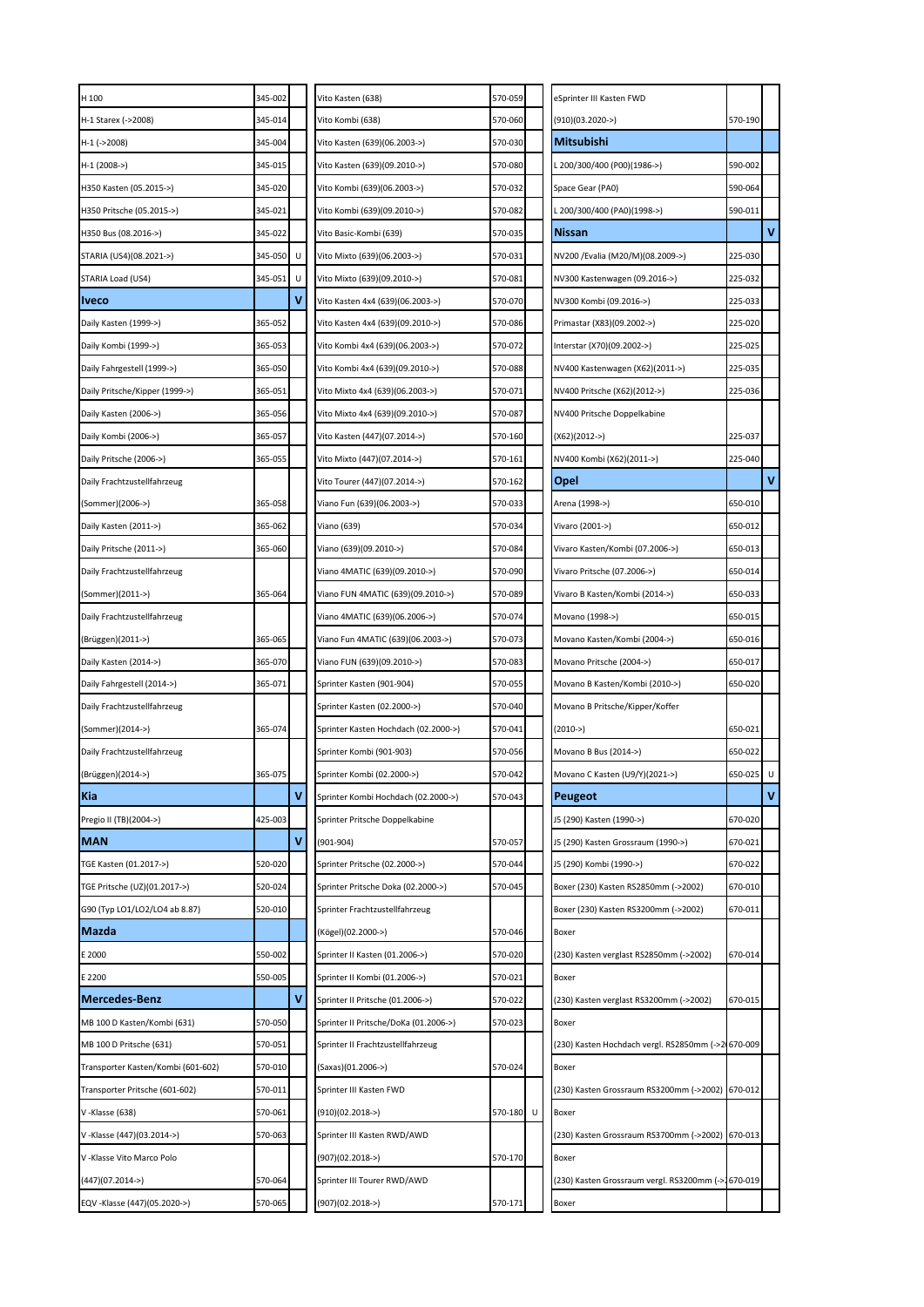| H 100                              | 345-002 |   | Vito Kasten (638)                     | 570-059      | eSprinter III Kasten FWD                           |         |   |
|------------------------------------|---------|---|---------------------------------------|--------------|----------------------------------------------------|---------|---|
| H-1 Starex (->2008)                | 345-014 |   | Vito Kombi (638)                      | 570-060      | (910)(03.2020->)                                   | 570-190 |   |
| H-1 (->2008)                       | 345-004 |   | Vito Kasten (639)(06.2003->)          | 570-030      | Mitsubishi                                         |         |   |
| H-1 (2008->)                       | 345-015 |   | Vito Kasten (639)(09.2010->)          | 570-080      | L 200/300/400 (P00)(1986->)                        | 590-002 |   |
| H350 Kasten (05.2015->)            | 345-020 |   | Vito Kombi (639)(06.2003->)           | 570-032      | Space Gear (PA0)                                   | 590-064 |   |
| H350 Pritsche (05.2015->)          | 345-021 |   | Vito Kombi (639)(09.2010->)           | 570-082      | L 200/300/400 (PA0)(1998->)                        | 590-011 |   |
| H350 Bus (08.2016->)               | 345-022 |   | Vito Basic-Kombi (639)                | 570-035      | <b>Nissan</b>                                      |         | V |
| STARIA (US4)(08.2021->)            | 345-050 | U | Vito Mixto (639)(06.2003->)           | 570-031      | NV200 /Evalia (M20/M)(08.2009->)                   | 225-030 |   |
| STARIA Load (US4)                  | 345-051 | υ | Vito Mixto (639)(09.2010->)           | 570-081      | NV300 Kastenwagen (09.2016->)                      | 225-032 |   |
| <b>Iveco</b>                       |         |   | Vito Kasten 4x4 (639)(06.2003->)      | 570-070      | NV300 Kombi (09.2016->)                            | 225-033 |   |
| Daily Kasten (1999->)              | 365-052 |   | Vito Kasten 4x4 (639)(09.2010->)      | 570-086      | Primastar (X83)(09.2002->)                         | 225-020 |   |
| Daily Kombi (1999->)               | 365-053 |   | Vito Kombi 4x4 (639)(06.2003->)       | 570-072      | Interstar (X70)(09.2002->)                         | 225-025 |   |
| Daily Fahrgestell (1999->)         | 365-050 |   | Vito Kombi 4x4 (639)(09.2010->)       | 570-088      | NV400 Kastenwagen (X62)(2011->)                    | 225-035 |   |
| Daily Pritsche/Kipper (1999->)     | 365-051 |   | Vito Mixto 4x4 (639)(06.2003->)       | 570-071      | NV400 Pritsche (X62)(2012->)                       | 225-036 |   |
| Daily Kasten (2006->)              | 365-056 |   | Vito Mixto 4x4 (639)(09.2010->)       | 570-087      | NV400 Pritsche Doppelkabine                        |         |   |
| Daily Kombi (2006->)               | 365-057 |   | Vito Kasten (447)(07.2014->)          | 570-160      | $(X62)(2012-)$                                     | 225-037 |   |
| Daily Pritsche (2006->)            | 365-055 |   | Vito Mixto (447)(07.2014->)           | 570-161      | NV400 Kombi (X62)(2011->)                          | 225-040 |   |
| Daily Frachtzustellfahrzeug        |         |   | Vito Tourer (447)(07.2014->)          | 570-162      | Opel                                               |         | V |
| (Sommer)(2006->)                   | 365-058 |   | Viano Fun (639)(06.2003->)            | 570-033      | Arena (1998->)                                     | 650-010 |   |
| Daily Kasten (2011->)              | 365-062 |   | Viano (639)                           | 570-034      | Vivaro (2001->)                                    | 650-012 |   |
| Daily Pritsche (2011->)            | 365-060 |   | Viano (639)(09.2010->)                | 570-084      | Vivaro Kasten/Kombi (07.2006->)                    | 650-013 |   |
| Daily Frachtzustellfahrzeug        |         |   | Viano 4MATIC (639)(09.2010->)         | 570-090      | Vivaro Pritsche (07.2006->)                        | 650-014 |   |
| (Sommer)(2011->)                   | 365-064 |   | Viano FUN 4MATIC (639)(09.2010->)     | 570-089      | Vivaro B Kasten/Kombi (2014->)                     | 650-033 |   |
| Daily Frachtzustellfahrzeug        |         |   | viano 4MATIC (639)(06.2006->)         | 570-074      | Movano (1998->)                                    | 650-015 |   |
| (Brüggen)(2011->)                  | 365-065 |   | Viano Fun 4MATIC (639)(06.2003->)     | 570-073      | Movano Kasten/Kombi (2004->)                       | 650-016 |   |
| Daily Kasten (2014->)              | 365-070 |   | Viano FUN (639)(09.2010->)            | 570-083      | Movano Pritsche (2004->)                           | 650-017 |   |
| Daily Fahrgestell (2014->)         | 365-071 |   | Sprinter Kasten (901-904)             | 570-055      | Movano B Kasten/Kombi (2010->)                     | 650-020 |   |
| Daily Frachtzustellfahrzeug        |         |   | Sprinter Kasten (02.2000->)           | 570-040      | Movano B Pritsche/Kipper/Koffer                    |         |   |
| (Sommer)(2014->)                   | 365-074 |   | Sprinter Kasten Hochdach (02.2000->)  | 570-041      | $(2010 - >)$                                       | 650-021 |   |
| Daily Frachtzustellfahrzeug        |         |   | Sprinter Kombi (901-903)              | 570-056      | Movano B Bus (2014->)                              | 650-022 |   |
| (Brüggen)(2014->)                  | 365-075 |   | Sprinter Kombi (02.2000->)            | 570-042      | Movano C Kasten (U9/Y)(2021->)                     | 650-025 | U |
| Kia                                |         | ٧ | Sprinter Kombi Hochdach (02.2000->)   | 570-043      | Peugeot                                            |         | ٧ |
| Pregio II (TB)(2004->)             | 425-003 |   | Sprinter Pritsche Doppelkabine        |              | J5 (290) Kasten (1990->)                           | 670-020 |   |
| <b>MAN</b>                         |         | ٧ | $(901 - 904)$                         | 570-057      | J5 (290) Kasten Grossraum (1990->)                 | 670-021 |   |
| TGE Kasten (01.2017->)             | 520-020 |   | Sprinter Pritsche (02.2000->)         | 570-044      | J5 (290) Kombi (1990->)                            | 670-022 |   |
| TGE Pritsche (UZ)(01.2017->)       | 520-024 |   | Sprinter Pritsche Doka (02.2000->)    | 570-045      | Boxer (230) Kasten RS2850mm (->2002)               | 670-010 |   |
| G90 (Typ LO1/LO2/LO4 ab 8.87)      | 520-010 |   | Sprinter Frachtzustellfahrzeug        |              | Boxer (230) Kasten RS3200mm (->2002)               | 670-011 |   |
| <b>Mazda</b>                       |         |   | (Kögel)(02.2000->)                    | 570-046      | Boxer                                              |         |   |
| E 2000                             | 550-002 |   | Sprinter II Kasten (01.2006->)        | 570-020      | (230) Kasten verglast RS2850mm (->2002)            | 670-014 |   |
| E 2200                             | 550-005 |   | Sprinter II Kombi (01.2006->)         | 570-021      | Boxer                                              |         |   |
| <b>Mercedes-Benz</b>               |         | ٧ | Sprinter II Pritsche (01.2006->)      | 570-022      | (230) Kasten verglast RS3200mm (->2002)            | 670-015 |   |
| MB 100 D Kasten/Kombi (631)        | 570-050 |   | Sprinter II Pritsche/DoKa (01.2006->) | 570-023      | Boxer                                              |         |   |
| MB 100 D Pritsche (631)            | 570-051 |   | Sprinter II Frachtzustellfahrzeug     |              | (230) Kasten Hochdach vergl. RS2850mm (->2 670-009 |         |   |
| Transporter Kasten/Kombi (601-602) | 570-010 |   | (Saxas)(01.2006->)                    | 570-024      | Boxer                                              |         |   |
| Transporter Pritsche (601-602)     | 570-011 |   | Sprinter III Kasten FWD               |              | (230) Kasten Grossraum RS3200mm (->2002) 670-012   |         |   |
| V-Klasse (638)                     | 570-061 |   | $(910)(02.2018-)$                     | 570-180<br>U | Boxer                                              |         |   |
| V-Klasse (447)(03.2014->)          | 570-063 |   | Sprinter III Kasten RWD/AWD           |              | (230) Kasten Grossraum RS3700mm (->2002) 670-013   |         |   |
| V -Klasse Vito Marco Polo          |         |   | $(907)(02.2018 - )$                   | 570-170      | Boxer                                              |         |   |
| (447)(07.2014->)                   | 570-064 |   | Sprinter III Tourer RWD/AWD           |              | (230) Kasten Grossraum vergl. RS3200mm (->1670-019 |         |   |
| EQV -Klasse (447)(05.2020->)       | 570-065 |   | $(907)(02.2018 - )$                   | 570-171      | Boxer                                              |         |   |
|                                    |         |   |                                       |              |                                                    |         |   |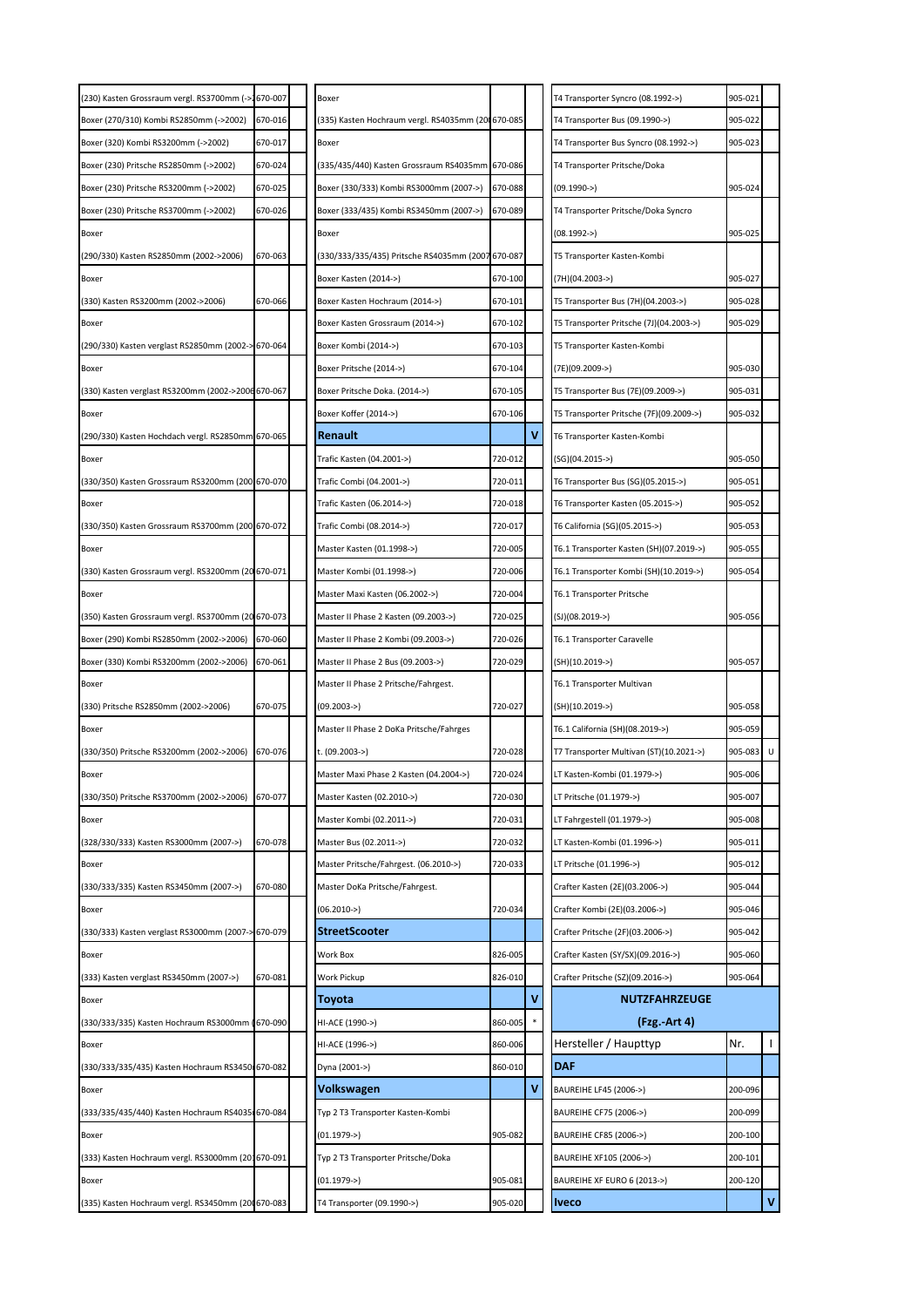| (230) Kasten Grossraum vergl. RS3700mm (->1670-007 |         | Boxer                                             |         |   | T4 Transporter Syncro (08.1992->)       | 905-021   |              |
|----------------------------------------------------|---------|---------------------------------------------------|---------|---|-----------------------------------------|-----------|--------------|
| Boxer (270/310) Kombi RS2850mm (->2002)            | 670-016 | (335) Kasten Hochraum vergl. RS4035mm (200670-085 |         |   | T4 Transporter Bus (09.1990->)          | 905-022   |              |
| Boxer (320) Kombi RS3200mm (->2002)                | 670-017 | Boxer                                             |         |   | T4 Transporter Bus Syncro (08.1992->)   | 905-023   |              |
| Boxer (230) Pritsche RS2850mm (->2002)             | 670-024 | (335/435/440) Kasten Grossraum RS4035mm 670-086   |         |   | T4 Transporter Pritsche/Doka            |           |              |
| Boxer (230) Pritsche RS3200mm (->2002)             | 670-025 | Boxer (330/333) Kombi RS3000mm (2007->)           | 670-088 |   | $(09.1990 -)$                           | 905-024   |              |
| Boxer (230) Pritsche RS3700mm (->2002)             | 670-026 | Boxer (333/435) Kombi RS3450mm (2007->)           | 670-089 |   | T4 Transporter Pritsche/Doka Syncro     |           |              |
| Boxer                                              |         | Boxer                                             |         |   | (08.1992->)                             | 905-025   |              |
| (290/330) Kasten RS2850mm (2002->2006)             | 670-063 | (330/333/335/435) Pritsche RS4035mm (2007 670-087 |         |   | T5 Transporter Kasten-Kombi             |           |              |
| Boxer                                              |         | Boxer Kasten (2014->)                             | 670-100 |   | (7H)(04.2003->)                         | 905-027   |              |
| (330) Kasten RS3200mm (2002->2006)                 | 670-066 | Boxer Kasten Hochraum (2014->)                    | 670-101 |   | T5 Transporter Bus (7H)(04.2003->)      | 905-028   |              |
| Boxer                                              |         | Boxer Kasten Grossraum (2014->)                   | 670-102 |   | T5 Transporter Pritsche (7J)(04.2003->) | 905-029   |              |
| (290/330) Kasten verglast RS2850mm (2002-> 670-064 |         | Boxer Kombi (2014->)                              | 670-103 |   | T5 Transporter Kasten-Kombi             |           |              |
| Boxer                                              |         | Boxer Pritsche (2014->)                           | 670-104 |   | (7E)(09.2009->)                         | 905-030   |              |
| (330) Kasten verglast RS3200mm (2002->2006 670-067 |         | Boxer Pritsche Doka. (2014->)                     | 670-105 |   | T5 Transporter Bus (7E)(09.2009->)      | 905-031   |              |
| Boxer                                              |         | Boxer Koffer (2014->)                             | 670-106 |   | T5 Transporter Pritsche (7F)(09.2009->) | 905-032   |              |
| (290/330) Kasten Hochdach vergl. RS2850mm 670-065  |         | Renault                                           |         | v | T6 Transporter Kasten-Kombi             |           |              |
| Boxer                                              |         | Trafic Kasten (04.2001->)                         | 720-012 |   | $(SG)(04.2015->)$                       | 905-050   |              |
| (330/350) Kasten Grossraum RS3200mm (200 670-070   |         | Trafic Combi (04.2001->)                          | 720-011 |   | T6 Transporter Bus (SG)(05.2015->)      | 905-051   |              |
| Boxer                                              |         | Trafic Kasten (06.2014->)                         | 720-018 |   | T6 Transporter Kasten (05.2015->)       | 905-052   |              |
| (330/350) Kasten Grossraum RS3700mm (200 670-072   |         | Trafic Combi (08.2014->)                          | 720-017 |   | T6 California (SG)(05.2015->)           | 905-053   |              |
| Boxer                                              |         | Master Kasten (01.1998->)                         | 720-005 |   | T6.1 Transporter Kasten (SH)(07.2019->) | 905-055   |              |
| (330) Kasten Grossraum vergl. RS3200mm (20 670-071 |         | Master Kombi (01.1998->)                          | 720-006 |   | T6.1 Transporter Kombi (SH)(10.2019->)  | 905-054   |              |
| Boxer                                              |         | Master Maxi Kasten (06.2002->)                    | 720-004 |   | T6.1 Transporter Pritsche               |           |              |
| (350) Kasten Grossraum vergl. RS3700mm (20 670-073 |         | Master II Phase 2 Kasten (09.2003->)              | 720-025 |   | (SJ)(08.2019->)                         | 905-056   |              |
| Boxer (290) Kombi RS2850mm (2002->2006)            | 670-060 | Master II Phase 2 Kombi (09.2003->)               | 720-026 |   | T6.1 Transporter Caravelle              |           |              |
| Boxer (330) Kombi RS3200mm (2002->2006)            | 670-061 | Master II Phase 2 Bus (09.2003->)                 | 720-029 |   | (SH)(10.2019->)                         | 905-057   |              |
| Boxer                                              |         | Master II Phase 2 Pritsche/Fahrgest.              |         |   | T6.1 Transporter Multivan               |           |              |
| (330) Pritsche RS2850mm (2002->2006)               | 670-075 | (09.2003->)                                       | 720-027 |   | (SH)(10.2019->)                         | 905-058   |              |
| Boxer                                              |         | Master II Phase 2 DoKa Pritsche/Fahrges           |         |   | T6.1 California (SH)(08.2019->)         | 905-059   |              |
| (330/350) Pritsche RS3200mm (2002->2006)           | 670-076 | t. (09.2003->)                                    | 720-028 |   | T7 Transporter Multivan (ST)(10.2021->) | 905-083 U |              |
| Boxer                                              |         | Master Maxi Phase 2 Kasten (04.2004->)            | 720-024 |   | LT Kasten-Kombi (01.1979->)             | 905-006   |              |
| (330/350) Pritsche RS3700mm (2002->2006)           | 670-077 | Master Kasten (02.2010->)                         | 720-030 |   | LT Pritsche (01.1979->)                 | 905-007   |              |
| Boxer                                              |         | Master Kombi (02.2011->)                          | 720-031 |   | LT Fahrgestell (01.1979->)              | 905-008   |              |
| (328/330/333) Kasten RS3000mm (2007->)             | 670-078 | Master Bus (02.2011->)                            | 720-032 |   | LT Kasten-Kombi (01.1996->)             | 905-011   |              |
| Boxer                                              |         | Master Pritsche/Fahrgest. (06.2010->)             | 720-033 |   | LT Pritsche (01.1996->)                 | 905-012   |              |
| (330/333/335) Kasten RS3450mm (2007->)             | 670-080 | Master DoKa Pritsche/Fahrgest.                    |         |   | Crafter Kasten (2E)(03.2006->)          | 905-044   |              |
| Boxer                                              |         | $(06.2010 -)$                                     | 720-034 |   | Crafter Kombi (2E)(03.2006->)           | 905-046   |              |
| (330/333) Kasten verglast RS3000mm (2007-          | 670-079 | <b>StreetScooter</b>                              |         |   | Crafter Pritsche (2F)(03.2006->)        | 905-042   |              |
| Boxer                                              |         | Work Box                                          | 826-005 |   | Crafter Kasten (SY/SX)(09.2016->)       | 905-060   |              |
| (333) Kasten verglast RS3450mm (2007->)            | 670-081 | Work Pickup                                       | 826-010 |   | Crafter Pritsche (SZ)(09.2016->)        | 905-064   |              |
| Boxer                                              |         | Toyota                                            |         | ۷ | NUTZFAHRZEUGE                           |           |              |
| (330/333/335) Kasten Hochraum RS3000mm             | 670-090 | HI-ACE (1990->)                                   | 860-005 |   | (Fzg. Art 4)                            |           |              |
| Boxer                                              |         | HI-ACE (1996->)                                   | 860-006 |   | Hersteller / Haupttyp                   | Nr.       | $\mathbf{I}$ |
| (330/333/335/435) Kasten Hochraum RS3450 670-082   |         | Dyna (2001->)                                     | 860-010 |   | <b>DAF</b>                              |           |              |
| Boxer                                              |         | Volkswagen                                        |         | V | BAUREIHE LF45 (2006->)                  | 200-096   |              |
| (333/335/435/440) Kasten Hochraum RS4035 670-084   |         | Typ 2 T3 Transporter Kasten-Kombi                 |         |   | BAUREIHE CF75 (2006->)                  | 200-099   |              |
| Boxer                                              |         | $(01.1979 -)$                                     | 905-082 |   | BAUREIHE CF85 (2006->)                  | 200-100   |              |
| (333) Kasten Hochraum vergl. RS3000mm (201670-091  |         | Typ 2 T3 Transporter Pritsche/Doka                |         |   | BAUREIHE XF105 (2006->)                 | 200-101   |              |
| Boxer                                              |         |                                                   |         |   |                                         |           |              |
|                                                    |         | $(01.1979 -)$                                     | 905-081 |   | BAUREIHE XF EURO 6 (2013->)             | 200-120   | $\mathbf{v}$ |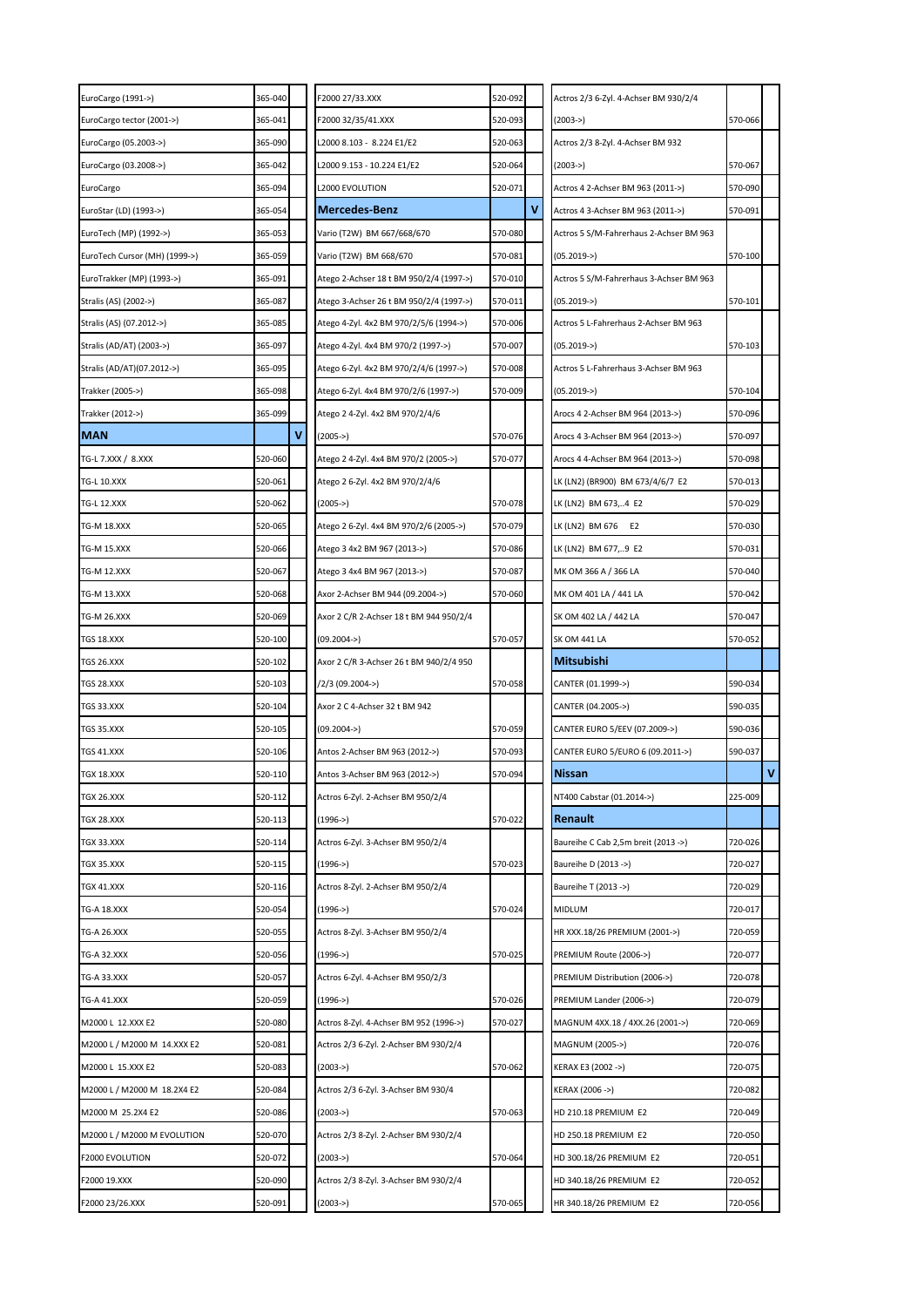| EuroCargo (1991->)            | 365-040 | F2000 27/33.XXX                         | 520-092 |   | Actros 2/3 6-Zyl. 4-Achser BM 930/2/4   |         |   |
|-------------------------------|---------|-----------------------------------------|---------|---|-----------------------------------------|---------|---|
| EuroCargo tector (2001->)     | 365-041 | F2000 32/35/41.XXX                      | 520-093 |   | $(2003 - >)$                            | 570-066 |   |
| EuroCargo (05.2003->)         | 365-090 | L2000 8.103 - 8.224 E1/E2               | 520-063 |   | Actros 2/3 8-Zyl. 4-Achser BM 932       |         |   |
| EuroCargo (03.2008->)         | 365-042 | L2000 9.153 - 10.224 E1/E2              | 520-064 |   | $(2003 - >)$                            | 570-067 |   |
| EuroCargo                     | 365-094 | L2000 EVOLUTION                         | 520-071 |   | Actros 4 2-Achser BM 963 (2011->)       | 570-090 |   |
| EuroStar (LD) (1993->)        | 365-054 | <b>Mercedes-Benz</b>                    |         | ۷ | Actros 4 3-Achser BM 963 (2011->)       | 570-091 |   |
| EuroTech (MP) (1992->)        | 365-053 | Vario (T2W) BM 667/668/670              | 570-080 |   | Actros 5 S/M-Fahrerhaus 2-Achser BM 963 |         |   |
| EuroTech Cursor (MH) (1999->) | 365-059 | Vario (T2W) BM 668/670                  | 570-081 |   | $(05.2019 -)$                           | 570-100 |   |
| EuroTrakker (MP) (1993->)     | 365-091 | Atego 2-Achser 18 t BM 950/2/4 (1997->) | 570-010 |   | Actros 5 S/M-Fahrerhaus 3-Achser BM 963 |         |   |
| Stralis (AS) (2002->)         | 365-087 | Atego 3-Achser 26 t BM 950/2/4 (1997->) | 570-011 |   | $(05.2019 -)$                           | 570-101 |   |
| Stralis (AS) (07.2012->)      | 365-085 | Atego 4-Zyl. 4x2 BM 970/2/5/6 (1994->)  | 570-006 |   | Actros 5 L-Fahrerhaus 2-Achser BM 963   |         |   |
| Stralis (AD/AT) (2003->)      | 365-097 | Atego 4-Zyl. 4x4 BM 970/2 (1997->)      | 570-007 |   | $(05.2019 -)$                           | 570-103 |   |
| Stralis (AD/AT)(07.2012->)    | 365-095 | Atego 6-Zyl. 4x2 BM 970/2/4/6 (1997->)  | 570-008 |   | Actros 5 L-Fahrerhaus 3-Achser BM 963   |         |   |
| Trakker (2005->)              | 365-098 | Atego 6-Zyl. 4x4 BM 970/2/6 (1997->)    | 570-009 |   | $(05.2019 -)$                           | 570-104 |   |
| Trakker (2012->)              | 365-099 | Atego 2 4-Zyl. 4x2 BM 970/2/4/6         |         |   | Arocs 4 2-Achser BM 964 (2013->)        | 570-096 |   |
| <b>MAN</b>                    | v       | $(2005 - >)$                            | 570-076 |   | Arocs 4 3-Achser BM 964 (2013->)        | 570-097 |   |
| TG-L 7.XXX / 8.XXX            | 520-060 | Atego 2 4-Zyl. 4x4 BM 970/2 (2005->)    | 570-077 |   | Arocs 4 4-Achser BM 964 (2013->)        | 570-098 |   |
| <b>TG-L 10.XXX</b>            | 520-061 | Atego 2 6-Zyl. 4x2 BM 970/2/4/6         |         |   | LK (LN2) (BR900) BM 673/4/6/7 E2        | 570-013 |   |
| <b>TG-L 12.XXX</b>            | 520-062 | $(2005 - >)$                            | 570-078 |   | LK (LN2) BM 673,4 E2                    | 570-029 |   |
| TG-M 18.XXX                   | 520-065 | Atego 2 6-Zyl. 4x4 BM 970/2/6 (2005->)  | 570-079 |   | LK (LN2) BM 676<br>E <sub>2</sub>       | 570-030 |   |
| <b>TG-M 15.XXX</b>            | 520-066 | Atego 3 4x2 BM 967 (2013->)             | 570-086 |   | LK (LN2) BM 677,9 E2                    | 570-031 |   |
| <b>TG-M 12.XXX</b>            | 520-067 | Atego 3 4x4 BM 967 (2013->)             | 570-087 |   | MK OM 366 A / 366 LA                    | 570-040 |   |
| TG-M 13.XXX                   | 520-068 | Axor 2-Achser BM 944 (09.2004->)        | 570-060 |   | MK OM 401 LA / 441 LA                   | 570-042 |   |
| tg-m 26.xxx                   | 520-069 | Axor 2 C/R 2-Achser 18 t BM 944 950/2/4 |         |   | SK OM 402 LA / 442 LA                   | 570-047 |   |
| TGS 18.XXX                    | 520-100 | $(09.2004 -)$                           | 570-057 |   | <b>SK OM 441 LA</b>                     | 570-052 |   |
|                               |         |                                         |         |   |                                         |         |   |
| TGS 26.XXX                    | 520-102 | Axor 2 C/R 3-Achser 26 t BM 940/2/4 950 |         |   | <b>Mitsubishi</b>                       |         |   |
| TGS 28.XXX                    | 520-103 | /2/3 (09.2004->)                        | 570-058 |   | CANTER (01.1999->)                      | 590-034 |   |
| TGS 33.XXX                    | 520-104 | Axor 2 C 4-Achser 32 t BM 942           |         |   | CANTER (04.2005->)                      | 590-035 |   |
| TGS 35.XXX                    | 520-105 | $(09.2004 -)$                           | 570-059 |   | CANTER EURO 5/EEV (07.2009->)           | 590-036 |   |
| TGS 41.XXX                    | 520-106 | Antos 2-Achser BM 963 (2012->)          | 570-093 |   | CANTER EURO 5/EURO 6 (09.2011->)        | 590-037 |   |
| TGX 18.XXX                    | 520-110 | Antos 3-Achser BM 963 (2012->)          | 570-094 |   | <b>Nissan</b>                           |         | V |
| TGX 26.XXX                    | 520-112 | Actros 6-Zyl. 2-Achser BM 950/2/4       |         |   | NT400 Cabstar (01.2014->)               | 225-009 |   |
| TGX 28.XXX                    | 520-113 | $(1996 - >)$                            | 570-022 |   | <b>Renault</b>                          |         |   |
| TGX 33.XXX                    | 520-114 | Actros 6-Zyl. 3-Achser BM 950/2/4       |         |   | Baureihe C Cab 2,5m breit (2013 ->)     | 720-026 |   |
| TGX 35.XXX                    | 520-115 | (1996->)                                | 570-023 |   | Baureihe D (2013 ->)                    | 720-027 |   |
| TGX 41.XXX                    | 520-116 | Actros 8-Zyl. 2-Achser BM 950/2/4       |         |   | Baureihe T (2013 ->)                    | 720-029 |   |
| <b>TG-A 18.XXX</b>            | 520-054 | $(1996 - )$                             | 570-024 |   | MIDLUM                                  | 720-017 |   |
| TG-A 26.XXX                   | 520-055 | Actros 8-Zyl. 3-Achser BM 950/2/4       |         |   | HR XXX.18/26 PREMIUM (2001->)           | 720-059 |   |
| TG-A 32.XXX                   | 520-056 | $(1996 - >)$                            | 570-025 |   | PREMIUM Route (2006->)                  | 720-077 |   |
| TG-A 33.XXX                   | 520-057 | Actros 6-Zyl. 4-Achser BM 950/2/3       |         |   | PREMIUM Distribution (2006->)           | 720-078 |   |
| TG-A 41.XXX                   | 520-059 | (1996->)                                | 570-026 |   | PREMIUM Lander (2006->)                 | 720-079 |   |
| M2000 L 12.XXX E2             | 520-080 | Actros 8-Zyl. 4-Achser BM 952 (1996->)  | 570-027 |   | MAGNUM 4XX.18 / 4XX.26 (2001->)         | 720-069 |   |
| M2000 L / M2000 M 14.XXX E2   | 520-081 | Actros 2/3 6-Zyl. 2-Achser BM 930/2/4   |         |   | MAGNUM (2005->)                         | 720-076 |   |
| M2000 L 15.XXX E2             | 520-083 | $(2003 - >)$                            | 570-062 |   | KERAX E3 (2002 ->)                      | 720-075 |   |
| M2000 L / M2000 M 18.2X4 E2   | 520-084 | Actros 2/3 6-Zyl. 3-Achser BM 930/4     |         |   | KERAX (2006 ->)                         | 720-082 |   |
| M2000 M 25.2X4 E2             | 520-086 | $(2003 - >)$                            | 570-063 |   | HD 210.18 PREMIUM E2                    | 720-049 |   |
| M2000 L / M2000 M EVOLUTION   | 520-070 | Actros 2/3 8-Zyl. 2-Achser BM 930/2/4   |         |   | HD 250.18 PREMIUM E2                    | 720-050 |   |
| F2000 EVOLUTION               | 520-072 | $(2003 - >)$                            | 570-064 |   | HD 300.18/26 PREMIUM E2                 | 720-051 |   |
| F2000 19.XXX                  | 520-090 | Actros 2/3 8-Zyl. 3-Achser BM 930/2/4   |         |   | HD 340.18/26 PREMIUM E2                 | 720-052 |   |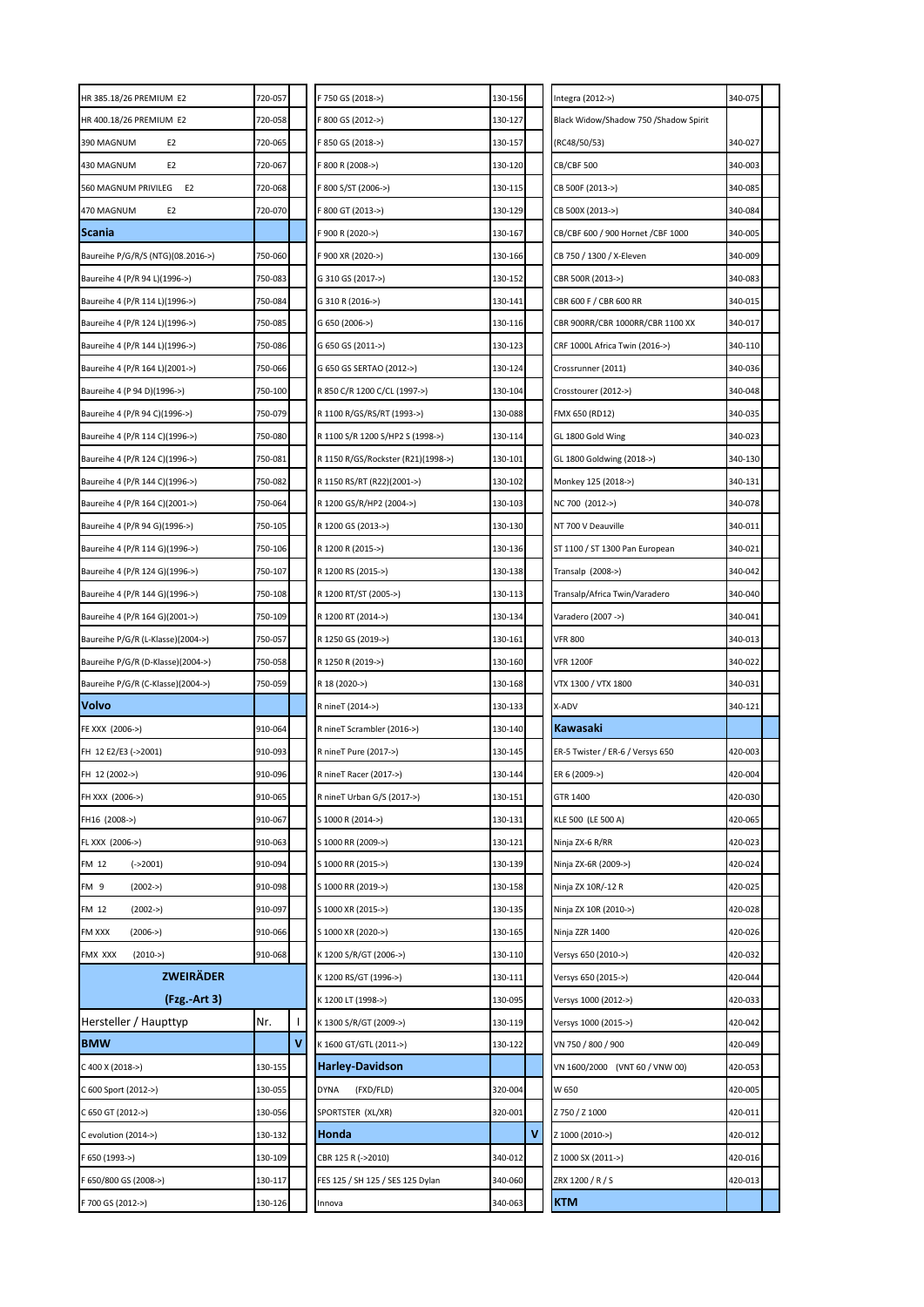| HR 385.18/26 PREMIUM E2               | 720-057 | F 750 GS (2018->)                  | 130-156 |   | Integra (2012->)                      | 340-075 |  |
|---------------------------------------|---------|------------------------------------|---------|---|---------------------------------------|---------|--|
| HR 400.18/26 PREMIUM E2               | 720-058 | F 800 GS (2012->)                  | 130-127 |   | Black Widow/Shadow 750 /Shadow Spirit |         |  |
| 390 MAGNUM<br>E <sub>2</sub>          | 720-065 | F 850 GS (2018->)                  | 130-157 |   | (RC48/50/53)                          | 340-027 |  |
| 430 MAGNUM<br>E <sub>2</sub>          | 720-067 | F 800 R (2008->)                   | 130-120 |   | CB/CBF 500                            | 340-003 |  |
| 560 MAGNUM PRIVILEG<br>E <sub>2</sub> | 720-068 | F 800 S/ST (2006->)                | 130-115 |   | CB 500F (2013->)                      | 340-085 |  |
| 470 MAGNUM<br>E <sub>2</sub>          | 720-070 | F 800 GT (2013->)                  | 130-129 |   | CB 500X (2013->)                      | 340-084 |  |
| Scania                                |         | F 900 R (2020->)                   | 130-167 |   | CB/CBF 600 / 900 Hornet /CBF 1000     | 340-005 |  |
| Baureihe P/G/R/S (NTG)(08.2016->)     | 750-060 | F 900 XR (2020->)                  | 130-166 |   | CB 750 / 1300 / X-Eleven              | 340-009 |  |
| Baureihe 4 (P/R 94 L)(1996->)         | 750-083 | G 310 GS (2017->)                  | 130-152 |   | CBR 500R (2013->)                     | 340-083 |  |
| Baureihe 4 (P/R 114 L)(1996->)        | 750-084 | G 310 R (2016->)                   | 130-141 |   | CBR 600 F / CBR 600 RR                | 340-015 |  |
| Baureihe 4 (P/R 124 L)(1996->)        | 750-085 | G 650 (2006->)                     | 130-116 |   | CBR 900RR/CBR 1000RR/CBR 1100 XX      | 340-017 |  |
| Baureihe 4 (P/R 144 L)(1996->)        | 750-086 | G 650 GS (2011->)                  | 130-123 |   | CRF 1000L Africa Twin (2016->)        | 340-110 |  |
| Baureihe 4 (P/R 164 L)(2001->)        | 750-066 | G 650 GS SERTAO (2012->)           | 130-124 |   | Crossrunner (2011)                    | 340-036 |  |
| Baureihe 4 (P 94 D)(1996->)           | 750-100 | R 850 C/R 1200 C/CL (1997->)       | 130-104 |   | Crosstourer (2012->)                  | 340-048 |  |
| Baureihe 4 (P/R 94 C)(1996->)         | 750-079 | R 1100 R/GS/RS/RT (1993->)         | 130-088 |   | FMX 650 (RD12)                        | 340-035 |  |
| Baureihe 4 (P/R 114 C)(1996->)        | 750-080 | R 1100 S/R 1200 S/HP2 S (1998->)   | 130-114 |   | GL 1800 Gold Wing                     | 340-023 |  |
| Baureihe 4 (P/R 124 C)(1996->)        | 750-081 | R 1150 R/GS/Rockster (R21)(1998->) | 130-101 |   | GL 1800 Goldwing (2018->)             | 340-130 |  |
| Baureihe 4 (P/R 144 C)(1996->)        | 750-082 | R 1150 RS/RT (R22)(2001->)         | 130-102 |   | Monkey 125 (2018->)                   | 340-131 |  |
| Baureihe 4 (P/R 164 C)(2001->)        | 750-064 | R 1200 GS/R/HP2 (2004->)           | 130-103 |   | NC 700 (2012->)                       | 340-078 |  |
| Baureihe 4 (P/R 94 G)(1996->)         | 750-105 | R 1200 GS (2013->)                 | 130-130 |   | NT 700 V Deauville                    | 340-011 |  |
| Baureihe 4 (P/R 114 G)(1996->)        | 750-106 | R 1200 R (2015->)                  | 130-136 |   | ST 1100 / ST 1300 Pan European        | 340-021 |  |
| Baureihe 4 (P/R 124 G)(1996->)        | 750-107 | R 1200 RS (2015->)                 | 130-138 |   | Transalp (2008->)                     | 340-042 |  |
| Baureihe 4 (P/R 144 G)(1996->)        | 750-108 | R 1200 RT/ST (2005->)              | 130-113 |   | Transalp/Africa Twin/Varadero         | 340-040 |  |
| Baureihe 4 (P/R 164 G)(2001->)        | 750-109 | R 1200 RT (2014->)                 | 130-134 |   | Varadero (2007 ->)                    | 340-041 |  |
| Baureihe P/G/R (L-Klasse)(2004->)     | 750-057 | R 1250 GS (2019->)                 | 130-161 |   | <b>VFR 800</b>                        | 340-013 |  |
| Baureihe P/G/R (D-Klasse)(2004->)     | 750-058 | R 1250 R (2019->)                  | 130-160 |   | <b>VFR 1200F</b>                      | 340-022 |  |
| Baureihe P/G/R (C-Klasse)(2004->)     | 750-059 | R 18 (2020->)                      | 130-168 |   | VTX 1300 / VTX 1800                   | 340-031 |  |
| Volvo                                 |         | R nineT (2014->)                   | 130-133 |   | X-ADV                                 | 340-121 |  |
| FE XXX (2006->)                       | 910-064 | R nineT Scrambler (2016->)         | 130-140 |   | Kawasaki                              |         |  |
| FH 12 E2/E3 (->2001)                  | 910-093 | R nineT Pure (2017->)              | 130-145 |   | ER-5 Twister / ER-6 / Versys 650      | 420-003 |  |
| FH 12 (2002->)                        | 910-096 | R nineT Racer (2017->)             | 130-144 |   | ER 6 (2009->)                         | 420-004 |  |
| FH XXX (2006->)                       | 910-065 | R nineT Urban G/S (2017->)         | 130-151 |   | GTR 1400                              | 420-030 |  |
| FH16 (2008->)                         | 910-067 | S 1000 R (2014->)                  | 130-131 |   | KLE 500 (LE 500 A)                    | 420-065 |  |
| FL XXX (2006->)                       | 910-063 | S 1000 RR (2009->)                 | 130-121 |   | Ninja ZX-6 R/RR                       | 420-023 |  |
| $(-2001)$<br>FM 12                    | 910-094 | S 1000 RR (2015->)                 | 130-139 |   | Ninja ZX-6R (2009->)                  | 420-024 |  |
| FM <sub>9</sub><br>$(2002 - >)$       | 910-098 | S 1000 RR (2019->)                 | 130-158 |   | Ninja ZX 10R/-12 R                    | 420-025 |  |
| FM 12<br>$(2002 - >)$                 | 910-097 | S 1000 XR (2015->)                 | 130-135 |   | Ninja ZX 10R (2010->)                 | 420-028 |  |
| FM XXX<br>$(2006 - >)$                | 910-066 | S 1000 XR (2020->)                 | 130-165 |   | Ninja ZZR 1400                        | 420-026 |  |
| FMX XXX<br>$(2010 - >)$               | 910-068 | K 1200 S/R/GT (2006->)             | 130-110 |   | Versys 650 (2010->)                   | 420-032 |  |
| <b>ZWEIRÄDER</b>                      |         | K 1200 RS/GT (1996->)              | 130-111 |   | Versys 650 (2015->)                   | 420-044 |  |
| (Fzg. Art 3)                          |         | K 1200 LT (1998->)                 | 130-095 |   | Versys 1000 (2012->)                  | 420-033 |  |
| Hersteller / Haupttyp                 | Nr.     | K 1300 S/R/GT (2009->)             | 130-119 |   | Versys 1000 (2015->)                  | 420-042 |  |
| <b>BMW</b>                            | v       | K 1600 GT/GTL (2011->)             | 130-122 |   | VN 750 / 800 / 900                    | 420-049 |  |
| C 400 X (2018->)                      | 130-155 | <b>Harley-Davidson</b>             |         |   | VN 1600/2000 (VNT 60 / VNW 00)        | 420-053 |  |
| C 600 Sport (2012->)                  | 130-055 | DYNA<br>(FXD/FLD)                  | 320-004 |   | W 650                                 | 420-005 |  |
| C 650 GT (2012->)                     | 130-056 | SPORTSTER (XL/XR)                  | 320-001 |   | Z 750 / Z 1000                        | 420-011 |  |
| C evolution (2014->)                  | 130-132 | Honda                              |         | V | Z 1000 (2010->)                       | 420-012 |  |
| F 650 (1993->)                        | 130-109 | CBR 125 R (->2010)                 | 340-012 |   | Z 1000 SX (2011->)                    | 420-016 |  |
| F 650/800 GS (2008->)                 | 130-117 | FES 125 / SH 125 / SES 125 Dylan   | 340-060 |   | ZRX 1200 / R / S                      | 420-013 |  |
| F 700 GS (2012->)                     | 130-126 | Innova                             | 340-063 |   | <b>KTM</b>                            |         |  |
|                                       |         |                                    |         |   |                                       |         |  |